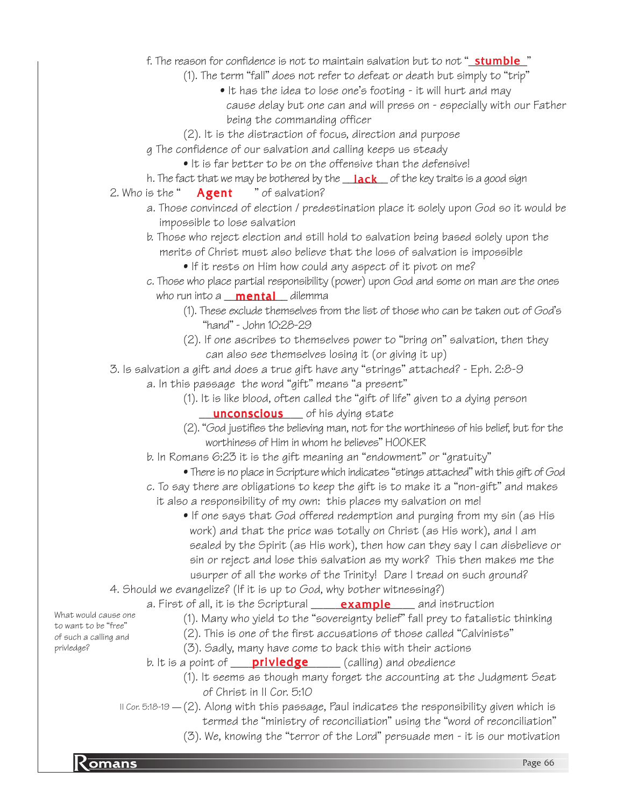## f. The reason for confidence is not to maintain salvation but to not "<u>\_**stumble**\_</u>"

- (1). The term "fall" does not refer to defeat or death but simply to "trip"
	- It has the idea to lose one's footing it will hurt and may cause delay but one can and will press on - especially with our Father being the commanding officer
- (2). It is the distraction of focus, direction and purpose
- g The confidence of our salvation and calling keeps us steady
	- It is far better to be on the offensive than the defensive!
- h. The fact that we may be bothered by the \_\_<mark>lack</mark>\_\_ of the key traits is a good sign
- 2. Who is the " $Agent$  " of salvation? Agent
	- a. Those convinced of election / predestination place it solely upon God so it would be impossible to lose salvation
	- b. Those who reject election and still hold to salvation being based solely upon the merits of Christ must also believe that the loss of salvation is impossible
		- If it rests on Him how could any aspect of it pivot on me?
	- c. Those who place partial responsibility (power) upon God and some on man are the ones who run into a **\_\_\_\_\_\_\_\_\_\_\_\_\_\_\_\_** dilemma
		- (1). These exclude themselves from the list of those who can be taken out of God's "hand" - John 10:28-29
		- (2). If one ascribes to themselves power to "bring on" salvation, then they can also see themselves losing it (or giving it up)

3. Is salvation a gift and does a true gift have any "strings" attached? - Eph. 2:8-9

- a. In this passage the word "gift" means "a present"
	- (1). It is like blood, often called the "gift of life" given to a dying person **unconscious** of his dying state
	- (2). "God justifies the believing man, not for the worthiness of his belief, but for the worthiness of Him in whom he believes" HOOKER
- b. In Romans 6:23 it is the gift meaning an "endowment" or "gratuity"
	- There is no place in Scripture which indicates "stings attached" with this gift of God
- c. To say there are obligations to keep the gift is to make it a "non-gift" and makes it also a responsibility of my own: this places my salvation on me!
	- If one says that God offered redemption and purging from my sin (as His work) and that the price was totally on Christ (as His work), and I am sealed by the Spirit (as His work), then how can they say I can disbelieve or sin or reject and lose this salvation as my work? This then makes me the usurper of all the works of the Trinity! Dare I tread on such ground?
- 4. Should we evangelize? (If it is up to God, why bother witnessing?)
	- a. First of all, it is the Scriptural \_\_\_\_\_\_**example** \_\_\_\_ and instruction
		- (1). Many who yield to the "sovereignty belief" fall prey to fatalistic thinking
		- (2). This is one of the first accusations of those called "Calvinists"
			- (3). Sadly, many have come to back this with their actions
	- b. It is a point of **privledge** (calling) and obedience
		- (1). It seems as though many forget the accounting at the Judgment Seat of Christ in II Cor. 5:10
	- $\scriptstyle\rm II$  Cor. 5:18-19  $\!-(2)$ . Along with this passage, Paul indicates the responsibility given which is
		- termed the "ministry of reconciliation" using the "word of reconciliation"
		- (3). We, knowing the "terror of the Lord" persuade men it is our motivation

to want to be "free" of such a calling and privledge?

What would cause one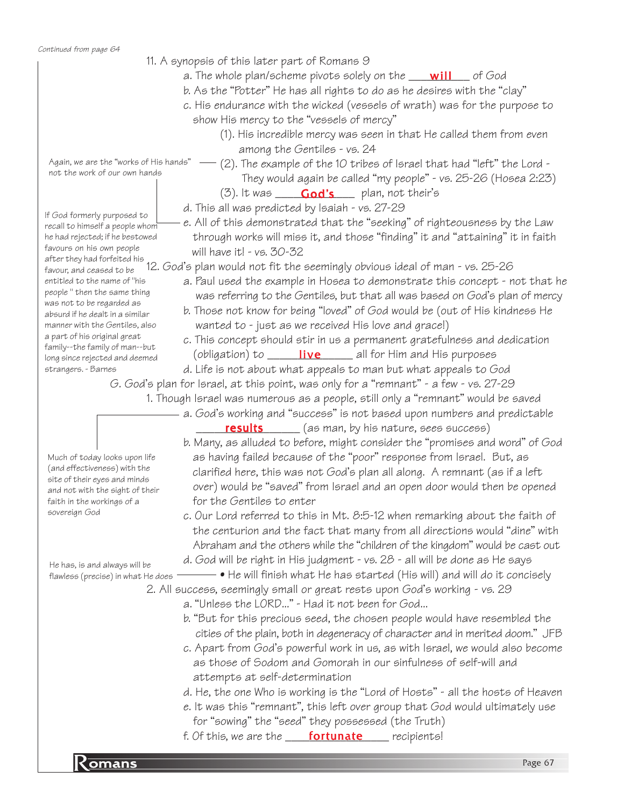Continued from page 64

- 11. A synopsis of this later part of Romans 9
	- a. The whole plan/scheme pivots solely on the \_\_\_\_<mark>will</mark>\_\_\_\_ of God
	- b. As the "Potter" He has all rights to do as he desires with the "clay"
	- c. His endurance with the wicked (vessels of wrath) was for the purpose to show His mercy to the "vessels of mercy"
		- (1). His incredible mercy was seen in that He called them from even among the Gentiles - vs. 24

Again, we are the "works of His hands"  $$ not the work of our own hands

If God formerly purposed to recall to himself a people whom he had rejected; if he bestowed favours on his own people

favour, and ceased to be entitled to the name of "his people " then the same thing was not to be regarded as absurd if he dealt in a similar manner with the Gentiles, also a part of his original great family--the family of man--but long since rejected and deemed

strangers. - Barnes

sovereign God

- $-$  (2). The example of the 10 tribes of Israel that had "left" the Lord -They would again be called "my people" - vs. 25-26 (Hosea 2:23)
- (3). It was \_\_\_\_\_\_\_**God's**\_\_\_\_\_plan, not their's
- d. This all was predicted by Isaiah vs. 27-29
- e. All of this demonstrated that the "seeking" of righteousness by the Law through works will miss it, and those "finding" it and "attaining" it in faith will have it! - vs. 30-32

after they had forfeited his<br>favour, and ceased to be '12. God's plan would not fit the seemingly obvious ideal of man - vs. 25-26

- a. Paul used the example in Hosea to demonstrate this concept not that he was referring to the Gentiles, but that all was based on God's plan of mercy
- b. Those not know for being "loved" of God would be (out of His kindness He wanted to - just as we received His love and grace!)
- c. This concept should stir in us a permanent gratefulness and dedication (obligation) to \_\_\_\_\_\_\_\_\_\_\_\_\_\_\_\_\_\_\_\_\_\_\_ all for Him and His purposes
- d. Life is not about what appeals to man but what appeals to God

G. God's plan for Israel, at this point, was only for a "remnant" - a few - vs. 27-29

- 1. Though Israel was numerous as a people, still only a "remnant" would be saved
	- a. God's working and "success" is not based upon numbers and predictable **results** (as man, by his nature, sees success)

 as having failed because of the "poor" response from Israel. But, as clarified here, this was not God's plan all along. A remnant (as if a left over) would be "saved" from Israel and an open door would then be opened

c. Our Lord referred to this in Mt. 8:5-12 when remarking about the faith of the centurion and the fact that many from all directions would "dine" with

b. Many, as alluded to before, might consider the "promises and word" of God Much of today looks upon life (and effectiveness) with the site of their eyes and minds and not with the sight of their faith in the workings of a

 Abraham and the others while the "children of the kingdom" would be cast out d. God will be right in His judgment - vs. 28 - all will be done as He says

 $\bullet$  He will finish what He has started (His will) and will do it concisely

2. All success, seemingly small or great rests upon God's working - vs. 29

a. "Unless the LORD..." - Had it not been for God...

for the Gentiles to enter

- b. "But for this precious seed, the chosen people would have resembled the cities of the plain, both in degeneracy of character and in merited doom." JFB
- c. Apart from God's powerful work in us, as with Israel, we would also become as those of Sodom and Gomorah in our sinfulness of self-will and attempts at self-determination
- d. He, the one Who is working is the "Lord of Hosts" all the hosts of Heaven
- e. It was this "remnant", this left over group that God would ultimately use for "sowing" the "seed" they possessed (the Truth)
- f. Of this, we are the **\_\_\_\_\_\_fortunate** \_\_\_\_\_\_ recipients!

He has, is and always will be flawless (precise) in what He does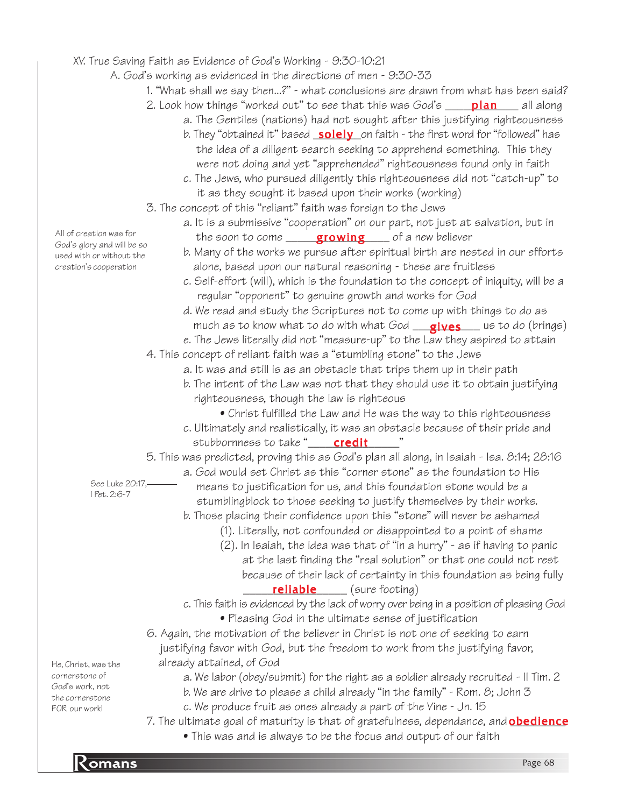## XV. True Saving Faith as Evidence of God's Working - 9:30-10:21

- A. God's working as evidenced in the directions of men 9:30-33
	- 1. "What shall we say then...?" what conclusions are drawn from what has been said?
	- 2. Look how things "worked out" to see that this was God's \_\_\_\_\_<mark>plan</mark>\_\_\_\_ all along
		- a. The Gentiles (nations) had not sought after this justifying righteousness
			- b. They "obtained it" based <u>\_**solely**\_</u>on faith the first word for "followed" has the idea of a diligent search seeking to apprehend something. This they were not doing and yet "apprehended" righteousness found only in faith
			- c. The Jews, who pursued diligently this righteousness did not "catch-up" to it as they sought it based upon their works (working)
	- 3. The concept of this "reliant" faith was foreign to the Jews
		- a. It is a submissive "cooperation" on our part, not just at salvation, but in the soon to come \_\_\_\_\_\_<mark>growing</mark>\_\_\_\_ of a new believer
			- b. Many of the works we pursue after spiritual birth are nested in our efforts alone, based upon our natural reasoning - these are fruitless
			- c. Self-effort (will), which is the foundation to the concept of iniquity, will be a regular "opponent" to genuine growth and works for God
			- d. We read and study the Scriptures not to come up with things to do as much as to know what to do with what God \_\_<mark>\_gives\_\_\_\_</mark> us to do (brings)
		- e. The Jews literally did not "measure-up" to the Law they aspired to attain
	- 4. This concept of reliant faith was a "stumbling stone" to the Jews
		- a. It was and still is as an obstacle that trips them up in their path
		- b. The intent of the Law was not that they should use it to obtain justifying righteousness, though the law is righteous
			- Christ fulfilled the Law and He was the way to this righteousness
		- c. Ultimately and realistically, it was an obstacle because of their pride and stubbornness to take "\_\_\_\_\_\_\_\_\_\_\_\_\_\_\_\_\_\_"

5. This was predicted, proving this as God's plan all along, in Isaiah - Isa. 8:14; 28:16

- a. God would set Christ as this "corner stone" as the foundation to His means to justification for us, and this foundation stone would be a stumblingblock to those seeking to justify themselves by their works.
	- b. Those placing their confidence upon this "stone" will never be ashamed
		- (1). Literally, not confounded or disappointed to a point of shame
		- (2). In Isaiah, the idea was that of "in a hurry" as if having to panic at the last finding the "real solution" or that one could not rest because of their lack of certainty in this foundation as being fully **reliable** (sure footing)
- c. This faith is evidenced by the lack of worry over being in a position of pleasing God • Pleasing God in the ultimate sense of justification
- 6. Again, the motivation of the believer in Christ is not one of seeking to earn justifying favor with God, but the freedom to work from the justifying favor, already attained, of God

a. We labor (obey/submit) for the right as a soldier already recruited - II Tim. 2

- b. We are drive to please a child already "in the family" Rom. 8; John 3
- c. We produce fruit as ones already a part of the Vine Jn. 15
- 7. The ultimate goal of maturity is that of gratefulness, dependance, and <mark>obedience</mark>
	- This was and is always to be the focus and output of our faith

All of creation was for God's glory and will be so used with or without the creation's cooperation

> See Luke 20:17, I Pet. 2:6-7

He, Christ, was the cornerstone of God's work, not the cornerstone FOR our work!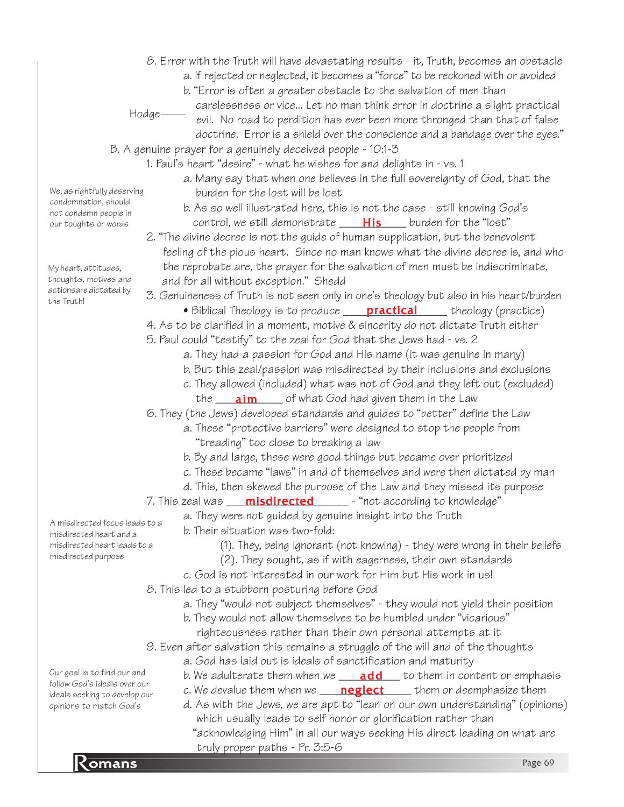- 8. Error with the Truth will have devastating results it, Truth, becomes an obstacle a. If rejected or neglected, it becomes a "force" to be reckoned with or avoided
	- b. "Error is often a greater obstacle to the salvation of men than
	- carelessness or vice... Let no man think error in doctrine a slight practical

 $Hodge$ 

- evil. No road to perdition has ever been more thronged than that of false doctrine. Error is a shield over the conscience and a bandage over the eyes."
- B. A genuine prayer for a genuinely deceived people 10:1-3
	- 1. Paul's heart "desire" what he wishes for and delights in vs. 1
		- a. Many say that when one believes in the full sovereignty of God, that the burden for the lost will be lost
		- b. As so well illustrated here, this is not the case still knowing God's control, we still demonstrate \_\_\_\_\_<mark>His</mark> \_\_\_\_ burden for the "lost"
		- 2. "The divine decree is not the guide of human supplication, but the benevolent feeling of the pious heart. Since no man knows what the divine decree is, and who the reprobate are, the prayer for the salvation of men must be indiscriminate, and for all without exception." Shedd
		- 3. Genuineness of Truth is not seen only in one's theology but also in his heart/burden
			- Biblical Theology is to produce <u>sanctical</u> theology (practice)
		- 4. As to be clarified in a moment, motive & sincerity do not dictate Truth either
		- 5. Paul could "testify" to the zeal for God that the Jews had vs. 2
			- a. They had a passion for God and His name (it was genuine in many)
			- b. But this zeal/passion was misdirected by their inclusions and exclusions
			- c. They allowed (included) what was not of God and they left out (excluded)
		- the <u>\_\_\_**\_\_\_\_\_\_\_\_\_\_\_\_**\_</u> of what God had given them in the Law 6. They (the Jews) developed standards and guides to "better" define the Law
			- a. These "protective barriers" were designed to stop the people from
				- "treading" too close to breaking a law
				- b. By and large, these were good things but became over prioritized
				- c. These became "laws" in and of themselves and were then dictated by man
				- d. This, then skewed the purpose of the Law and they missed its purpose
		- 7. This zeal was \_\_\_\_<mark>misdirected</mark>\_\_\_\_\_\_\_ "not according to knowledge"
			- a. They were not guided by genuine insight into the Truth

b. Their situation was two-fold:

- (1). They, being ignorant (not knowing) they were wrong in their beliefs
- (2). They sought, as if with eagerness, their own standards
- c. God is not interested in our work for Him but His work in us!
- 8. This led to a stubborn posturing before God
	- a. They "would not subject themselves" they would not yield their position
	- b. They would not allow themselves to be humbled under "vicarious" righteousness rather than their own personal attempts at it
- 9. Even after salvation this remains a struggle of the will and of the thoughts
	- a. God has laid out is ideals of sanctification and maturity
	- b. We adulterate them when we \_\_\_\_**add** \_\_\_ to them in content or emphasis
	- c. We devalue them when we \_\_\_\_\_<mark>neglect</mark> \_\_\_\_\_ them or deemphasize them
	- d. As with the Jews, we are apt to "lean on our own understanding" (opinions) which usually leads to self honor or glorification rather than "acknowledging Him" in all our ways seeking His direct leading on what are
- *Eruly proper paths Pr. 3:5-6*<br>Romans Page 69 truly proper paths - Pr. 3:5-6

misdirected heart leads to a misdirected purpose

Our goal is to find our and follow God's ideals over our ideals seeking to develop our opinions to match God's

A misdirected focus leads to a misdirected heart and a

My heart, attitudes, thoughts, motives and actionsare dictated by

We, as rightfully deserving condemnation, should not condemn people in our toughts or words

the Truth!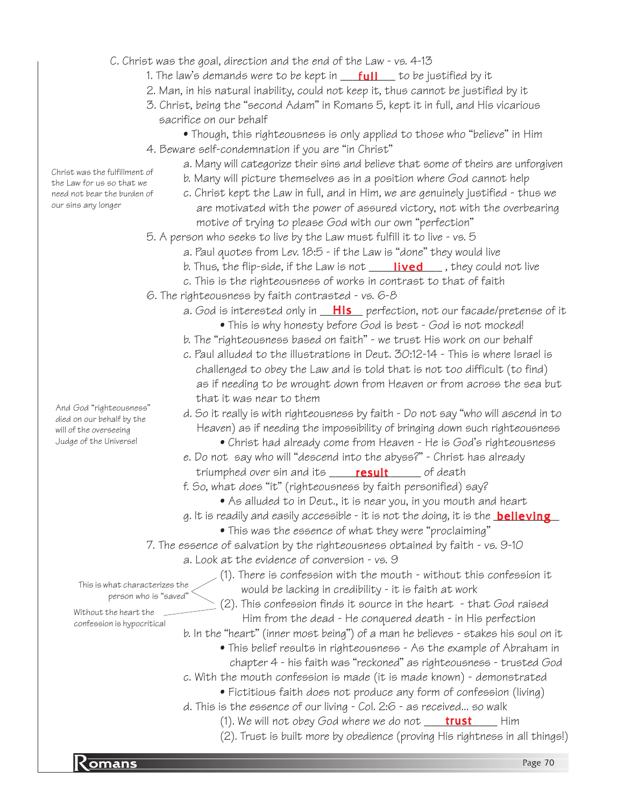C. Christ was the goal, direction and the end of the Law - vs. 4-13

- 1. The law's demands were to be kept in \_\_\_<mark>full\_\_\_</mark> to be justified by it
- 2. Man, in his natural inability, could not keep it, thus cannot be justified by it
- 3. Christ, being the "second Adam" in Romans 5, kept it in full, and His vicarious sacrifice on our behalf
- Though, this righteousness is only applied to those who "believe" in Him 4. Beware self-condemnation if you are "in Christ"
	- a. Many will categorize their sins and believe that some of theirs are unforgiven
	- b. Many will picture themselves as in a position where God cannot help
	- c. Christ kept the Law in full, and in Him, we are genuinely justified thus we are motivated with the power of assured victory, not with the overbearing motive of trying to please God with our own "perfection"
- 5. A person who seeks to live by the Law must fulfill it to live vs. 5
	- a. Paul quotes from Lev. 18:5 if the Law is "done" they would live
	- b. Thus, the flip-side, if the Law is not **\_\_\_\_\_\_<mark>lived</mark>\_\_\_**\_, they could not live
	- c. This is the righteousness of works in contrast to that of faith
- 6. The righteousness by faith contrasted vs. 6-8
	- a. God is interested only in \_\_<mark>His</mark>\_\_ perfection, not our facade/pretense of it
		- This is why honesty before God is best God is not mocked!
	- b. The "righteousness based on faith" we trust His work on our behalf
	- c. Paul alluded to the illustrations in Deut. 30:12-14 This is where Israel is challenged to obey the Law and is told that is not too difficult (to find) as if needing to be wrought down from Heaven or from across the sea but that it was near to them
	- d. So it really is with righteousness by faith Do not say "who will ascend in to Heaven) as if needing the impossibility of bringing down such righteousness
		- Christ had already come from Heaven He is God's righteousness
	- e. Do not say who will "descend into the abyss?" Christ has already triumphed over sin and its \_\_\_\_\_<mark>result</mark> \_\_\_\_\_ of death
	- f. So, what does "it" (righteousness by faith personified) say?
		- As alluded to in Deut., it is near you, in you mouth and heart
	- g. It is readily and easily accessible it is not the doing, it is the <u><code>believing\_</mark></u></u></code>
		- This was the essence of what they were "proclaiming"
- 7. The essence of salvation by the righteousness obtained by faith vs. 9-10
	- a. Look at the evidence of conversion vs. 9
		- (1). There is confession with the mouth without this confession it would be lacking in credibility - it is faith at work

This is what characterizes the person who is "saved"

- Without the heart the confession is hypocritical
- (2). This confession finds it source in the heart that God raised Him from the dead - He conquered death - in His perfection
- b. In the "heart" (inner most being") of a man he believes stakes his soul on it
	- This belief results in righteousness As the example of Abraham in chapter 4 - his faith was "reckoned" as righteousness - trusted God
- c. With the mouth confession is made (it is made known) demonstrated
	- Fictitious faith does not produce any form of confession (living)
- d. This is the essence of our living Col. 2:6 as received... so walk
	- (1). We will not obey God where we do not **\_\_\_\_\_trust** \_\_\_\_\_\_ Him
	- (2). Trust is built more by obedience (proving His rightness in all things!)

**Romans** Page 70

And God "righteousness" died on our behalf by the will of the overseeing Judge of the Universe!

Christ was the fulfillment of the Law for us so that we need not bear the burden of our sins any longer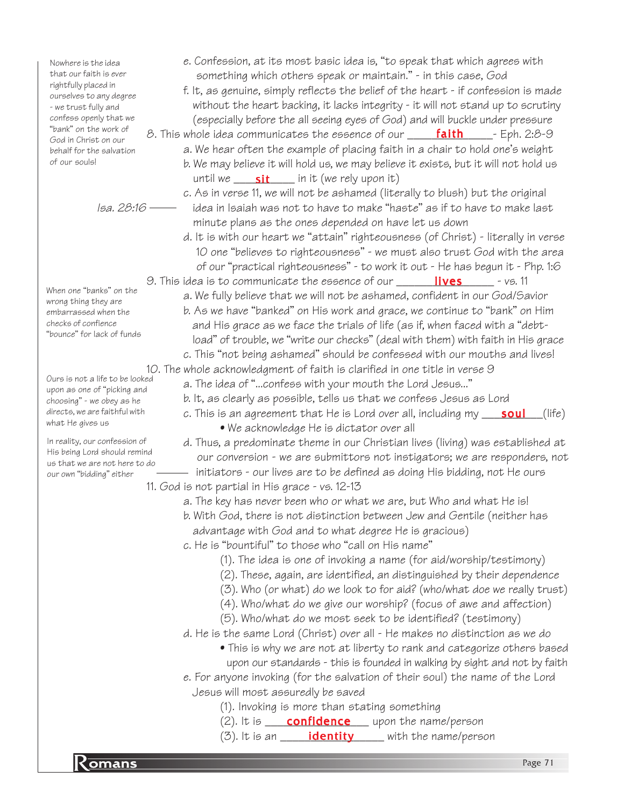Nowhere is the idea that our faith is ever rightfully placed in ourselves to any degree - we trust fully and confess openly that we "bank" on the work of God in Christ on our behalf for the salvation of our souls!

Isa. 28:16

- When one "banks" on the wrong thing they are embarrassed when the checks of confience "bounce" for lack of funds
- Ours is not a life to be looked upon as one of "picking and choosing" - we obey as he directs, we are faithful with what He gives us

In reality, our confession of His being Lord should remind us that we are not here to do our own "bidding" either

- e. Confession, at its most basic idea is, "to speak that which agrees with something which others speak or maintain." - in this case, God
- f. It, as genuine, simply reflects the belief of the heart if confession is made without the heart backing, it lacks integrity - it will not stand up to scrutiny (especially before the all seeing eyes of God) and will buckle under pressure
- 8. This whole idea communicates the essence of our **\_\_\_\_\_\_faith**\_\_\_\_\_\_- Eph. 2:8-9 a. We hear often the example of placing faith in a chair to hold one's weight b. We may believe it will hold us, we may believe it exists, but it will not hold us until we \_\_\_\_\_\_\_\_\_\_\_\_\_\_\_\_\_\_ in it (we rely upon it)
	- c. As in verse 11, we will not be ashamed (literally to blush) but the original idea in Isaiah was not to have to make "haste" as if to have to make last minute plans as the ones depended on have let us down
	- d. It is with our heart we "attain" righteousness (of Christ) literally in verse 10 one "believes to righteousness" - we must also trust God with the area of our "practical righteousness" - to work it out - He has begun it - Php. 1:6
- 9. This idea is to communicate the essence of our **Fillum Markey School** vs. 11
	- a. We fully believe that we will not be ashamed, confident in our God/Savior b. As we have "banked" on His work and grace, we continue to "bank" on Him and His grace as we face the trials of life (as if, when faced with a "debt load" of trouble, we "write our checks" (deal with them) with faith in His grace
- c. This "not being ashamed" should be confessed with our mouths and lives! 10. The whole acknowledgment of faith is clarified in one title in verse 9
	- a. The idea of "...confess with your mouth the Lord Jesus..."
	-
	- b. It, as clearly as possible, tells us that we confess Jesus as Lord
	- c. This is an agreement that He is Lord over all, including my \_\_\_\_\_**soul**\_\_\_(life)
		- We acknowledge He is dictator over all
	- d. Thus, a predominate theme in our Christian lives (living) was established at our conversion - we are submittors not instigators; we are responders, not - initiators - our lives are to be defined as doing His bidding, not He ours
- 11. God is not partial in His grace vs. 12-13
	- a. The key has never been who or what we are, but Who and what He is!
	- b. With God, there is not distinction between Jew and Gentile (neither has advantage with God and to what degree He is gracious)
	- c. He is "bountiful" to those who "call on His name"
		- (1). The idea is one of invoking a name (for aid/worship/testimony)
		- (2). These, again, are identified, an distinguished by their dependence
		- (3). Who (or what) do we look to for aid? (who/what doe we really trust)
		- (4). Who/what do we give our worship? (focus of awe and affection)
		- (5). Who/what do we most seek to be identified? (testimony)
	- d. He is the same Lord (Christ) over all He makes no distinction as we do
		- This is why we are not at liberty to rank and categorize others based upon our standards - this is founded in walking by sight and not by faith
	- e. For anyone invoking (for the salvation of their soul) the name of the Lord Jesus will most assuredly be saved
		- (1). Invoking is more than stating something
		- (2). It is **confidence** upon the name/person
		- (3). It is an **identity** with the name/person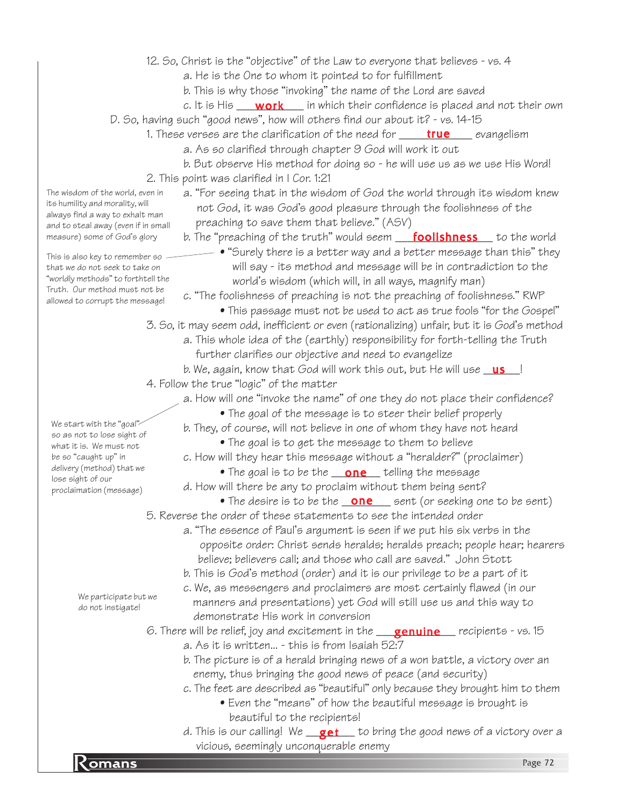- 12. So, Christ is the "objective" of the Law to everyone that believes vs. 4
	- a. He is the One to whom it pointed to for fulfillment
	- b. This is why those "invoking" the name of the Lord are saved
	- c. It is His \_\_\_\_ **work** \_\_\_ in which their confidence is placed and not their own
- D. So, having such "good news", how will others find our about it? vs. 14-15
	- 1. These verses are the clarification of the need for \_\_\_\_\_\_<mark>true</mark> \_\_\_\_ evangelism
		- a. As so clarified through chapter 9 God will work it out
		- b. But observe His method for doing so he will use us as we use His Word!
		- 2. This point was clarified in I Cor. 1:21

a. "For seeing that in the wisdom of God the world through its wisdom knew not God, it was God's good pleasure through the foolishness of the preaching to save them that believe." (ASV)

b. The "preaching of the truth" would seem <u>Foolishness</u> fo the world

• "Surely there is a better way and a better message than this" they will say - its method and message will be in contradiction to the world's wisdom (which will, in all ways, magnify man)

c. "The foolishness of preaching is not the preaching of foolishness." RWP

- This passage must not be used to act as true fools "for the Gospel"
- 3. So, it may seem odd, inefficient or even (rationalizing) unfair, but it is God's method
	- a. This whole idea of the (earthly) responsibility for forth-telling the Truth further clarifies our objective and need to evangelize
- b. We, again, know that God will work this out, but He will use **\_\_\_\_\_\_\_**!
- 4. Follow the true "logic" of the matter
	- a. How will one "invoke the name" of one they do not place their confidence?
		- The goal of the message is to steer their belief properly
		- b. They, of course, will not believe in one of whom they have not heard
			- The goal is to get the message to them to believe
		- c. How will they hear this message without a "heralder?" (proclaimer)
			- $\bullet$  The goal is to be the  $\_\,$  one  $\_\,$  telling the message
	- d. How will there be any to proclaim without them being sent?
		- $\bullet$  The desire is to be the  $\fbox{one}$  sent (or seeking one to be sent)
- 5. Reverse the order of these statements to see the intended order
	- a. "The essence of Paul's argument is seen if we put his six verbs in the opposite order: Christ sends heralds; heralds preach; people hear; hearers believe; believers call; and those who call are saved." John Stott
		- b. This is God's method (order) and it is our privilege to be a part of it
		- c. We, as messengers and proclaimers are most certainly flawed (in our manners and presentations) yet God will still use us and this way to demonstrate His work in conversion

6. There will be relief, joy and excitement in the \_\_\_<mark>genuine</mark>\_\_\_ recipients - vs. 15

- a. As it is written... this is from Isaiah 52:7
- b. The picture is of a herald bringing news of a won battle, a victory over an enemy, thus bringing the good news of peace (and security)
- c. The feet are described as "beautiful" only because they brought him to them • Even the "means" of how the beautiful message is brought is beautiful to the recipients!
- Sicious, seemingly unconquerable enemy<br> **Romans** Page 72 d. This is our calling! We \_\_\_**get** \_\_\_to bring the good news of a victory over a vicious, seemingly unconquerable enemy

We start with the "goal" so as not to lose sight of what it is. We must not be so "caught up" in delivery (method) that we lose sight of our proclaimation (message)

The wisdom of the world, even in its humility and morality, will always find a way to exhalt man and to steal away (even if in small measure) some of God's glory

This is also key to remember so that we do not seek to take on "worldly methods" to forthtell the Truth. Our method must not be allowed to corrupt the message!

> We participate but we do not instigate!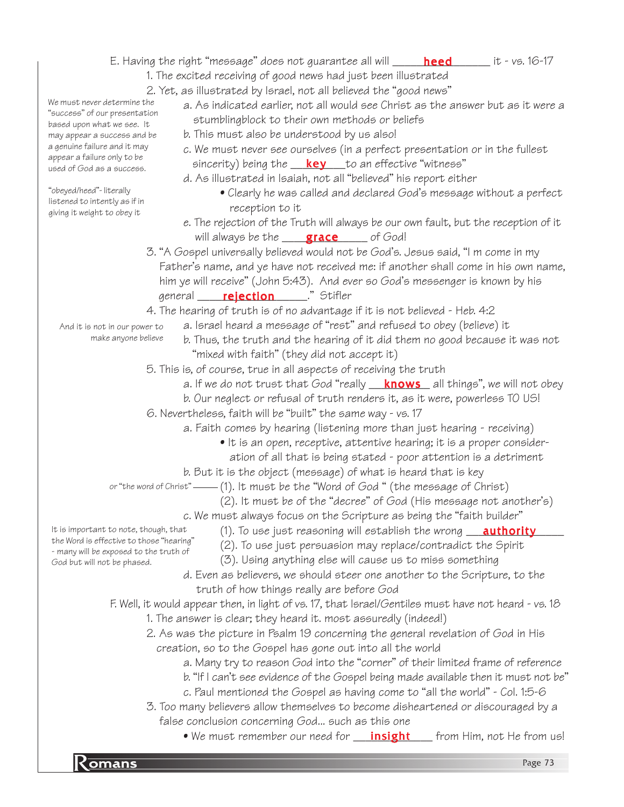# E. Having the right "message" does not guarantee all will \_\_\_\_\_\_<mark>heed</mark>\_\_\_\_\_\_\_ it - vs. 16-17

- 1. The excited receiving of good news had just been illustrated
	- 2. Yet, as illustrated by Israel, not all believed the "good news"
		- a. As indicated earlier, not all would see Christ as the answer but as it were a stumblingblock to their own methods or beliefs
			- b. This must also be understood by us also!
			- c. We must never see ourselves (in a perfect presentation or in the fullest sincerity) being the \_\_\_<mark>key</mark> \_\_\_to an effective "witness"
			- d. As illustrated in Isaiah, not all "believed" his report either
				- Clearly he was called and declared God's message without a perfect reception to it
		- e. The rejection of the Truth will always be our own fault, but the reception of it will always be the **grace** of God!
	- 3. "A Gospel universally believed would not be God's. Jesus said, "I m come in my Father's name, and ye have not received me: if another shall come in his own name, him ye will receive" (John 5:43). And ever so God's messenger is known by his general \_\_\_\_\_\_<mark>rejection</mark>\_\_\_\_\_\_." Stifler
	- 4. The hearing of truth is of no advantage if it is not believed Heb. 4:2
		- a. Israel heard a message of "rest" and refused to obey (believe) it
			- b. Thus, the truth and the hearing of it did them no good because it was not "mixed with faith" (they did not accept it)
	- 5. This is, of course, true in all aspects of receiving the truth
		- a. If we do not trust that God "really \_\_<mark>\_\_knows</mark>\_\_all things", we will not obey
		- b. Our neglect or refusal of truth renders it, as it were, powerless TO US!
	- 6. Nevertheless, faith will be "built" the same way vs. 17
		- a. Faith comes by hearing (listening more than just hearing receiving)
			- It is an open, receptive, attentive hearing; it is a proper consider ation of all that is being stated - poor attention is a detriment
		- b. But it is the object (message) of what is heard that is key

or "the word of Christ" —— (1). It must be the "Word of God " (the message of Christ)

- (2). It must be of the "decree" of God (His message not another's)
- c. We must always focus on the Scripture as being the "faith builder"
	- (1). To use just reasoning will establish the wrong **\_\_\_\_<u>authority</u>\_\_\_\_\_** 
		- (2). To use just persuasion may replace/contradict the Spirit
		- (3). Using anything else will cause us to miss something
- d. Even as believers, we should steer one another to the Scripture, to the truth of how things really are before God
- F. Well, it would appear then, in light of vs. 17, that Israel/Gentiles must have not heard vs. 18
	- 1. The answer is clear; they heard it. most assuredly (indeed!)
	- 2. As was the picture in Psalm 19 concerning the general revelation of God in His creation, so to the Gospel has gone out into all the world
		- a. Many try to reason God into the "corner" of their limited frame of reference
		- b. "If I can't see evidence of the Gospel being made available then it must not be"
		- c. Paul mentioned the Gospel as having come to "all the world" Col. 1:5-6
	- 3. Too many believers allow themselves to become disheartened or discouraged by a false conclusion concerning God... such as this one
		- We must remember our need for <u>\_\_\_\_\_\_\_\_\_\_\_\_\_\_\_\_\_\_\_\_</u>\_ from Him, not He from us!

We must never determine the "success" of our presentation based upon what we see. It may appear a success and be a genuine failure and it may appear a failure only to be

"obeyed/heed"- literally listened to intently as if in giving it weight to obey it

used of God as a success.

And it is not in our power to make anyone believe

It is important to note, though, that the Word is effective to those "hearing" - many will be exposed to the truth of God but will not be phased.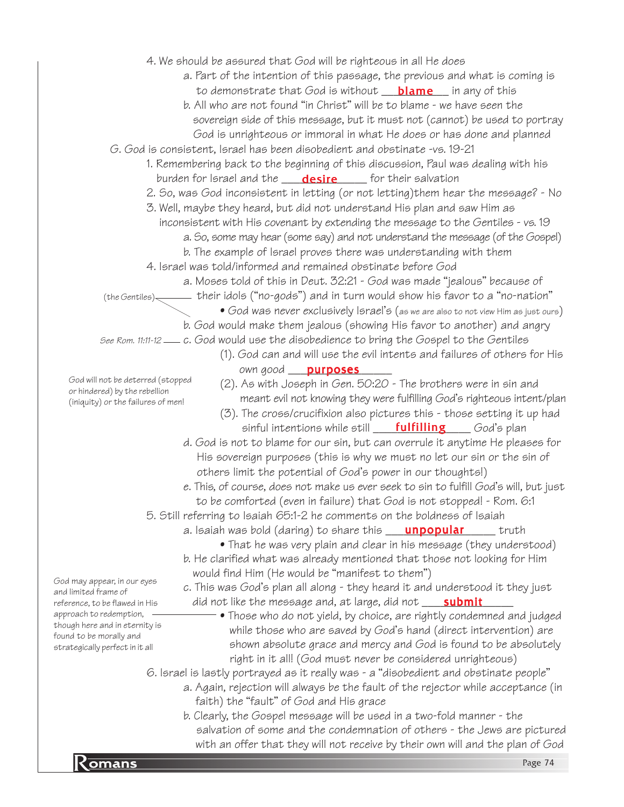|                                                                    | 4. We should be assured that God will be righteous in all He does                                    |
|--------------------------------------------------------------------|------------------------------------------------------------------------------------------------------|
|                                                                    | a. Part of the intention of this passage, the previous and what is coming is                         |
|                                                                    | to demonstrate that God is without $\blacksquare$ blame in any of this                               |
|                                                                    | b. All who are not found "in Christ" will be to blame - we have seen the                             |
|                                                                    | sovereign side of this message, but it must not (cannot) be used to portray                          |
|                                                                    | God is unrighteous or immoral in what He does or has done and planned                                |
|                                                                    | G. God is consistent, Israel has been disobedient and obstinate -vs. 19-21                           |
|                                                                    | 1. Remembering back to the beginning of this discussion, Paul was dealing with his                   |
|                                                                    | burden for Israel and the <b>_____desire</b> _______ for their salvation                             |
|                                                                    | 2. So, was God inconsistent in letting (or not letting)them hear the message? - No                   |
|                                                                    | 3. Well, maybe they heard, but did not understand His plan and saw Him as                            |
|                                                                    | inconsistent with His covenant by extending the message to the Gentiles - vs. 19                     |
|                                                                    | a. So, some may hear (some say) and not understand the message (of the Gospel)                       |
|                                                                    | b. The example of lorael proves there was understanding with them                                    |
|                                                                    | 4. Israel was told/informed and remained obstinate before God                                        |
|                                                                    |                                                                                                      |
|                                                                    | a. Moses told of this in Deut. 32:21 - God was made "jealous" because of                             |
|                                                                    | $(the Gentiles)$ their idols ("no-gods") and in turn would show his favor to a "no-nation"           |
|                                                                    | • God was never exclusively Israel's (as we are also to not view Him as just ours)                   |
|                                                                    | b. God would make them jealous (showing His favor to another) and angry                              |
|                                                                    | See Rom. 11:11-12 <sub>—</sub> c. God would use the disobedience to bring the Gospel to the Gentiles |
|                                                                    | (1). God can and will use the evil intents and failures of others for His                            |
|                                                                    | own good <b>purposes</b>                                                                             |
| God will not be deterred (stopped<br>or hindered) by the rebellion | (2). As with Joseph in Gen. 50:20 - The brothers were in sin and                                     |
| (iniquity) or the failures of men!                                 | meant evil not knowing they were fulfilling God's righteous intent/plan                              |
|                                                                    | (3). The cross/crucifixion also pictures this - those setting it up had                              |
|                                                                    | sinful intentions while still <b>____fulfilling</b> _____ God's plan                                 |
|                                                                    | d. God is not to blame for our sin, but can overrule it anytime He pleases for                       |
|                                                                    | His sovereign purposes (this is why we must no let our sin or the sin of                             |
|                                                                    | others limit the potential of God's power in our thoughts!)                                          |
|                                                                    | e. This, of course, does not make us ever seek to sin to fulfill God's will, but just                |
|                                                                    | to be comforted (even in failure) that God is not stopped! - Rom. 6:1                                |
|                                                                    | 5. Still referring to Isaiah 65:1-2 he comments on the boldness of Isaiah                            |
|                                                                    | a. Isaiah was bold (daring) to share this <b>____<u>unpopular</u></b><br>truth                       |
|                                                                    | • That he was very plain and clear in his message (they understood)                                  |
|                                                                    | b. He clarified what was already mentioned that those not looking for Him                            |
|                                                                    | would find Him (He would be "manifest to them")                                                      |
| God may appear, in our eyes                                        | c. This was God's plan all along - they heard it and understood it they just                         |
| and limited frame of<br>reference, to be flawed in His             | did not like the message and, at large, did not <b>____ submit</b>                                   |
| approach to redemption,                                            | • Those who do not yield, by choice, are rightly condemned and judged                                |
| though here and in eternity is                                     | while those who are saved by God's hand (direct intervention) are                                    |
| found to be morally and                                            | shown absolute grace and mercy and God is found to be absolutely                                     |
| strategically perfect in it all                                    | right in it all! (God must never be considered unrighteous)                                          |
|                                                                    | 6. Israel is lastly portrayed as it really was - a "disobedient and obstinate people"                |
|                                                                    | a. Again, rejection will always be the fault of the rejector while acceptance (in                    |
|                                                                    | faith) the "fault" of God and His grace                                                              |
|                                                                    | b. Clearly, the Gospel message will be used in a two-fold manner - the                               |
|                                                                    | salvation of some and the condemnation of others - the Jews are pictured                             |
|                                                                    | with an offer that they will not receive by their own will and the plan of God                       |
|                                                                    |                                                                                                      |
| <u>Komans</u>                                                      | Page 74                                                                                              |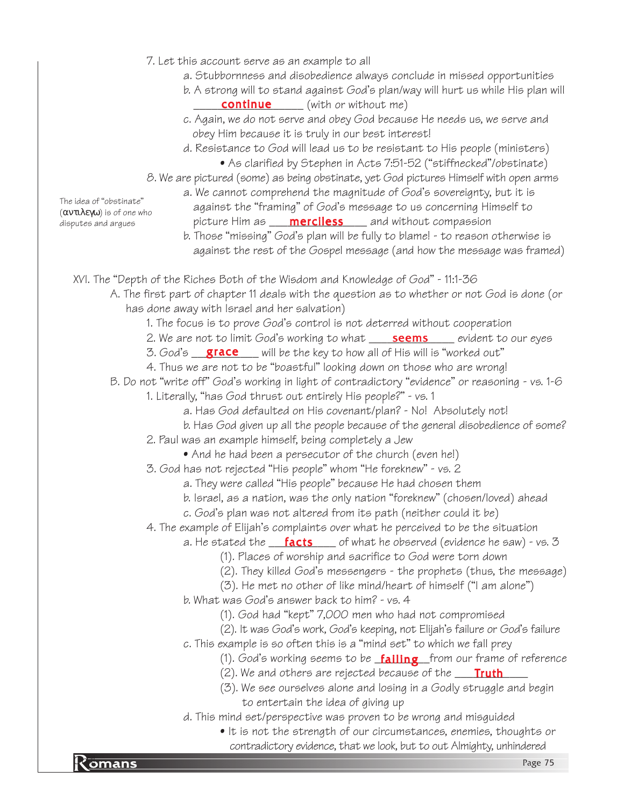- 7. Let this account serve as an example to all
	- a. Stubbornness and disobedience always conclude in missed opportunities
	- b. A strong will to stand against God's plan/way will hurt us while His plan will **continue** (with or without me)
	- c. Again, we do not serve and obey God because He needs us, we serve and obey Him because it is truly in our best interest!
	- d. Resistance to God will lead us to be resistant to His people (ministers) • As clarified by Stephen in Acts 7:51-52 ("stiffnecked"/obstinate)
- 8. We are pictured (some) as being obstinate, yet God pictures Himself with open arms
- a. We cannot comprehend the magnitude of God's sovereignty, but it is against the "framing" of God's message to us concerning Himself to disputes and argues **contained to picture Him as <u>merciless</u> and without compassion**

The idea of "obstinate" (αντιλεγω) is of one who

b. Those "missing" God's plan will be fully to blame! - to reason otherwise is against the rest of the Gospel message (and how the message was framed)

XVI. The "Depth of the Riches Both of the Wisdom and Knowledge of God" - 11:1-36

- A. The first part of chapter 11 deals with the question as to whether or not God is done (or has done away with Israel and her salvation)
	- 1. The focus is to prove God's control is not deterred without cooperation
	- 2. We are not to limit God's working to what <u>\_\_\_\_**seems**\_\_\_\_</u> evident to our eyes
	- 3. God's \_\_\_\_\_\_\_\_\_\_\_\_\_\_\_\_\_\_\_ will be the key to how all of His will is "worked out"
	- 4. Thus we are not to be "boastful" looking down on those who are wrong!
- B. Do not "write off" God's working in light of contradictory "evidence" or reasoning vs. 1-6
	- 1. Literally, "has God thrust out entirely His people?" vs. 1
		- a. Has God defaulted on His covenant/plan? No! Absolutely not!
		- b. Has God given up all the people because of the general disobedience of some?
	- 2. Paul was an example himself, being completely a Jew
		- And he had been a persecutor of the church (even he!)
	- 3. God has not rejected "His people" whom "He foreknew" vs. 2
		- a. They were called "His people" because He had chosen them
		- b. Israel, as a nation, was the only nation "foreknew" (chosen/loved) ahead
		- c. God's plan was not altered from its path (neither could it be)

4. The example of Elijah's complaints over what he perceived to be the situation

- a. He stated the \_\_\_\_<mark>facts</mark> \_\_\_\_ of what he observed (evidence he saw) vs. 3
	- (1). Places of worship and sacrifice to God were torn down
	- (2). They killed God's messengers the prophets (thus, the message)
- (3). He met no other of like mind/heart of himself ("I am alone") b. What was God's answer back to him? - vs. 4
	- (1). God had "kept" 7,000 men who had not compromised
	- (2). It was God's work, God's keeping, not Elijah's failure or God's failure
- c. This example is so often this is a "mind set" to which we fall prey
	- (1). God's working seems to be <u>failin**g**</u> from our frame of reference
	- (2). We and others are rejected because of the **\_\_\_\_\_\_\_\_\_\_\_\_\_\_\_\_\_\_\_\_\_\_\_\_\_\_\_\_\_\_\_\_**
	- (3). We see ourselves alone and losing in a Godly struggle and begin to entertain the idea of giving up
- d. This mind set/perspective was proven to be wrong and misguided
- contradictory evidence, that we look, but to out Almighty, unhindered<br>Page 75 • It is not the strength of our circumstances, enemies, thoughts or

omans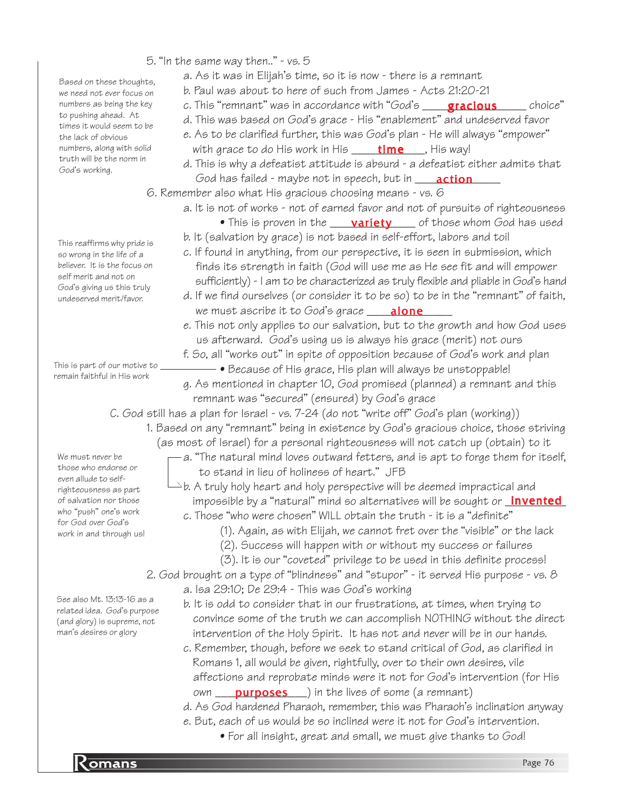Based on these thoughts, we need not ever focus on numbers as being the key to pushing ahead. At times it would seem to be the lack of obvious numbers, along with solid truth will be the norm in God's working.

This reaffirms why pride is so wrong in the life of a believer. It is the focus on self merit and not on God's giving us this truly undeserved merit/favor.

This is part of our motive to remain faithful in His work

5. "In the same way then.." - vs. 5

- a. As it was in Elijah's time, so it is now there is a remnant
	- b. Paul was about to here of such from James Acts 21:20-21
	- c. This "remnant" was in accordance with "God's \_\_\_\_\_<mark>gracious</mark> \_\_\_\_\_\_ choice"
	- d. This was based on God's grace His "enablement" and undeserved favor
	- e. As to be clarified further, this was God's plan He will always "empower" with grace to do His work in His \_\_\_\_\_\_\_\_\_\_\_\_\_\_\_\_\_, His way!
- d. This is why a defeatist attitude is absurd a defeatist either admits that *God has failed - maybe not in speech, but in* \_\_\_\_\_**action**\_\_\_\_\_

6. Remember also what His gracious choosing means - vs. 6

- a. It is not of works not of earned favor and not of pursuits of righteousness
	- $\bullet$  This is proven in the  $\underline{\hspace{1cm}}$  variety  $\underline{\hspace{1cm}}$  of those whom God has used
	- b. It (salvation by grace) is not based in self-effort, labors and toil
	- c. If found in anything, from our perspective, it is seen in submission, which finds its strength in faith (God will use me as He see fit and will empower sufficiently) - I am to be characterized as truly flexible and pliable in God's hand
	- d. If we find ourselves (or consider it to be so) to be in the "remnant" of faith, we must ascribe it to God's grace \_\_\_\_\_\_\_\_\_\_\_\_\_\_ alone
	- e. This not only applies to our salvation, but to the growth and how God uses us afterward. God's using us is always his grace (merit) not ours
	- f. So, all "works out" in spite of opposition because of God's work and plan
	- Because of His grace, His plan will always be unstoppable! g. As mentioned in chapter 10, God promised (planned) a remnant and this remnant was "secured" (ensured) by God's grace

C. God still has a plan for Israel - vs. 7-24 (do not "write off" God's plan (working))

- 1. Based on any "remnant" being in existence by God's gracious choice, those striving (as most of Israel) for a personal righteousness will not catch up (obtain) to it
	- $-$  a. "The natural mind loves outward fetters, and is apt to forge them for itself, to stand in lieu of holiness of heart." JFB

 $\rightharpoonup$ b. A truly holy heart and holy perspective will be deemed impractical and impossible by a "natural" mind so alternatives will be sought or <u>\_**invented**</u> c. Those "who were chosen" WILL obtain the truth - it is a "definite"

- (1). Again, as with Elijah, we cannot fret over the "visible" or the lack
	- (2). Success will happen with or without my success or failures
- (3). It is our "coveted" privilege to be used in this definite process!
- 2. God brought on a type of "blindness" and "stupor" it served His purpose vs. 8 a. Isa 29:10; De 29:4 - This was God's working
	- b. It is odd to consider that in our frustrations, at times, when trying to convince some of the truth we can accomplish NOTHING without the direct intervention of the Holy Spirit. It has not and never will be in our hands.
	- c. Remember, though, before we seek to stand critical of God, as clarified in Romans 1, all would be given, rightfully, over to their own desires, vile affections and reprobate minds were it not for God's intervention (for His own **purposes** ) in the lives of some (a remnant)
	- d. As God hardened Pharaoh, remember, this was Pharaoh's inclination anyway
	- e. But, each of us would be so inclined were it not for God's intervention.
		- For all insight, great and small, we must give thanks to God!

righteousness as part of salvation nor those who "push" one's work for God over God's work in and through us!

We must never be those who endorse or even allude to self-

See also Mt. 13:13-16 as a related idea. God's purpose (and glory) is supreme, not man's desires or glory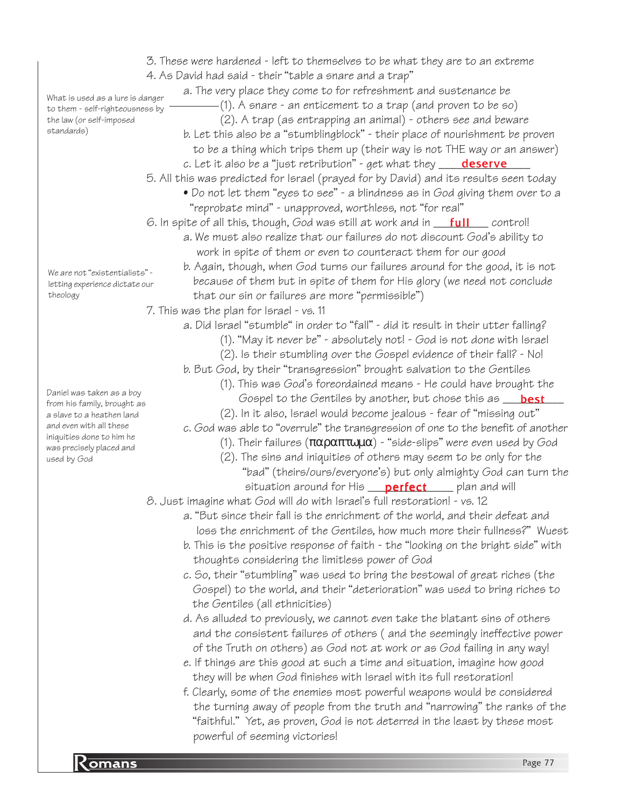**Romans** Page 77 3. These were hardened - left to themselves to be what they are to an extreme 4. As David had said - their "table a snare and a trap" a. The very place they come to for refreshment and sustenance be (1). A snare - an enticement to a trap (and proven to be so) (2). A trap (as entrapping an animal) - others see and beware b. Let this also be a "stumblingblock" - their place of nourishment be proven to be a thing which trips them up (their way is not THE way or an answer) c. Let it also be a "just retribution" - get what they \_\_\_\_\_<mark>deserve</mark>\_\_\_\_ 5. All this was predicted for Israel (prayed for by David) and its results seen today • Do not let them "eyes to see" - a blindness as in God giving them over to a "reprobate mind" - unapproved, worthless, not "for real" 6. In spite of all this, though, God was still at work and in \_\_\_<mark>full</mark> \_\_\_\_ control! a. We must also realize that our failures do not discount God's ability to work in spite of them or even to counteract them for our good b. Again, though, when God turns our failures around for the good, it is not because of them but in spite of them for His glory (we need not conclude that our sin or failures are more "permissible") 7. This was the plan for Israel - vs. 11 a. Did Israel "stumble" in order to "fall" - did it result in their utter falling? (1). "May it never be" - absolutely not! - God is not done with Israel (2). Is their stumbling over the Gospel evidence of their fall? - No! b. But God, by their "transgression" brought salvation to the Gentiles (1). This was God's foreordained means - He could have brought the Gospel to the Gentiles by another, but chose this as \_\_\_<mark>best</mark>\_\_\_ (2). In it also, Israel would become jealous - fear of "missing out" c. God was able to "overrule" the transgression of one to the benefit of another (1). Their failures  $(\pi \alpha \rho \alpha \pi \tau \omega \mu \alpha)$  - "side-slips" were even used by God (2). The sins and iniquities of others may seem to be only for the "bad" (theirs/ours/everyone's) but only almighty God can turn the situation around for His \_\_\_\_<mark>perfect</mark>\_\_\_\_\_\_plan and will 8. Just imagine what God will do with Israel's full restoration! - vs. 12 a. "But since their fall is the enrichment of the world, and their defeat and loss the enrichment of the Gentiles, how much more their fullness?" Wuest b. This is the positive response of faith - the "looking on the bright side" with thoughts considering the limitless power of God c. So, their "stumbling" was used to bring the bestowal of great riches (the Gospel) to the world, and their "deterioration" was used to bring riches to the Gentiles (all ethnicities) d. As alluded to previously, we cannot even take the blatant sins of others and the consistent failures of others ( and the seemingly ineffective power of the Truth on others) as God not at work or as God failing in any way! e. If things are this good at such a time and situation, imagine how good they will be when God finishes with Israel with its full restoration! f. Clearly, some of the enemies most powerful weapons would be considered the turning away of people from the truth and "narrowing" the ranks of the "faithful." Yet, as proven, God is not deterred in the least by these most powerful of seeming victories! What is used as a lure is danger to them - self-righteousness by the law (or self-imposed standards) We are not "existentialists" letting experience dictate our theology Daniel was taken as a boy from his family, brought as a slave to a heathen land and even with all these iniquities done to him he was precisely placed and used by God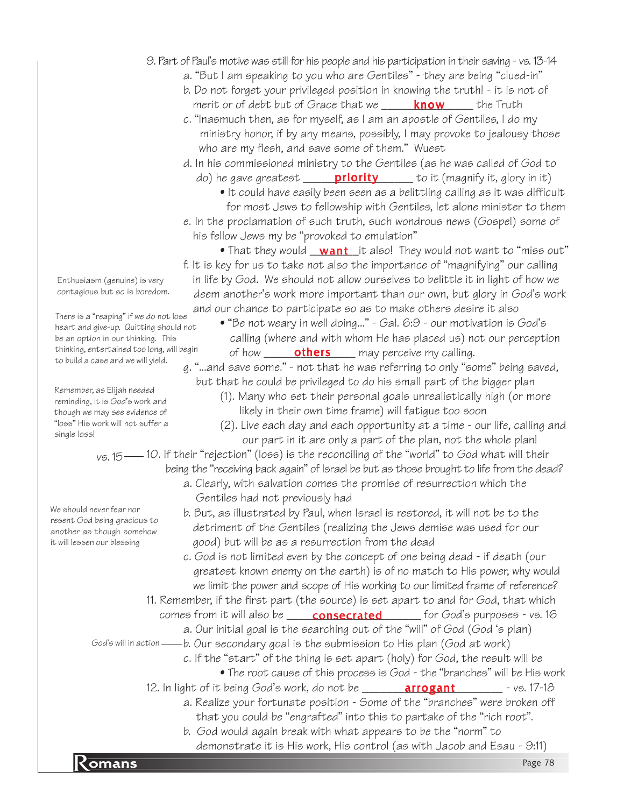#### 9. Part of Paul's motive was still for his people and his participation in their saving - vs. 13-14

- a. "But I am speaking to you who are Gentiles" they are being "clued-in"
- b. Do not forget your privileged position in knowing the truth! it is not of merit or of debt but of Grace that we \_\_\_\_\_\_<mark>know</mark> \_\_\_\_\_ the Truth
- c. "Inasmuch then, as for myself, as I am an apostle of Gentiles, I do my ministry honor, if by any means, possibly, I may provoke to jealousy those who are my flesh, and save some of them." Wuest
- d. In his commissioned ministry to the Gentiles (as he was called of God to do) he gave greatest \_\_\_\_\_\_\_<mark>priority</mark> \_\_\_\_\_\_ to it (magnify it, glory in it)
	- It could have easily been seen as a belittling calling as it was difficult for most Jews to fellowship with Gentiles, let alone minister to them
- e. In the proclamation of such truth, such wondrous news (Gospel) some of his fellow Jews my be "provoked to emulation"
- $\bullet$  That they would  $\underline{\hspace{0.08cm} \text{ want }}$  it also! They would not want to "miss out" f. It is key for us to take not also the importance of "magnifying" our calling in life by God. We should not allow ourselves to belittle it in light of how we deem another's work more important than our own, but glory in God's work and our chance to participate so as to make others desire it also
	- "Be not weary in well doing..." Gal. 6:9 our motivation is God's calling (where and with whom He has placed us) not our perception of how \_\_\_\_\_\_\_**others** \_\_\_\_ may perceive my calling.

g. "...and save some." - not that he was referring to only "some" being saved, but that he could be privileged to do his small part of the bigger plan

- (1). Many who set their personal goals unrealistically high (or more likely in their own time frame) will fatigue too soon
- (2). Live each day and each opportunity at a time our life, calling and our part in it are only a part of the plan, not the whole plan!

 $v$ s. 15 — 10. If their "rejection" (loss) is the reconciling of the "world" to God what will their being the "receiving back again" of Israel be but as those brought to life from the dead?

- a. Clearly, with salvation comes the promise of resurrection which the Gentiles had not previously had
- b. But, as illustrated by Paul, when Israel is restored, it will not be to the detriment of the Gentiles (realizing the Jews demise was used for our good) but will be as a resurrection from the dead

c. God is not limited even by the concept of one being dead - if death (our greatest known enemy on the earth) is of no match to His power, why would we limit the power and scope of His working to our limited frame of reference?

- 11. Remember, if the first part (the source) is set apart to and for God, that which comes from it will also be \_\_\_\_\_**consecrated** \_\_\_\_\_\_ for God's purposes - vs. 16
- a. Our initial goal is the searching out of the "will" of God (God 's plan) b. Our secondary goal is the submission to His plan (God at work) God's will in action

c. If the "start" of the thing is set apart (holy) for God, the result will be

- The root cause of this process is God the "branches" will be His work
- 12. In light of it being God's work, do not be \_\_\_\_\_\_\_\_\_<mark>arrogant</mark> \_\_\_\_\_\_\_\_\_ vs. 17-18
	- a. Realize your fortunate position Some of the "branches" were broken off that you could be "engrafted" into this to partake of the "rich root".
- demonstrate it is His work, His control (as with Jacob and Esau 9:11)<br>Page 78 b. God would again break with what appears to be the "norm" to

Enthusiasm (genuine) is very contagious but so is boredom.

There is a "reaping" if we do not lose heart and give-up. Quitting should not be an option in our thinking. This thinking, entertained too long, will begin to build a case and we will yield.

Remember, as Elijah needed reminding, it is God's work and though we may see evidence of "loss" His work will not suffer a single loss!

We should never fear nor resent God being gracious to another as though somehow it will lessen our blessing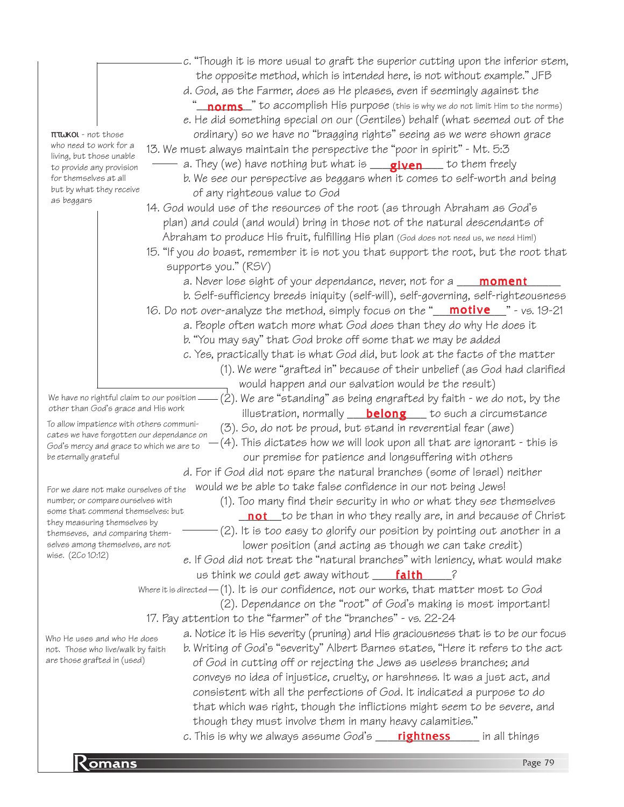|                                                                                       | c. "Though it is more usual to graft the superior cutting upon the inferior stem,                                                     |
|---------------------------------------------------------------------------------------|---------------------------------------------------------------------------------------------------------------------------------------|
|                                                                                       | the opposite method, which is intended here, is not without example." JFB                                                             |
|                                                                                       | d. God, as the Farmer, does as He pleases, even if seemingly against the                                                              |
|                                                                                       | '_ <b>norms_</b> " to accomplish His purpose (this is why we do not limit Him to the norms)                                           |
|                                                                                       | e. He did something special on our (Gentiles) behalf (what seemed out of the                                                          |
| πτωκοι - not those                                                                    | ordinary) so we have no "bragging rights" seeing as we were shown grace                                                               |
| who need to work for a<br>living, but those unable                                    | 13. We must always maintain the perspective the "poor in spirit" - Mt. 5:3                                                            |
| to provide any provision                                                              | a. They (we) have nothing but what is ____________________ to them freely                                                             |
| for themselves at all<br>but by what they receive<br>as beggars                       | b. We see our perspective as beggars when it comes to self-worth and being<br>of any righteous value to God                           |
|                                                                                       | 14. God would use of the resources of the root (as through Abraham as God's                                                           |
|                                                                                       | plan) and could (and would) bring in those not of the natural descendants of                                                          |
|                                                                                       | Abraham to produce His fruit, fulfilling His plan (God does not need us, we need Him!)                                                |
|                                                                                       | 15. "If you do boast, remember it is not you that support the root, but the root that<br>supports you." (RSV)                         |
|                                                                                       | a. Never lose sight of your dependance, never, not for a <b>____ moment</b>                                                           |
|                                                                                       | b. Self-sufficiency breeds iniquity (self-will), self-governing, self-righteousness                                                   |
|                                                                                       | 16. Do not over-analyze the method, simply focus on the "__ <mark>motive___</mark> " - vs. 19-21                                      |
|                                                                                       | a. People often watch more what God does than they do why He does it                                                                  |
|                                                                                       | b. "You may say" that God broke off some that we may be added                                                                         |
|                                                                                       | c. Yes, practically that is what God did, but look at the facts of the matter                                                         |
|                                                                                       | (1). We were "grafted in" because of their unbelief (as God had clarified                                                             |
|                                                                                       | would happen and our salvation would be the result)                                                                                   |
| We have no rightful claim to our position<br>other than God's grace and His work      | (2). We are "standing" as being engrafted by faith - we do not, by the<br>illustration, normally <b>belong</b> to such a circumstance |
| To allow impatience with others communi-                                              | (3). So, do not be proud, but stand in reverential fear (awe)                                                                         |
| cates we have forgotten our dependance on<br>God's mercy and grace to which we are to | $(4)$ . This dictates how we will look upon all that are ignorant - this is                                                           |
| be eternally grateful                                                                 | our premise for patience and longsuffering with others                                                                                |
|                                                                                       | d. For if God did not spare the natural branches (some of Israel) neither                                                             |
| For we dare not make ourselves of the                                                 | would we be able to take false confidence in our not being Jews!                                                                      |
| number, or compare ourselves with                                                     | (1). Too many find their security in who or what they see themselves                                                                  |
| some that commend themselves: but<br>they measuring themselves by                     | <b>not</b> to be than in who they really are, in and because of Christ                                                                |
| themseves, and comparing them-                                                        | (2). It is too easy to glorify our position by pointing out another in a                                                              |
| selves among themselves, are not                                                      | lower position (and acting as though we can take credit)                                                                              |
| wise. (2Co 10:12)                                                                     | e. If God did not treat the "natural branches" with leniency, what would make                                                         |
|                                                                                       | us think we could get away without ___ <b>faith</b><br>$\ddot{\epsilon}$                                                              |
|                                                                                       | Where it is directed - (1). It is our confidence, not our works, that matter most to God                                              |
|                                                                                       | (2). Dependance on the "root" of God's making is most important!                                                                      |
|                                                                                       | 17. Pay attention to the "farmer" of the "branches" - vs. 22-24                                                                       |
| Who He uses and who He does                                                           | a. Notice it is His severity (pruning) and His graciousness that is to be our focus                                                   |
| not. Those who live/walk by faith                                                     | b. Writing of God's "severity" Albert Barnes states, "Here it refers to the act                                                       |
| are those grafted in (used)                                                           | of God in cutting off or rejecting the Jews as useless branches; and                                                                  |
|                                                                                       | conveys no idea of injustice, cruelty, or harshness. It was a just act, and                                                           |
|                                                                                       | consistent with all the perfections of God. It indicated a purpose to do                                                              |
|                                                                                       | that which was right, though the inflictions might seem to be severe, and                                                             |
|                                                                                       | though they must involve them in many heavy calamities."                                                                              |
|                                                                                       | c. This is why we always assume God's __ <b>___ rightness</b> _____ in all things                                                     |
| Komans                                                                                | Page 79                                                                                                                               |
|                                                                                       |                                                                                                                                       |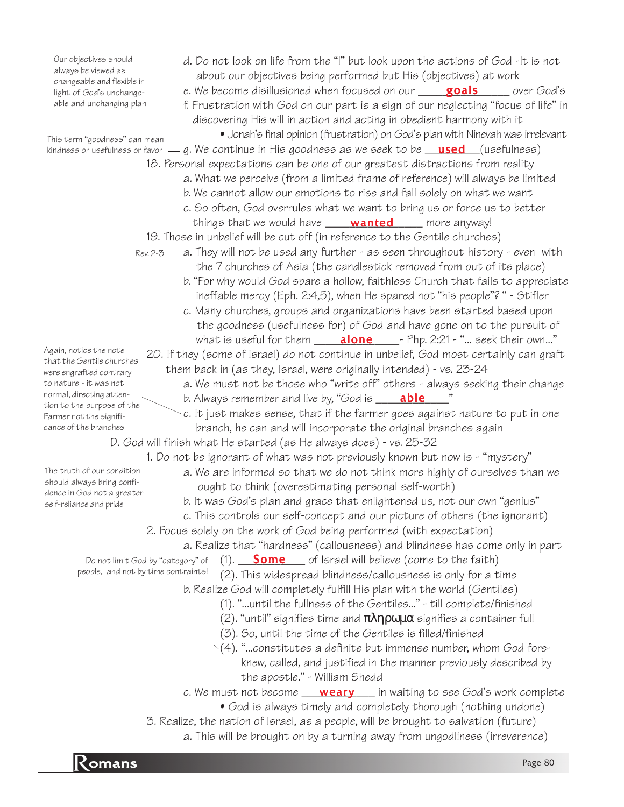particular company of the company of the company of the company of the company of the company of the company of the company of the company of the company of the company of the company of the company of the company of the c d. Do not look on life from the "I" but look upon the actions of God -It is not about our objectives being performed but His (objectives) at work e. We become disillusioned when focused on our \_\_\_\_<mark>\_goals</mark> \_\_\_\_\_\_ over God's f. Frustration with God on our part is a sign of our neglecting "focus of life" in discovering His will in action and acting in obedient harmony with it • Jonah's final opinion (frustration) on God's plan with Ninevah was irrelevant kindness or usefulness or favor — g. We continue in His goodness as we seek to be <u>gased</u> (usefulness) 18. Personal expectations can be one of our greatest distractions from reality a. What we perceive (from a limited frame of reference) will always be limited b. We cannot allow our emotions to rise and fall solely on what we want c. So often, God overrules what we want to bring us or force us to better things that we would have **wanted** \_\_\_\_\_ more anyway! 19. Those in unbelief will be cut off (in reference to the Gentile churches) r.ev.2-3 — a. They will not be used any further - as seen throughout history - even with the 7 churches of Asia (the candlestick removed from out of its place) b. "For why would God spare a hollow, faithless Church that fails to appreciate ineffable mercy (Eph. 2:4,5), when He spared not "his people"? " - Stifler c. Many churches, groups and organizations have been started based upon the goodness (usefulness for) of God and have gone on to the pursuit of what is useful for them \_\_\_\_\_<mark>alone</mark> \_\_\_\_- Php. 2:21 - "... seek their own..." 20. If they (some of Israel) do not continue in unbelief, God most certainly can graft them back in (as they, Israel, were originally intended) - vs. 23-24 a. We must not be those who "write off" others - always seeking their change b. Always remember and live by, "God is \_\_\_\_\_**able**\_\_\_\_\_\_"  $\sim$  c. It just makes sense, that if the farmer goes against nature to put in one branch, he can and will incorporate the original branches again D. God will finish what He started (as He always does) - vs. 25-32 1. Do not be ignorant of what was not previously known but now is - "mystery" a. We are informed so that we do not think more highly of ourselves than we ought to think (overestimating personal self-worth) b. It was God's plan and grace that enlightened us, not our own "genius" c. This controls our self-concept and our picture of others (the ignorant) 2. Focus solely on the work of God being performed (with expectation) a. Realize that "hardness" (callousness) and blindness has come only in part  $(1).$  Some  $\Box$  of Israel will believe (come to the faith) (2). This widespread blindness/callousness is only for a time b. Realize God will completely fulfill His plan with the world (Gentiles) (1). "...until the fullness of the Gentiles..." - till complete/finished (2). "until" signifies time and  $\pi\lambda\eta\rho\omega\mu\alpha$  signifies a container full (3). So, until the time of the Gentiles is filled/finished  $\bigcup (4)$ . "...constitutes a definite but immense number, whom God fore knew, called, and justified in the manner previously described by the apostle." - William Shedd c. We must not become \_\_\_\_<mark>weary</mark> \_\_\_ in waiting to see God's work complete • God is always timely and completely thorough (nothing undone) 3. Realize, the nation of Israel, as a people, will be brought to salvation (future) a. This will be brought on by a turning away from ungodliness (irreverence) Our objectives should always be viewed as changeable and flexible in light of God's unchangeable and unchanging plan This term "goodness" can mean Again, notice the note that the Gentile churches were engrafted contrary to nature - it was not normal, directing attention to the purpose of the Farmer not the significance of the branches The truth of our condition should always bring confidence in God not a greater self-reliance and pride Do not limit God by "category" of people, and not by time contraints!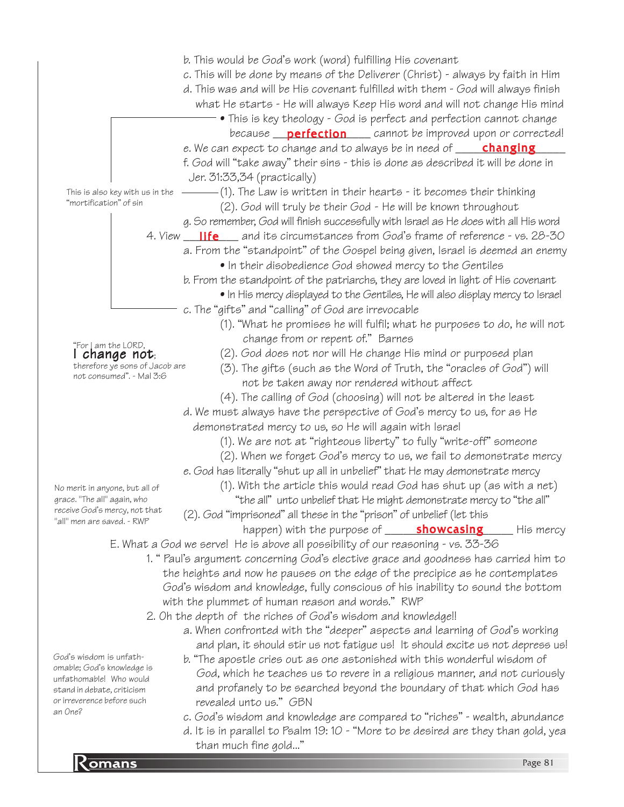Private the gold...<br>Romans Page 81 b. This would be God's work (word) fulfilling His covenant c. This will be done by means of the Deliverer (Christ) - always by faith in Him d. This was and will be His covenant fulfilled with them - God will always finish what He starts - He will always Keep His word and will not change His mind • This is key theology - God is perfect and perfection cannot change because \_\_\_\_\_\_\_\_\_\_\_\_\_\_\_\_ cannot be improved upon or corrected! perfection e. We can expect to change and to always be in need of \_\_\_\_\_<mark>changing</mark>\_\_\_\_\_ f. God will "take away" their sins - this is done as described it will be done in Jer. 31:33,34 (practically) (1). The Law is written in their hearts - it becomes their thinking (2). God will truly be their God - He will be known throughout g. So remember, God will finish successfully with Israel as He does with all His word 4. View \_\_\_\_\_\_\_\_\_ and its circumstances from God's frame of reference - vs. 28-30 life a. From the "standpoint" of the Gospel being given, Israel is deemed an enemy • In their disobedience God showed mercy to the Gentiles b. From the standpoint of the patriarchs, they are loved in light of His covenant • In His mercy displayed to the Gentiles, He will also display mercy to Israel c. The "gifts" and "calling" of God are irrevocable (1). "What he promises he will fulfil; what he purposes to do, he will not change from or repent of." Barnes (2). God does not nor will He change His mind or purposed plan (3). The gifts (such as the Word of Truth, the "oracles of God") will not be taken away nor rendered without affect (4). The calling of God (choosing) will not be altered in the least d. We must always have the perspective of God's mercy to us, for as He demonstrated mercy to us, so He will again with Israel (1). We are not at "righteous liberty" to fully "write-off" someone (2). When we forget God's mercy to us, we fail to demonstrate mercy e. God has literally "shut up all in unbelief" that He may demonstrate mercy (1). With the article this would read God has shut up (as with a net) "the all" unto unbelief that He might demonstrate mercy to "the all" (2). God "imprisoned" all these in the "prison" of unbelief (let this happen) with the purpose of state of the substan<mark>g</mark> his mercy E. What a God we serve! He is above all possibility of our reasoning - vs. 33-36 1. " Paul's argument concerning God's elective grace and goodness has carried him to the heights and now he pauses on the edge of the precipice as he contemplates God's wisdom and knowledge, fully conscious of his inability to sound the bottom with the plummet of human reason and words." RWP 2. Oh the depth of the riches of God's wisdom and knowledge!! a. When confronted with the "deeper" aspects and learning of God's working and plan, it should stir us not fatigue us! It should excite us not depress us! b. "The apostle cries out as one astonished with this wonderful wisdom of God, which he teaches us to revere in a religious manner, and not curiously and profanely to be searched beyond the boundary of that which God has revealed unto us." GBN c. God's wisdom and knowledge are compared to "riches" - wealth, abundance d. It is in parallel to Psalm 19: 10 - "More to be desired are they than gold, yea than much fine gold..." This is also key with us in the "mortification" of sin "For I am the LORD, I change not; therefore ye sons of Jacob are not consumed". - Mal 3:6 No merit in anyone, but all of grace. "The all" again, who receive God's mercy, not that "all" men are saved. - RWP God's wisdom is unfathomable; God's knowledge is unfathomable! Who would stand in debate, criticism or irreverence before such an One?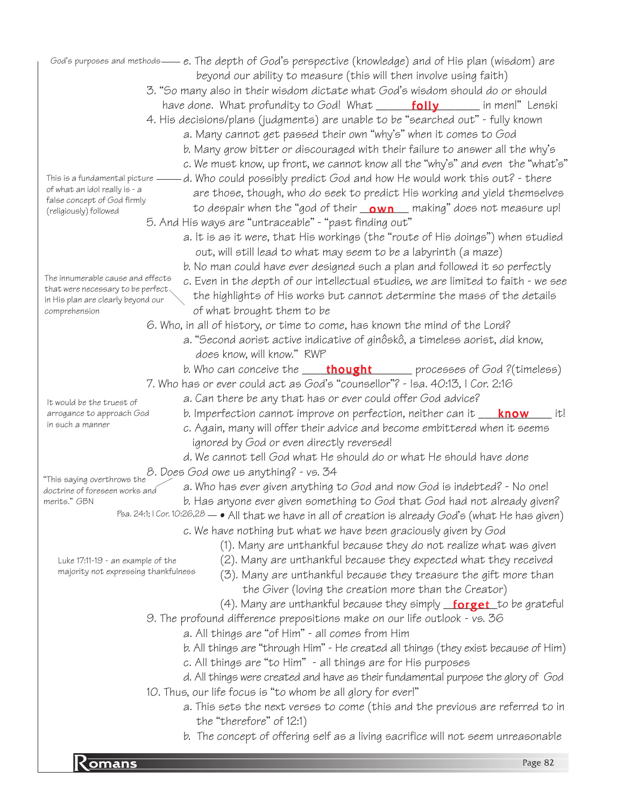particular contract to the contract of the contract of the contract of the contract of the contract of the contract of the contract of the contract of the contract of the contract of the contract of the contract of the con God's purposes and methods— e. The depth of God's perspective (knowledge) and of His plan (wisdom) are beyond our ability to measure (this will then involve using faith) 3. "So many also in their wisdom dictate what God's wisdom should do or should have done. What profundity to God! What \_\_\_\_\_\_<mark>folly</mark> \_\_\_\_\_\_ in men!" Lenski 4. His decisions/plans (judgments) are unable to be "searched out" - fully known a. Many cannot get passed their own "why's" when it comes to God b. Many grow bitter or discouraged with their failure to answer all the why's c. We must know, up front, we cannot know all the "why's" and even the "what's" d. Who could possibly predict God and how He would work this out? - there are those, though, who do seek to predict His working and yield themselves to despair when the "god of their <u>\_\_\_\_\_\_\_\_\_\_\_\_</u>\_ making" does not measure up! 5. And His ways are "untraceable" - "past finding out" a. It is as it were, that His workings (the "route of His doings") when studied out, will still lead to what may seem to be a labyrinth (a maze) b. No man could have ever designed such a plan and followed it so perfectly c. Even in the depth of our intellectual studies, we are limited to faith - we see the highlights of His works but cannot determine the mass of the details of what brought them to be 6. Who, in all of history, or time to come, has known the mind of the Lord? a. "Second aorist active indicative of ginôskô, a timeless aorist, did know, does know, will know." RWP b. Who can conceive the wicked thought state processes of God ?(timeless) 7. Who has or ever could act as God's "counsellor"? - Isa. 40:13, I Cor. 2:16 a. Can there be any that has or ever could offer God advice? b. Imperfection cannot improve on perfection, neither can it \_\_\_<mark>\_\_\_\_\_\_\_\_\_\_\_\_\_\_\_</mark> it! c. Again, many will offer their advice and become embittered when it seems ignored by God or even directly reversed! d. We cannot tell God what He should do or what He should have done 8. Does God owe us anything? - vs. 34 "This saying overthrows the a. Who has ever given anything to God and now God is indebted? - No one! b. Has anyone ever given something to God that God had not already given? Psa. 24:1; I Cor. 10:26,28  $- \bullet$  All that we have in all of creation is already God's (what He has given) c. We have nothing but what we have been graciously given by God (1). Many are unthankful because they do not realize what was given (2). Many are unthankful because they expected what they received (3). Many are unthankful because they treasure the gift more than the Giver (loving the creation more than the Creator) (4). Many are unthankful because they simply <u>\_**forget**\_</u>to be grateful 9. The profound difference prepositions make on our life outlook - vs. 36 a. All things are "of Him" - all comes from Him b. All things are "through Him" - He created all things (they exist because of Him) c. All things are "to Him" - all things are for His purposes d. All things were created and have as their fundamental purpose the glory of God 10. Thus, our life focus is "to whom be all glory for ever!" a. This sets the next verses to come (this and the previous are referred to in the "therefore" of 12:1) b. The concept of offering self as a living sacrifice will not seem unreasonable This is a fundamental picture  $$ of what an idol really is - a false concept of God firmly (religiously) followed The innumerable cause and effects that were necessary to be perfect in His plan are clearly beyond our comprehension It would be the truest of arrogance to approach God in such a manner doctrine of foreseen works and merits." GBN Luke 17:11-19 - an example of the majority not expressing thankfulness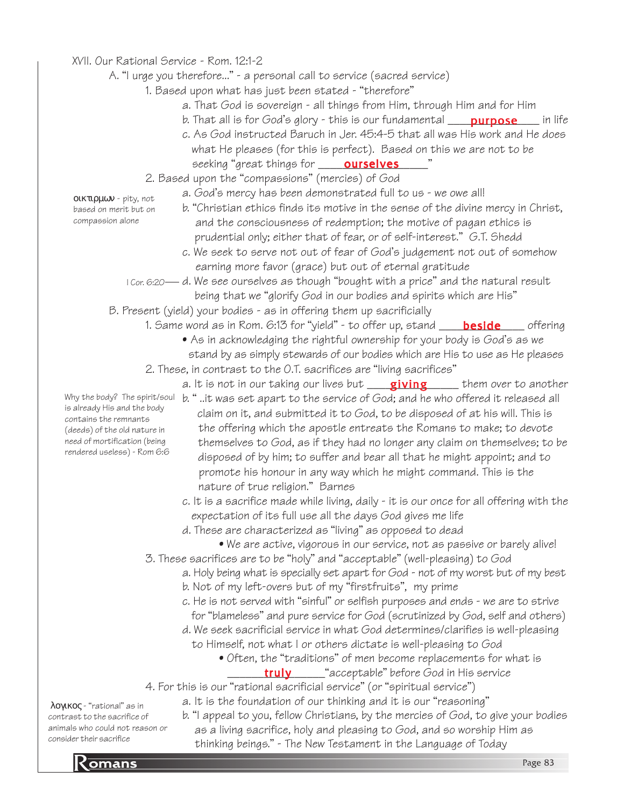## XVII. Our Rational Service - Rom. 12:1-2

## A. "I urge you therefore..." - a personal call to service (sacred service)

- 1. Based upon what has just been stated "therefore"
	- a. That God is sovereign all things from Him, through Him and for Him
	- b. That all is for God's glory this is our fundamental \_\_\_\_\_**purpose**\_\_\_\_\_ in life
	- c. As God instructed Baruch in Jer. 45:4-5 that all was His work and He does what He pleases (for this is perfect). Based on this we are not to be seeking "great things for \_\_\_\_\_**ourselves**\_\_\_\_\_"

## 2. Based upon the "compassions" (mercies) of God

- a. God's mercy has been demonstrated full to us we owe all!
- οικτιρµων pity, not based on merit but on compassion alone
- b. "Christian ethics finds its motive in the sense of the divine mercy in Christ, and the consciousness of redemption; the motive of pagan ethics is prudential only; either that of fear, or of self-interest." G.T. Shedd
- c. We seek to serve not out of fear of God's judgement not out of somehow earning more favor (grace) but out of eternal gratitude
- $\,$  I Cor. 6:20— d. We see ourselves as though "bought with a price" and the natural result being that we "glorify God in our bodies and spirits which are His"
- B. Present (yield) your bodies as in offering them up sacrificially
	- 1. Same word as in Rom. 6:13 for "yield" to offer up, stand \_\_\_\_\_<mark>beside</mark>\_\_\_\_\_ offering
		- As in acknowledging the rightful ownership for your body is God's as we stand by as simply stewards of our bodies which are His to use as He pleases
	- 2. These, in contrast to the O.T. sacrifices are "living sacrifices"
		- a. It is not in our taking our lives but \_\_\_\_<mark>giving</mark> \_\_\_\_\_ them over to another

Why the body? The spirit/soul

- b. " ..it was set apart to the service of God; and he who offered it released all claim on it, and submitted it to God, to be disposed of at his will. This is the offering which the apostle entreats the Romans to make; to devote themselves to God, as if they had no longer any claim on themselves; to be disposed of by him; to suffer and bear all that he might appoint; and to promote his honour in any way which he might command. This is the nature of true religion." Barnes
- c. It is a sacrifice made while living, daily it is our once for all offering with the expectation of its full use all the days God gives me life
- d. These are characterized as "living" as opposed to dead
	- We are active, vigorous in our service, not as passive or barely alive!
- 3. These sacrifices are to be "holy" and "acceptable" (well-pleasing) to God
	- a. Holy being what is specially set apart for God not of my worst but of my best
	- b. Not of my left-overs but of my "firstfruits", my prime
	- c. He is not served with "sinful" or selfish purposes and ends we are to strive for "blameless" and pure service for God (scrutinized by God, self and others)
	- d. We seek sacrificial service in what God determines/clarifies is well-pleasing
		- to Himself, not what I or others dictate is well-pleasing to God
			- Often, the "traditions" of men become replacements for what is **truly** \_\_\_\_\_\_\_ "acceptable" before God in His service

4. For this is our "rational sacrificial service" (or "spiritual service")

a. It is the foundation of our thinking and it is our "reasoning"

Romans Page 83 b. "I appeal to you, fellow Christians, by the mercies of God, to give your bodies as a living sacrifice, holy and pleasing to God, and so worship Him as thinking beings." - The New Testament in the Language of Today

λογικος - "rational" as in contrast to the sacrifice of animals who could not reason or consider their sacrifice

is already His and the body contains the remnants (deeds) of the old nature in need of mortification (being rendered useless) - Rom 6:6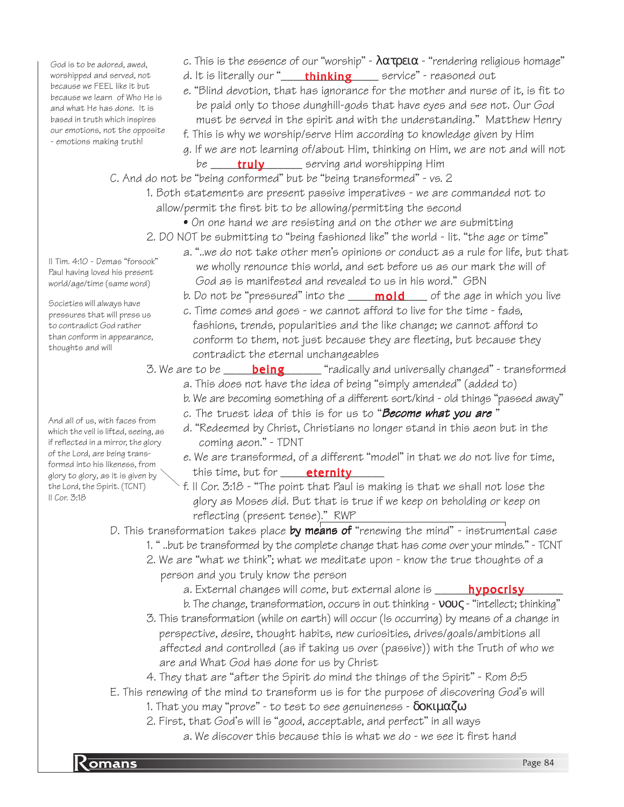God is to be adored, awed, worshipped and served, not because we FEEL like it but because we learn of Who He is and what He has done. It is based in truth which inspires our emotions, not the opposite - emotions making truth!

II Tim. 4:10 - Demas "forsook" Paul having loved his present world/age/time (same word)

Societies will always have pressures that will press us to contradict God rather than conform in appearance,

thoughts and will

II Cor. 3:18

- c. This is the essence of our "worship"  $\lambda \alpha \tau \rho \epsilon \iota \alpha$  "rendering religious homage"
- d. It is literally our "\_\_\_\_\_<mark>thinking</mark>\_\_\_\_\_\_ service" reasoned out
- e. "Blind devotion, that has ignorance for the mother and nurse of it, is fit to be paid only to those dunghill-gods that have eyes and see not. Our God must be served in the spirit and with the understanding." Matthew Henry
- f. This is why we worship/serve Him according to knowledge given by Him
- g. If we are not learning of/about Him, thinking on Him, we are not and will not be \_\_\_\_\_\_**truly** \_\_\_\_\_\_\_ serving and worshipping Him
- C. And do not be "being conformed" but be "being transformed" vs. 2
	- 1. Both statements are present passive imperatives we are commanded not to allow/permit the first bit to be allowing/permitting the second
		- On one hand we are resisting and on the other we are submitting
	- 2. DO NOT be submitting to "being fashioned like" the world lit. "the age or time"
		- a. "..we do not take other men's opinions or conduct as a rule for life, but that we wholly renounce this world, and set before us as our mark the will of God as is manifested and revealed to us in his word." GBN
		- b. Do not be "pressured" into the **\_\_\_\_\_\_\_\_\_\_\_\_\_\_\_\_**\_ of the age in which you live
		- c. Time comes and goes we cannot afford to live for the time fads, fashions, trends, popularities and the like change; we cannot afford to conform to them, not just because they are fleeting, but because they contradict the eternal unchangeables
	- 3. We are to be \_\_\_\_\_\_**being**\_\_\_\_\_\_\_ "radically and universally changed" transformed a. This does not have the idea of being "simply amended" (added to)
		- b. We are becoming something of a different sort/kind old things "passed away"
		- c. The truest idea of this is for us to "Become what you are"
		- d. "Redeemed by Christ, Christians no longer stand in this aeon but in the coming aeon." - TDNT
		- e. We are transformed, of a different "model" in that we do not live for time, this time, but for \_\_\_\_\_\_\_\_\_\_\_\_\_\_\_\_\_ eternity
		- f. II Cor. 3:18 "The point that Paul is making is that we shall not lose the glory as Moses did. But that is true if we keep on beholding or keep on reflecting (present tense)." RWP

D. This transformation takes place by means of "renewing the mind" - instrumental case

- 1. " ..but be transformed by the complete change that has come over your minds." TCNT
- 2. We are "what we think"; what we meditate upon know the true thoughts of a person and you truly know the person
	- a. External changes will come, but external alone is \_\_\_\_\_\_\_<mark>hypocrisy</mark>\_\_\_\_\_\_\_
	- b. The change, transformation, occurs in out thinking νους "intellect; thinking"
- 3. This transformation (while on earth) will occur (Is occurring) by means of a change in perspective, desire, thought habits, new curiosities, drives/goals/ambitions all affected and controlled (as if taking us over (passive)) with the Truth of who we are and What God has done for us by Christ
- 4. They that are "after the Spirit do mind the things of the Spirit" Rom 8:5
- E. This renewing of the mind to transform us is for the purpose of discovering God's will
	- 1. That you may "prove" to test to see genuineness  $\delta$  o κιμαζω
	- 2. First, that God's will is "good, acceptable, and perfect" in all ways a. We discover this because this is what we do - we see it first hand

And all of us, with faces from which the veil is lifted, seeing, as if reflected in a mirror, the glory of the Lord, are being transformed into his likeness, from glory to glory, as it is given by the Lord, the Spirit. (TCNT)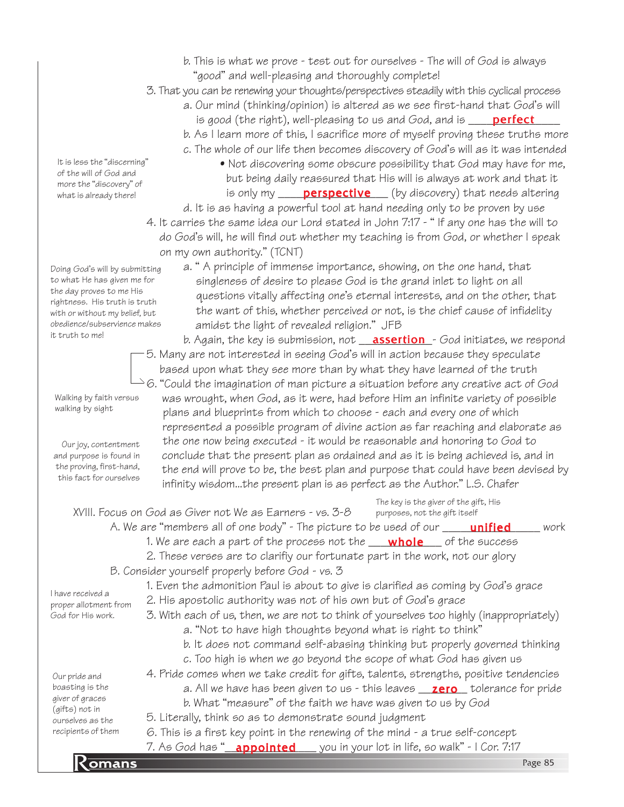- b. This is what we prove test out for ourselves The will of God is always "good" and well-pleasing and thoroughly complete!
- 3. That you can be renewing your thoughts/perspectives steadily with this cyclical process
	- a. Our mind (thinking/opinion) is altered as we see first-hand that God's will is good (the right), well-pleasing to us and God, and is \_\_\_\_\_<mark>perfect</mark>\_\_\_\_
	- b. As I learn more of this, I sacrifice more of myself proving these truths more
	- c. The whole of our life then becomes discovery of God's will as it was intended
		- Not discovering some obscure possibility that God may have for me, but being daily reassured that His will is always at work and that it is only my \_\_\_\_\_**perspective** \_\_\_ (by discovery) that needs altering
- d. It is as having a powerful tool at hand needing only to be proven by use 4. It carries the same idea our Lord stated in John 7:17 - " If any one has the will to do God's will, he will find out whether my teaching is from God, or whether I speak on my own authority." (TCNT)
	- a. " A principle of immense importance, showing, on the one hand, that singleness of desire to please God is the grand inlet to light on all questions vitally affecting one's eternal interests, and on the other, that the want of this, whether perceived or not, is the chief cause of infidelity amidst the light of revealed religion." JFB

b. Again, the key is submission, not **\_\_\_<u>assertion\_</u>-** God initiates, we respond 5. Many are not interested in seeing God's will in action because they speculate based upon what they see more than by what they have learned of the truth  $^{\triangleright}$ 6. "Could the imagination of man picture a situation before any creative act of God was wrought, when God, as it were, had before Him an infinite variety of possible plans and blueprints from which to choose - each and every one of which represented a possible program of divine action as far reaching and elaborate as the one now being executed - it would be reasonable and honoring to God to conclude that the present plan as ordained and as it is being achieved is, and in the end will prove to be, the best plan and purpose that could have been devised by infinity wisdom...the present plan is as perfect as the Author." L.S. Chafer

7. As God has "**\_appointed** \_\_\_\_you in your lot in life, so walk" - I Cor. 7:17<br>Page 85 XVIII. Focus on God as Giver not We as Earners - vs. 3-8 A. We are "members all of one body" - The picture to be used of our  $\Box$  unified work 1. We are each a part of the process not the \_\_\_\_<mark>whole</mark>\_\_\_\_ of the success 2. These verses are to clarifiy our fortunate part in the work, not our glory B. Consider yourself properly before God - vs. 3 1. Even the admonition Paul is about to give is clarified as coming by God's grace 2. His apostolic authority was not of his own but of God's grace 3. With each of us, then, we are not to think of yourselves too highly (inappropriately) a. "Not to have high thoughts beyond what is right to think" b. It does not command self-abasing thinking but properly governed thinking c. Too high is when we go beyond the scope of what God has given us 4. Pride comes when we take credit for gifts, talents, strengths, positive tendencies a. All we have has been given to us - this leaves \_\_<mark>zero\_</mark> tolerance for pride b. What "measure" of the faith we have was given to us by God 5. Literally, think so as to demonstrate sound judgment 6. This is a first key point in the renewing of the mind - a true self-concept Our pride and boasting is the giver of graces (gifts) not in ourselves as the recipients of them I have received a proper allotment from God for His work. unified The key is the giver of the gift, His purposes, not the gift itself

It is less the "discerning" of the will of God and more the "discovery" of what is already there!

Doing God's will by submitting to what He has given me for the day proves to me His rightness. His truth is truth with or without my belief, but obedience/subservience makes

Walking by faith versus walking by sight

it truth to me!

Our joy, contentment and purpose is found in the proving, first-hand, this fact for ourselves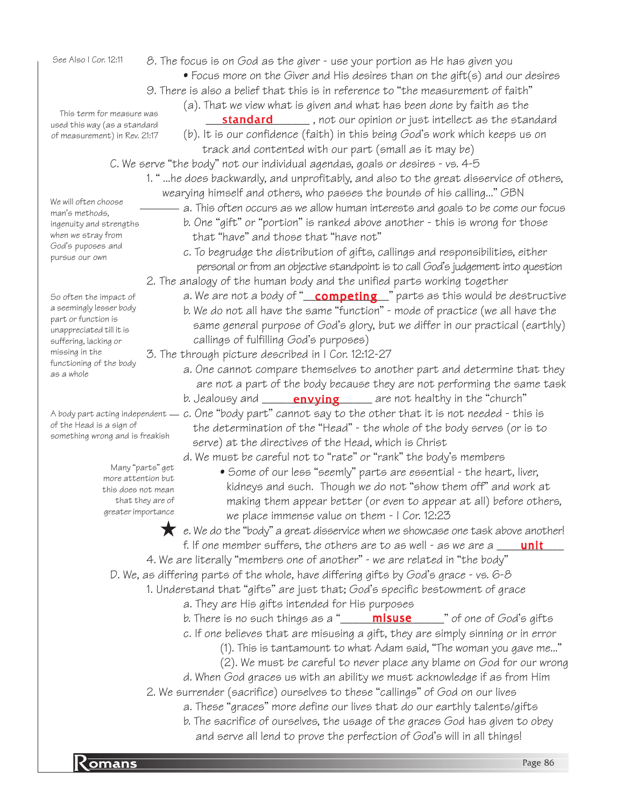See Also I Cor. 12:11

- This term for measure was used this way (as a standard of measurement) in Rev. 21:17
- 8. The focus is on God as the giver use your portion as He has given you
	- Focus more on the Giver and His desires than on the gift(s) and our desires
- 9. There is also a belief that this is in reference to "the measurement of faith"
	- (a). That we view what is given and what has been done by faith as the
	- **\_\_\_\_\_\_\_\_\_\_\_\_\_\_\_\_\_\_\_\_\_\_** , not our opinion or just intellect as the standard (b). It is our confidence (faith) in this being God's work which keeps us on track and contented with our part (small as it may be)
	- C. We serve "the body" not our individual agendas, goals or desires vs. 4-5
		- 1. " ...he does backwardly, and unprofitably, and also to the great disservice of others, wearying himself and others, who passes the bounds of his calling..." GBN
			- a. This often occurs as we allow human interests and goals to be come our focus
				- b. One "gift" or "portion" is ranked above another this is wrong for those that "have" and those that "have not"
				- c. To begrudge the distribution of gifts, callings and responsibilities, either personal or from an objective standpoint is to call God's judgement into question
			- 2. The analogy of the human body and the unified parts working together
				- a. We are not a body of "\_\_<mark>competing</mark>\_\_" parts as this would be destructive b. We do not all have the same "function" - mode of practice (we all have the same general purpose of God's glory, but we differ in our practical (earthly) callings of fulfilling God's purposes)
			- 3. The through picture described in I Cor. 12:12-27
				- a. One cannot compare themselves to another part and determine that they are not a part of the body because they are not performing the same task b. Jealousy and \_\_\_\_\_\_**envying**\_\_\_\_\_\_ are not healthy in the "church"
- A body part acting independent  $=$  c. One "body part" cannot say to the other that it is not needed this is the determination of the "Head" - the whole of the body serves (or is to serve) at the directives of the Head, which is Christ

d. We must be careful not to "rate" or "rank" the body's members

• Some of our less "seemly" parts are essential - the heart, liver, kidneys and such. Though we do not "show them off" and work at making them appear better (or even to appear at all) before others, we place immense value on them - I Cor. 12:23

 $\star$  e. We do the "body" a great disservice when we showcase one task above another! f. If one member suffers, the others are to as well - as we are a <u>\_\_\_\_**unit**\_\_\_</u>

4. We are literally "members one of another" - we are related in "the body"

D. We, as differing parts of the whole, have differing gifts by God's grace - vs. 6-8

1. Understand that "gifts" are just that; God's specific bestowment of grace

- a. They are His gifts intended for His purposes
- b. There is no such things as a "\_\_\_\_\_\_<mark>misuse</mark>\_\_\_\_\_\_" of one of God's gifts
- c. If one believes that are misusing a gift, they are simply sinning or in error
	- (1). This is tantamount to what Adam said, "The woman you gave me..."
	- (2). We must be careful to never place any blame on God for our wrong
- d. When God graces us with an ability we must acknowledge if as from Him 2. We surrender (sacrifice) ourselves to these "callings" of God on our lives
	- a. These "graces" more define our lives that do our earthly talents/gifts
	- b. The sacrifice of ourselves, the usage of the graces God has given to obey
	- and serve all lend to prove the perfection of God's will in all things!

So often the impact of ingenuity and strengths when we stray from God's puposes and pursue our own

We will often choose man's methods,

a seemingly lesser body part or function is unappreciated till it is suffering, lacking or missing in the functioning of the body as a whole

of the Head is a sign of something wrong and is freakish

> Many "parts" get more attention but this does not mean that they are of greater importance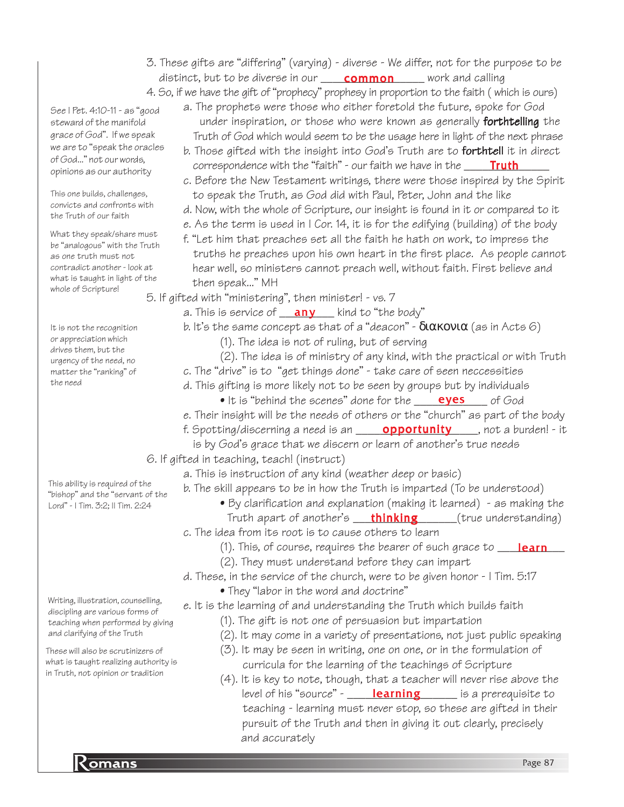- 3. These gifts are "differing" (varying) diverse We differ, not for the purpose to be distinct, but to be diverse in our \_\_\_\_\_\_\_\_\_\_\_\_\_\_\_\_\_\_\_\_\_\_\_\_\_\_ work and calling
- 4. So, if we have the gift of "prophecy" prophesy in proportion to the faith ( which is ours)

See I Pet. 4:10-11 - as "good steward of the manifold grace of God". If we speak we are to "speak the oracles of God..." not our words, opinions as our authority

This one builds, challenges, convicts and confronts with the Truth of our faith

What they speak/share must be "analogous" with the Truth as one truth must not contradict another - look at what is taught in light of the whole of Scripture!

It is not the recognition or appreciation which drives them, but the urgency of the need, no matter the "ranking" of the need

This ability is required of the "bishop" and the "servant of the Lord" - I Tim. 3:2; II Tim. 2:24

Writing, illustration, counselling, discipling are various forms of teaching when performed by giving and clarifying of the Truth

These will also be scrutinizers of what is taught realizing authority is in Truth, not opinion or tradition

- a. The prophets were those who either foretold the future, spoke for God under inspiration, or those who were known as generally **forthtelling** the Truth of God which would seem to be the usage here in light of the next phrase
- b. Those gifted with the insight into God's Truth are to **forthtell** it in direct correspondence with the "faith" - our faith we have in the \_\_\_\_\_\_<mark>Truth</mark>\_\_\_\_\_
- c. Before the New Testament writings, there were those inspired by the Spirit to speak the Truth, as God did with Paul, Peter, John and the like
- d. Now, with the whole of Scripture, our insight is found in it or compared to it
- e. As the term is used in I Cor. 14, it is for the edifying (building) of the body
- f. "Let him that preaches set all the faith he hath on work, to impress the truths he preaches upon his own heart in the first place. As people cannot hear well, so ministers cannot preach well, without faith. First believe and then speak..." MH
- 5. If gifted with "ministering", then minister! vs. 7
	- a. This is service of \_\_<mark>\_any</mark> \_\_\_\_ kind to "the body"
		- b. It's the same concept as that of a "deacon"  $\delta$ ιακονια (as in Acts 6)
			- (1). The idea is not of ruling, but of serving
			- (2). The idea is of ministry of any kind, with the practical or with Truth
		- c. The "drive" is to "get things done" take care of seen neccessities
		- d. This gifting is more likely not to be seen by groups but by individuals
			- It is "behind the scenes" done for the <u>eyes</u> of God
		- e. Their insight will be the needs of others or the "church" as part of the body
		- f. Spotting/discerning a need is an **\_\_\_\_\_\_\_\_\_\_\_\_\_\_\_\_\_\_\_\_\_\_\_\_\_\_\_\_**, not a burden! it
			- is by God's grace that we discern or learn of another's true needs
- 6. If gifted in teaching, teach! (instruct)
	- a. This is instruction of any kind (weather deep or basic)
	- b. The skill appears to be in how the Truth is imparted (To be understood)
		- By clarification and explanation (making it learned) as making the Truth apart of another's **thinking** (true understanding)
	- c. The idea from its root is to cause others to learn
		- (1). This, of course, requires the bearer of such grace to **\_\_\_<mark>\_\_\_\_\_\_\_\_\_\_\_\_\_\_\_\_\_</mark>\_\_\_\_**
		- (2). They must understand before they can impart
	- d. These, in the service of the church, were to be given honor I Tim. 5:17
		- They "labor in the word and doctrine"

e. It is the learning of and understanding the Truth which builds faith

- (1). The gift is not one of persuasion but impartation
- (2). It may come in a variety of presentations, not just public speaking
- (3). It may be seen in writing, one on one, or in the formulation of curricula for the learning of the teachings of Scripture
- (4). It is key to note, though, that a teacher will never rise above the level of his "source" - \_\_\_\_\_**learning** \_\_\_\_\_\_ is a prerequisite to teaching - learning must never stop, so these are gifted in their pursuit of the Truth and then in giving it out clearly, precisely and accurately

**Romans** Page 87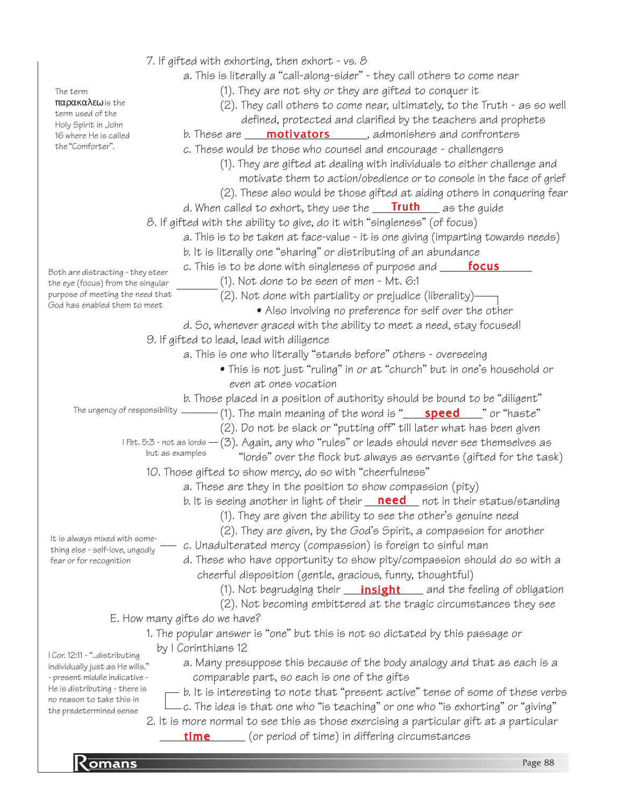| The term<br>παρακαλεω is the<br>term used of the<br>Holy Spirit in John<br>16 where He is called<br>the "Comforter". | 7. If gifted with exhorting, then exhort - vs. $\beta$<br>a. This is literally a "call-along-sider" - they call others to come near<br>(1). They are not shy or they are gifted to conquer it<br>(2). They call others to come near, ultimately, to the Truth - as so well<br>defined, protected and clarified by the teachers and prophets<br>b. These are <b>____ motivators</b> ______, admonishers and confronters<br>c. These would be those who counsel and encourage - challengers<br>(1). They are gifted at dealing with individuals to either challenge and<br>motivate them to action/obedience or to console in the face of grief<br>(2). These also would be those gifted at aiding others in conquering fear |
|----------------------------------------------------------------------------------------------------------------------|----------------------------------------------------------------------------------------------------------------------------------------------------------------------------------------------------------------------------------------------------------------------------------------------------------------------------------------------------------------------------------------------------------------------------------------------------------------------------------------------------------------------------------------------------------------------------------------------------------------------------------------------------------------------------------------------------------------------------|
|                                                                                                                      | d. When called to exhort, they use the $\frac{$ <b>Truth</b> as the guide                                                                                                                                                                                                                                                                                                                                                                                                                                                                                                                                                                                                                                                  |
|                                                                                                                      | 8. If gifted with the ability to give, do it with "singleness" (of focus)                                                                                                                                                                                                                                                                                                                                                                                                                                                                                                                                                                                                                                                  |
|                                                                                                                      | a. This is to be taken at face-value - it is one giving (imparting towards needs)                                                                                                                                                                                                                                                                                                                                                                                                                                                                                                                                                                                                                                          |
|                                                                                                                      | b. It is literally one "sharing" or distributing of an abundance                                                                                                                                                                                                                                                                                                                                                                                                                                                                                                                                                                                                                                                           |
| Both are distracting - they steer                                                                                    | c. This is to be done with singleness of purpose and <b>_____focus</b>                                                                                                                                                                                                                                                                                                                                                                                                                                                                                                                                                                                                                                                     |
| the eye (focus) from the singular                                                                                    | (1). Not done to be seen of men - Mt. 6:1                                                                                                                                                                                                                                                                                                                                                                                                                                                                                                                                                                                                                                                                                  |
| purpose of meeting the need that<br>God has enabled them to meet                                                     | (2). Not done with partiality or prejudice (liberality)-                                                                                                                                                                                                                                                                                                                                                                                                                                                                                                                                                                                                                                                                   |
|                                                                                                                      | • Also involving no preference for self over the other                                                                                                                                                                                                                                                                                                                                                                                                                                                                                                                                                                                                                                                                     |
|                                                                                                                      | d. So, whenever graced with the ability to meet a need, stay focused!                                                                                                                                                                                                                                                                                                                                                                                                                                                                                                                                                                                                                                                      |
|                                                                                                                      | 9. If gifted to lead, lead with diligence                                                                                                                                                                                                                                                                                                                                                                                                                                                                                                                                                                                                                                                                                  |
|                                                                                                                      | a. This is one who literally "stands before" others - overseeing                                                                                                                                                                                                                                                                                                                                                                                                                                                                                                                                                                                                                                                           |
|                                                                                                                      | • This is not just "ruling" in or at "church" but in one's household or<br>even at ones vocation                                                                                                                                                                                                                                                                                                                                                                                                                                                                                                                                                                                                                           |
|                                                                                                                      | b. Those placed in a position of authority should be bound to be "diligent"                                                                                                                                                                                                                                                                                                                                                                                                                                                                                                                                                                                                                                                |
| The urgency of responsibility _                                                                                      |                                                                                                                                                                                                                                                                                                                                                                                                                                                                                                                                                                                                                                                                                                                            |
|                                                                                                                      | (2). Do not be slack or "putting off" till later what has been given                                                                                                                                                                                                                                                                                                                                                                                                                                                                                                                                                                                                                                                       |
|                                                                                                                      | $I$ Pet. 5:3 - not as lords $-(3)$ . Again, any who "rules" or leads should never see themselves as                                                                                                                                                                                                                                                                                                                                                                                                                                                                                                                                                                                                                        |
|                                                                                                                      | but as examples<br>"lords" over the flock but always as servants (gifted for the task)                                                                                                                                                                                                                                                                                                                                                                                                                                                                                                                                                                                                                                     |
|                                                                                                                      | 10. Those gifted to show mercy, do so with "cheerfulness"                                                                                                                                                                                                                                                                                                                                                                                                                                                                                                                                                                                                                                                                  |
|                                                                                                                      | a. These are they in the position to show compassion (pity)                                                                                                                                                                                                                                                                                                                                                                                                                                                                                                                                                                                                                                                                |
|                                                                                                                      | b. It is seeing another in light of their <b>need</b> not in their status/standing                                                                                                                                                                                                                                                                                                                                                                                                                                                                                                                                                                                                                                         |
|                                                                                                                      | (1). They are given the ability to see the other's genuine need                                                                                                                                                                                                                                                                                                                                                                                                                                                                                                                                                                                                                                                            |
|                                                                                                                      | (2). They are given, by the God's Spirit, a compassion for another                                                                                                                                                                                                                                                                                                                                                                                                                                                                                                                                                                                                                                                         |
| It is always mixed with some-<br>thing else - self-love, ungodly                                                     | c. Unadulterated mercy (compassion) is foreign to sinful man                                                                                                                                                                                                                                                                                                                                                                                                                                                                                                                                                                                                                                                               |
| fear or for recognition                                                                                              | d. These who have opportunity to show pity/compassion should do so with a                                                                                                                                                                                                                                                                                                                                                                                                                                                                                                                                                                                                                                                  |
|                                                                                                                      | cheerful disposition (gentle, gracious, funny, thoughtful)                                                                                                                                                                                                                                                                                                                                                                                                                                                                                                                                                                                                                                                                 |
|                                                                                                                      | (1). Not begrudging their $\frac{inlight}{}$ and the feeling of obligation                                                                                                                                                                                                                                                                                                                                                                                                                                                                                                                                                                                                                                                 |
|                                                                                                                      | (2). Not becoming embittered at the tragic circumstances they see                                                                                                                                                                                                                                                                                                                                                                                                                                                                                                                                                                                                                                                          |
|                                                                                                                      | E. How many gifts do we have?                                                                                                                                                                                                                                                                                                                                                                                                                                                                                                                                                                                                                                                                                              |
|                                                                                                                      | 1. The popular answer is "one" but this is not so dictated by this passage or                                                                                                                                                                                                                                                                                                                                                                                                                                                                                                                                                                                                                                              |
| I Cor. 12:11 - "distributing                                                                                         | by I Corinthians 12                                                                                                                                                                                                                                                                                                                                                                                                                                                                                                                                                                                                                                                                                                        |
| individually just as He wills."                                                                                      | a. Many presuppose this because of the body analogy and that as each is a                                                                                                                                                                                                                                                                                                                                                                                                                                                                                                                                                                                                                                                  |
| - present middle indicative -<br>He is distributing - there is                                                       | comparable part, so each is one of the gifts                                                                                                                                                                                                                                                                                                                                                                                                                                                                                                                                                                                                                                                                               |
| no reason to take this in                                                                                            | $-$ b. It is interesting to note that "present active" tense of some of these verbs                                                                                                                                                                                                                                                                                                                                                                                                                                                                                                                                                                                                                                        |
| the predetermined sense                                                                                              | -c. The idea is that one who "is teaching" or one who "is exhorting" or "giving"<br>2. It is more normal to see this as those exercising a particular gift at a particular                                                                                                                                                                                                                                                                                                                                                                                                                                                                                                                                                 |
|                                                                                                                      | <b>time</b> (or period of time) in differing circumstances                                                                                                                                                                                                                                                                                                                                                                                                                                                                                                                                                                                                                                                                 |
|                                                                                                                      |                                                                                                                                                                                                                                                                                                                                                                                                                                                                                                                                                                                                                                                                                                                            |
| $K$ omans                                                                                                            | Page 88                                                                                                                                                                                                                                                                                                                                                                                                                                                                                                                                                                                                                                                                                                                    |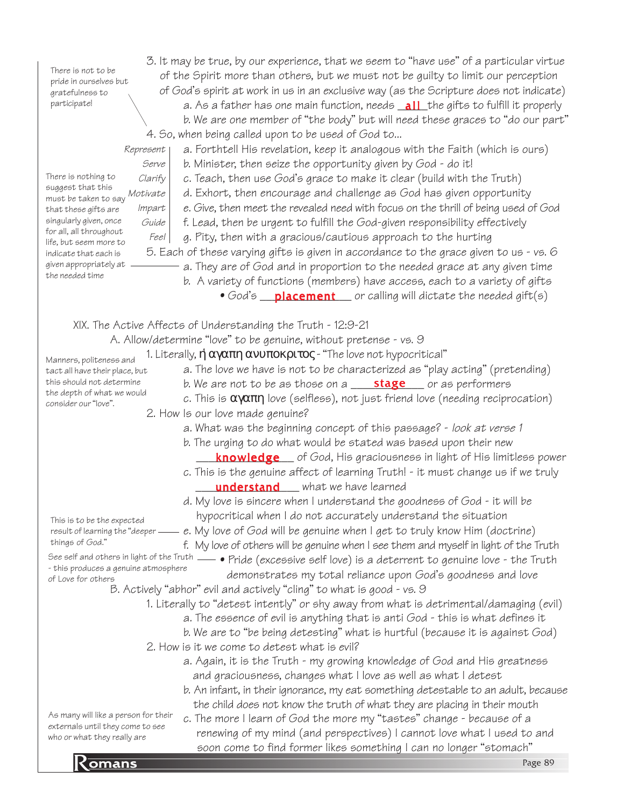There is not to be pride in ourselves but gratefulness to participate!

3. It may be true, by our experience, that we seem to "have use" of a particular virtue of the Spirit more than others, but we must not be guilty to limit our perception of God's spirit at work in us in an exclusive way (as the Scripture does not indicate) a. As a father has one main function, needs <u>\_**all\_**the gifts to fulfill it properl</u>y b. We are one member of "the body" but will need these graces to "do our part" 4. So, when being called upon to be used of God to...

a. Forthtell His revelation, keep it analogous with the Faith (which is ours)

b. Minister, then seize the opportunity given by God - do it!

Represent

Serve Clarify suggest that this Motivate Impart Guide Feel There is nothing to must be taken to say that these gifts are singularly given, once for all, all throughout life, but seem more to indicate that each is given appropriately at the needed time

tact all have their place, but this should not determine the depth of what we would consider our "love".

c. Teach, then use God's grace to make it clear (build with the Truth) d. Exhort, then encourage and challenge as God has given opportunity e. Give, then meet the revealed need with focus on the thrill of being used of God f. Lead, then be urgent to fulfill the God-given responsibility effectively g. Pity, then with a gracious/cautious approach to the hurting 5. Each of these varying gifts is given in accordance to the grace given to us - vs. 6

a. They are of God and in proportion to the needed grace at any given time

b. A variety of functions (members) have access, each to a variety of gifts

• God's <u>placement</u> or calling will dictate the needed gift(s)

XIX. The Active Affects of Understanding the Truth - 12:9-21

A. Allow/determine "love" to be genuine, without pretense - vs. 9

1. Literally,  $\mathfrak{\eta}$  αγαπη ανυποκριτος - "The love not hypocritical" Manners, politeness and

- a. The love we have is not to be characterized as "play acting" (pretending)
	- b. We are not to be as those on a **\_\_\_\_\_\_stage** \_\_\_\_ or as performers
- c. This is  $\alpha\gamma\alpha\pi\eta$  love (selfless), not just friend love (needing reciprocation)
- 2. How Is our love made genuine?
	- a. What was the beginning concept of this passage? look at verse 1
	- b. The urging to do what would be stated was based upon their new
	- **knowledge** of God, His graciousness in light of His limitless power
	- c. This is the genuine affect of learning Truth! it must change us if we truly **understand** what we have learned

d. My love is sincere when I understand the goodness of God - it will be hypocritical when I do not accurately understand the situation

This is to be the expected result of learning the "deeper things of God."

e. My love of God will be genuine when I get to truly know Him (doctrine) f. My love of others will be genuine when I see them and myself in light of the Truth • Pride (excessive self love) is a deterrent to genuine love - the Truth

See self and others in light of the Truth - this produces a genuine atmosphere of Love for others

- demonstrates my total reliance upon God's goodness and love B. Actively "abhor" evil and actively "cling" to what is good - vs. 9
	- 1. Literally to "detest intently" or shy away from what is detrimental/damaging (evil)
		- a. The essence of evil is anything that is anti God this is what defines it
			- b. We are to "be being detesting" what is hurtful (because it is against God)
	- 2. How is it we come to detest what is evil?
		- a. Again, it is the Truth my growing knowledge of God and His greatness and graciousness, changes what I love as well as what I detest
		- b. An infant, in their ignorance, my eat something detestable to an adult, because the child does not know the truth of what they are placing in their mouth

As many will like a person for their externals until they come to see who or what they really are

soon come to find former likes something I can no longer "stomach"<br>Page 89 c. The more I learn of God the more my "tastes" change - because of a renewing of my mind (and perspectives) I cannot love what I used to and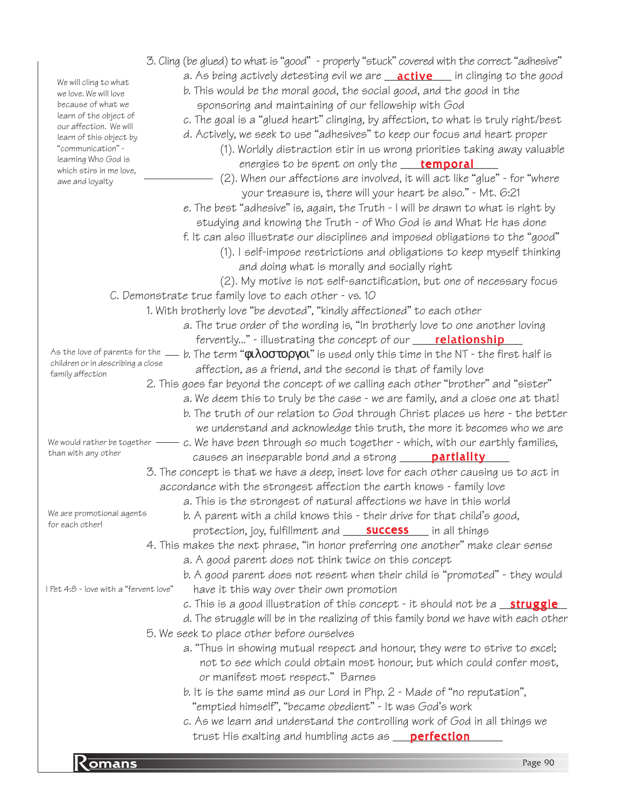| <u>Komans</u>                                                         | Page 90                                                                                                                                                               |
|-----------------------------------------------------------------------|-----------------------------------------------------------------------------------------------------------------------------------------------------------------------|
|                                                                       | trust His exalting and humbling acts as <b>perfection</b>                                                                                                             |
|                                                                       | c. As we learn and understand the controlling work of God in all things we                                                                                            |
|                                                                       | "emptied himself", "became obedient" - It was God's work                                                                                                              |
|                                                                       | b. It is the same mind as our Lord in Php. 2 - Made of "no reputation",                                                                                               |
|                                                                       | not to see which could obtain most honour, but which could confer most,<br>or manifest most respect." Barnes                                                          |
|                                                                       | a. "Thus in showing mutual respect and honour, they were to strive to excel;                                                                                          |
|                                                                       | 5. We seek to place other before ourselves                                                                                                                            |
|                                                                       | d. The struggle will be in the realizing of this family bond we have with each other                                                                                  |
|                                                                       | c. This is a good illustration of this concept - it should not be a struggle                                                                                          |
| I Pet 4:8 - love with a "fervent love"                                | have it this way over their own promotion                                                                                                                             |
|                                                                       | a. A good parent does not think twice on this concept<br>b. A good parent does not resent when their child is "promoted" - they would                                 |
|                                                                       | 4. This makes the next phrase, "in honor preferring one another" make clear sense                                                                                     |
|                                                                       | protection, joy, fulfillment and <b>__________________</b> in all things                                                                                              |
| We are promotional agents<br>for each other!                          | b. A parent with a child knows this - their drive for that child's good,                                                                                              |
|                                                                       | a. This is the strongest of natural affections we have in this world                                                                                                  |
|                                                                       | accordance with the strongest affection the earth knows - family love                                                                                                 |
|                                                                       | 3. The concept is that we have a deep, inset love for each other causing us to act in                                                                                 |
| than with any other                                                   | causes an inseparable bond and a strong <b>_____ partiality</b>                                                                                                       |
| We would rather be together                                           | c. We have been through so much together - which, with our earthly families,                                                                                          |
|                                                                       | we understand and acknowledge this truth, the more it becomes who we are                                                                                              |
|                                                                       | b. The truth of our relation to God through Christ places us here - the better                                                                                        |
|                                                                       | 2. This goes far beyond the concept of we calling each other "brother" and "sister"<br>a. We deem this to truly be the case - we are family, and a close one at that! |
| family affection                                                      | affection, as a friend, and the second is that of family love                                                                                                         |
| As the love of parents for the _<br>children or in describing a close | b. The term " $\phi$ <b>l</b> $\lambda$ <b>ootopyol</b> " is used only this time in the NT - the first half is                                                        |
|                                                                       | fervently" - illustrating the concept of our <b>____ relationship</b>                                                                                                 |
|                                                                       | a. The true order of the wording is, "In brotherly love to one another loving                                                                                         |
|                                                                       | 1. With brotherly love "be devoted", "kindly affectioned" to each other                                                                                               |
|                                                                       | C. Demonstrate true family love to each other - vs. 10                                                                                                                |
|                                                                       | (2). My motive is not self-sanctification, but one of necessary focus                                                                                                 |
|                                                                       | and doing what is morally and socially right                                                                                                                          |
|                                                                       | (1). I self-impose restrictions and obligations to keep myself thinking                                                                                               |
|                                                                       | f. It can also illustrate our disciplines and imposed obligations to the "good"                                                                                       |
|                                                                       | studying and knowing the Truth - of Who God is and What He has done                                                                                                   |
|                                                                       | e. The best "adhesive" is, again, the Truth - I will be drawn to what is right by                                                                                     |
| awe and loyalty                                                       | your treasure is, there will your heart be also." - Mt. 6:21                                                                                                          |
| which stirs in me love,                                               | (2). When our affections are involved, it will act like "glue" - for "where                                                                                           |
| "communication" -<br>learning Who God is                              | (1). Worldly distraction stir in us wrong priorities taking away valuable<br>energies to be spent on only the <b>temporal</b>                                         |
| learn of this object by                                               | d. Actively, we seek to use "adhesives" to keep our focus and heart proper                                                                                            |
| learn of the object of<br>our affection. We will                      | c. The goal is a "glued heart" clinging, by affection, to what is truly right/best                                                                                    |
| because of what we                                                    | sponsoring and maintaining of our fellowship with God                                                                                                                 |
| we love. We will love                                                 | b. This would be the moral good, the social good, and the good in the                                                                                                 |
| We will cling to what                                                 | a. As being actively detesting evil we are <b>active</b> in clinging to the good                                                                                      |
|                                                                       | 3. Cling (be glued) to what is "good" - properly "stuck" covered with the correct "adhesive"                                                                          |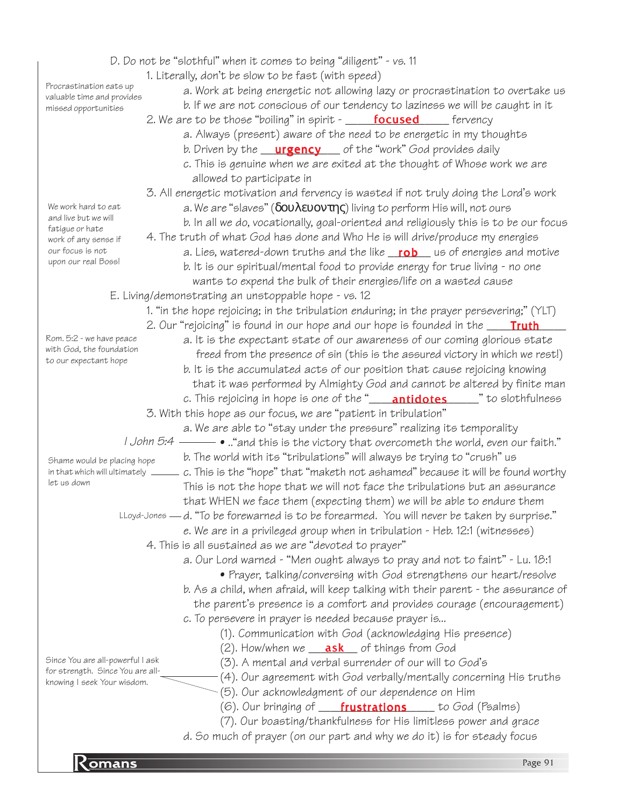|                                                                      | D. Do not be "slothful" when it comes to being "diligent" - vs. 11                                                  |
|----------------------------------------------------------------------|---------------------------------------------------------------------------------------------------------------------|
|                                                                      | 1. Literally, don't be slow to be fast (with speed)                                                                 |
| Procrastination eats up<br>valuable time and provides                | a. Work at being energetic not allowing lazy or procrastination to overtake us                                      |
| missed opportunities                                                 | b. If we are not conscious of our tendency to laziness we will be caught in it                                      |
|                                                                      | 2. We are to be those "boiling" in spirit - <b>focused</b> fervency                                                 |
|                                                                      | a. Always (present) aware of the need to be energetic in my thoughts                                                |
|                                                                      | b. Driven by the <b>urgency</b> of the "work" God provides daily                                                    |
|                                                                      | c. This is genuine when we are exited at the thought of Whose work we are                                           |
|                                                                      | allowed to participate in                                                                                           |
|                                                                      | 3. All energetic motivation and fervency is wasted if not truly doing the Lord's work                               |
| We work hard to eat                                                  | a. We are "slaves" ( $\delta$ ov $\lambda$ <i>E</i> vov $\tau$ n $\varsigma$ ) living to perform His will, not ours |
| and live but we will                                                 | b. In all we do, vocationally, goal-oriented and religiously this is to be our focus                                |
| fatigue or hate                                                      | 4. The truth of what God has done and Who He is will drive/produce my energies                                      |
| work of any sense if<br>our focus is not                             | a. Lies, watered-down truths and the like rob us of energies and motive                                             |
| upon our real Boss!                                                  | b. It is our spiritual/mental food to provide energy for true living - no one                                       |
|                                                                      |                                                                                                                     |
|                                                                      | wants to expend the bulk of their energies/life on a wasted cause                                                   |
|                                                                      | E. Living/demonstrating an unstoppable hope - vs. 12                                                                |
|                                                                      | 1. "in the hope rejoicing; in the tribulation enduring; in the prayer persevering;" (YLT)                           |
| Rom. 5:2 - we have peace                                             | 2. Our "rejoicing" is found in our hope and our hope is founded in the <b>Truth</b>                                 |
| with God, the foundation                                             | a. It is the expectant state of our awareness of our coming glorious state                                          |
| to our expectant hope                                                | freed from the presence of sin (this is the assured victory in which we rest!)                                      |
|                                                                      | b. It is the accumulated acts of our position that cause rejoicing knowing                                          |
|                                                                      | that it was performed by Almighty God and cannot be altered by finite man                                           |
|                                                                      | c. This rejoicing in hope is one of the " <b>_____antidotes</b> _______" to slothfulness                            |
|                                                                      | 3. With this hope as our focus, we are "patient in tribulation"                                                     |
|                                                                      | a. We are able to "stay under the pressure" realizing its temporality                                               |
|                                                                      | <i>I John 5:4</i> $\_\_\_\_\$ and this is the victory that overcometh the world, even our faith."                   |
| Shame would be placing hope                                          | b. The world with its "tribulations" will always be trying to "crush" us                                            |
| in that which will ultimately<br>let us down                         | c. This is the "hope" that "maketh not ashamed" because it will be found worthy                                     |
|                                                                      | This is not the hope that we will not face the tribulations but an assurance                                        |
|                                                                      | that WHEN we face them (expecting them) we will be able to endure them                                              |
|                                                                      | LLoyd-Jones — d. "To be forewarned is to be forearmed. You will never be taken by surprise."                        |
|                                                                      | e. We are in a privileged group when in tribulation - Heb. 12:1 (witnesses)                                         |
|                                                                      | 4. This is all sustained as we are "devoted to prayer"                                                              |
|                                                                      | a. Our Lord warned - "Men ought always to pray and not to faint" - Lu. 18:1                                         |
|                                                                      | • Prayer, talking/conversing with God strengthens our heart/resolve                                                 |
|                                                                      | b. As a child, when afraid, will keep talking with their parent - the assurance of                                  |
|                                                                      | the parent's presence is a comfort and provides courage (encouragement)                                             |
|                                                                      | c. To persevere in prayer is needed because prayer is                                                               |
|                                                                      | (1). Communication with God (acknowledging His presence)                                                            |
|                                                                      | (2). How/when we <b>ask</b> of things from God                                                                      |
| Since You are all-powerful I ask<br>for strength. Since You are all- | (3). A mental and verbal surrender of our will to God's                                                             |
| knowing I seek Your wisdom.                                          | (4). Our agreement with God verbally/mentally concerning His truths                                                 |
|                                                                      | (5). Our acknowledgment of our dependence on Him                                                                    |
|                                                                      | (6). Our bringing of <b>____frustrations</b> _____ to God (Psalms)                                                  |
|                                                                      | (7). Our boasting/thankfulness for His limitless power and grace                                                    |
|                                                                      | d. So much of prayer (on our part and why we do it) is for steady focus                                             |
|                                                                      |                                                                                                                     |
| <b>Zomans</b>                                                        | Page 91                                                                                                             |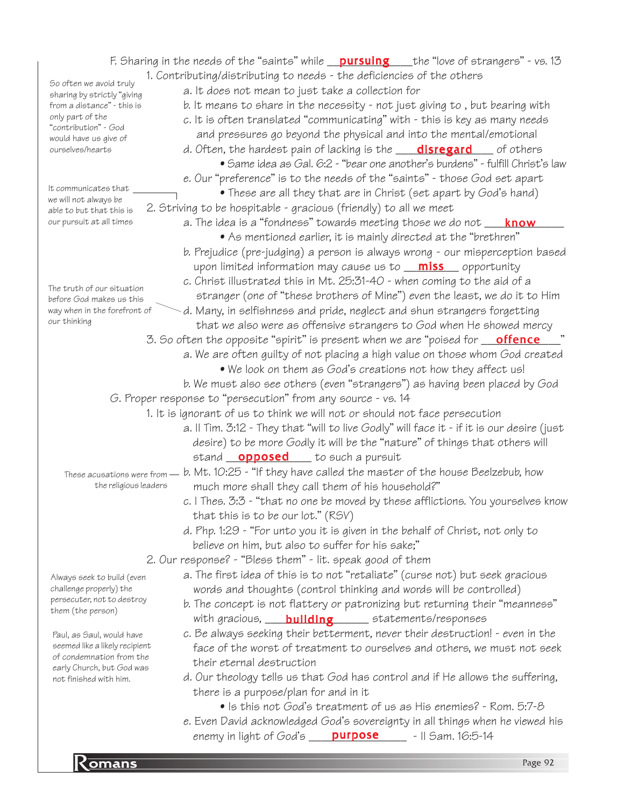particular company of the company of the company of the company of the company of the company of the company of the company of the company of the company of the company of the company of the company of the company of the c F. Sharing in the needs of the "saints" while \_\_<mark>pursuing</mark> \_\_\_the "love of strangers" - vs. 13 1. Contributing/distributing to needs - the deficiencies of the others a. It does not mean to just take a collection for b. It means to share in the necessity - not just giving to , but bearing with c. It is often translated "communicating" with - this is key as many needs and pressures go beyond the physical and into the mental/emotional d. Often, the hardest pain of lacking is the **\_\_\_\_\_disregard** \_\_\_\_\_ of others • Same idea as Gal. 6:2 - "bear one another's burdens" - fulfill Christ's law e. Our "preference" is to the needs of the "saints" - those God set apart • These are all they that are in Christ (set apart by God's hand) 2. Striving to be hospitable - gracious (friendly) to all we meet a. The idea is a "fondness" towards meeting those we do not \_\_\_\_<mark>know</mark>\_\_\_\_\_ • As mentioned earlier, it is mainly directed at the "brethren" b. Prejudice (pre-judging) a person is always wrong - our misperception based upon limited information may cause us to <u>miss</u> opportunity c. Christ illustrated this in Mt. 25:31-40 - when coming to the aid of a stranger (one of "these brothers of Mine") even the least, we do it to Him d. Many, in selfishness and pride, neglect and shun strangers forgetting that we also were as offensive strangers to God when He showed mercy 3. So often the opposite "spirit" is present when we are "poised for <u>go**ffence** sa</u>" a. We are often guilty of not placing a high value on those whom God created • We look on them as God's creations not how they affect us! b. We must also see others (even "strangers") as having been placed by God G. Proper response to "persecution" from any source - vs. 14 1. It is ignorant of us to think we will not or should not face persecution a. II Tim. 3:12 - They that "will to live Godly" will face it - if it is our desire (just desire) to be more Godly it will be the "nature" of things that others will stand <u>opposed</u> to such a pursuit These acusations were from  $=$  b. Mt. 10:25 - "If they have called the master of the house Beelzebub, how much more shall they call them of his household?" c. I Thes. 3:3 - "that no one be moved by these afflictions. You yourselves know that this is to be our lot." (RSV) d. Php. 1:29 - "For unto you it is given in the behalf of Christ, not only to believe on him, but also to suffer for his sake;" 2. Our response? - "Bless them" - lit. speak good of them a. The first idea of this is to not "retaliate" (curse not) but seek gracious words and thoughts (control thinking and words will be controlled) b. The concept is not flattery or patronizing but returning their "meanness" with gracious, \_\_\_\_\_\_\_\_\_\_\_\_\_\_\_\_\_ statements/responses building c. Be always seeking their betterment, never their destruction! - even in the face of the worst of treatment to ourselves and others, we must not seek their eternal destruction d. Our theology tells us that God has control and if He allows the suffering, there is a purpose/plan for and in it • Is this not God's treatment of us as His enemies? - Rom. 5:7-8 e. Even David acknowledged God's sovereignty in all things when he viewed his enemy in light of God's \_\_\_\_\_<mark>purpose</mark> \_\_\_\_\_\_- || Sam. 16:5-14 So often we avoid truly sharing by strictly "giving from a distance" - this is only part of the "contribution" - God would have us give of ourselves/hearts The truth of our situation before God makes us this way when in the forefront of our thinking It communicates that we will not always be able to but that this is our pursuit at all times the religious leaders Paul, as Saul, would have seemed like a likely recipient of condemnation from the early Church, but God was not finished with him. Always seek to build (even challenge properly) the persecuter, not to destroy them (the person)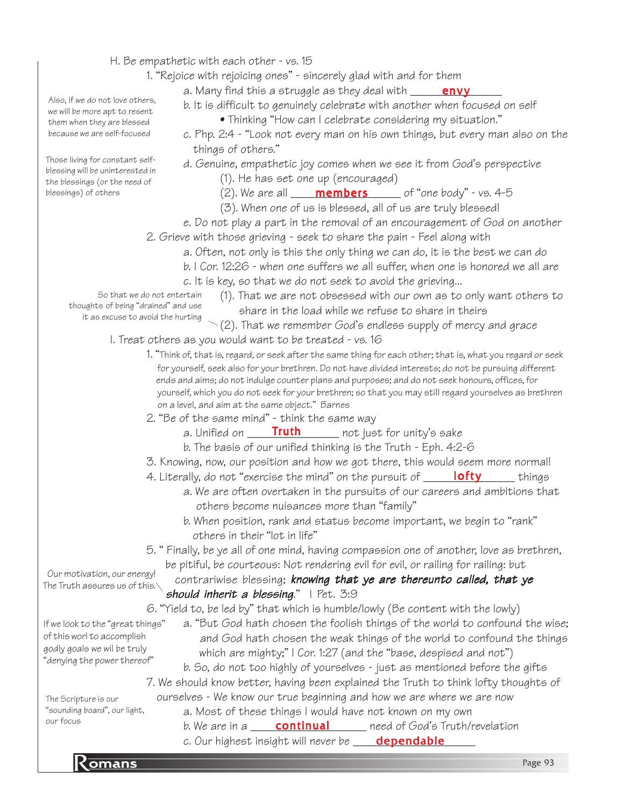- H. Be empathetic with each other vs. 15
	- 1. "Rejoice with rejoicing ones" sincerely glad with and for them

a. Many find this a struggle as they deal with \_\_\_\_\_\_<mark>envy</mark>\_\_\_\_\_

b. It is difficult to genuinely celebrate with another when focused on self

- Thinking "How can I celebrate considering my situation."
- c. Php. 2:4 "Look not every man on his own things, but every man also on the things of others."
- d. Genuine, empathetic joy comes when we see it from God's perspective (1). He has set one up (encouraged)

(2). We are all  $\begin{array}{c|c} \textbf{members} & \textbf{of "one body" - vs. 4-5} \end{array}$ 

- (3). When one of us is blessed, all of us are truly blessed!
- e. Do not play a part in the removal of an encouragement of God on another

2. Grieve with those grieving - seek to share the pain - Feel along with

a. Often, not only is this the only thing we can do, it is the best we can do

- b. I Cor. 12:26 when one suffers we all suffer, when one is honored we all are
	- c. It is key, so that we do not seek to avoid the grieving...

So that we do not entertain thoughts of being "drained" and use it as excuse to avoid the hurting

- (1). That we are not obsessed with our own as to only want others to share in the load while we refuse to share in theirs
- $\searrow$  (2). That we remember God's endless supply of mercy and grace

I. Treat others as you would want to be treated - vs. 16

- 1. "Think of, that is, regard, or seek after the same thing for each other; that is, what you regard or seek for yourself, seek also for your brethren. Do not have divided interests; do not be pursuing different ends and aims; do not indulge counter plans and purposes; and do not seek honours, offices, for yourself, which you do not seek for your brethren; so that you may still regard yourselves as brethren on a level, and aim at the same object." Barnes
- 2. "Be of the same mind" think the same way
	- not just for unity's sake a. Unified on **Truth**
	- b. The basis of our unified thinking is the Truth Eph. 4:2-6
- 3. Knowing, now, our position and how we got there, this would seem more normal!
- 4. Literally, do not "exercise the mind" on the pursuit of \_\_\_\_\_\_<mark>lofty</mark>\_\_\_\_\_\_\_ things
	- a. We are often overtaken in the pursuits of our careers and ambitions that others become nuisances more than "family"
	- b. When position, rank and status become important, we begin to "rank" others in their "lot in life"
- 5. " Finally, be ye all of one mind, having compassion one of another, love as brethren, be pitiful, be courteous: Not rendering evil for evil, or railing for railing: but

contrariwise blessing; knowing that ye are thereunto called, that ye should inherit a blessing."  $|$  Pet. 3:9 The Truth assures us of this. $\setminus$ 

6. "Yield to, be led by" that which is humble/lowly (Be content with the lowly)

- a. "But God hath chosen the foolish things of the world to confound the wise; and God hath chosen the weak things of the world to confound the things which are mighty;" I Cor. 1:27 (and the "base, despised and not") If we look to the "great things" of this worl to accomplish godly goals we wil be truly "denying the power thereof"
	- b. So, do not too highly of yourselves just as mentioned before the gifts 7. We should know better, having been explained the Truth to think lofty thoughts of

 ourselves - We know our true beginning and how we are where we are now a. Most of these things I would have not known on my own

- $\rule{1em}{0.15mm}$  need of God's Truth/revelation b. We are in a **continual**
- c. Our highest insight will never be \_\_\_\_\_<mark>dependable</mark>\_\_\_\_\_

Also, if we do not love others, we will be more apt to resent them when they are blessed because we are self-focused

Those living for constant selfblessing will be uninterested in the blessings (or the need of blessings) of others

The Scripture is our "sounding board", our light,

our focus

Our motivation, our energy!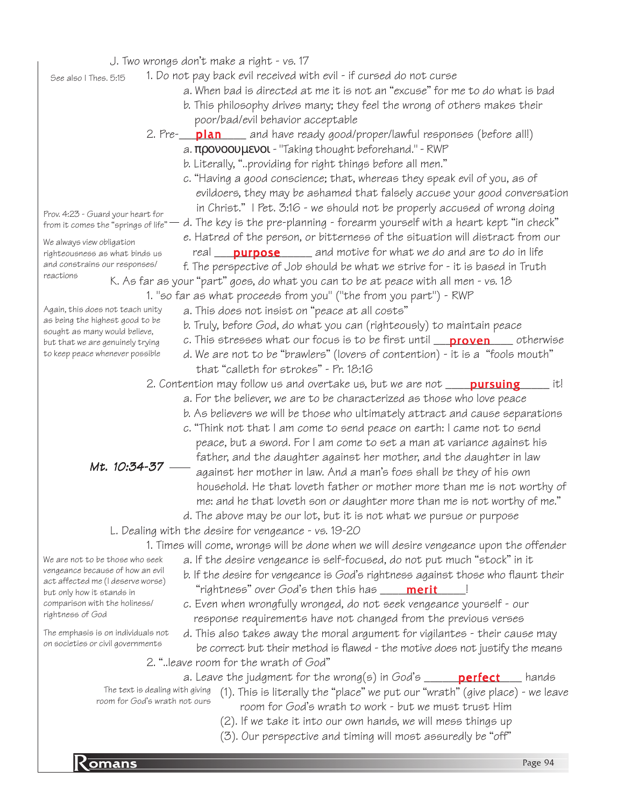|                                                                     | J. Two wrongs don't make a right - vs. 17                                               |
|---------------------------------------------------------------------|-----------------------------------------------------------------------------------------|
| See also I Thes. 5:15                                               | 1. Do not pay back evil received with evil - if cursed do not curse                     |
|                                                                     | a. When bad is directed at me it is not an "excuse" for me to do what is bad            |
|                                                                     | b. This philosophy drives many; they feel the wrong of others makes their               |
|                                                                     | poor/bad/evil behavior acceptable                                                       |
|                                                                     | 2. Pre- <b>plan</b> and have ready good/proper/lawful responses (before all!)           |
|                                                                     | $a.$ $\pi$ povoov $\mu$ $ev$ o $\iota$ - "Taking thought beforehand." - RWP             |
|                                                                     |                                                                                         |
|                                                                     | b. Literally, "providing for right things before all men."                              |
|                                                                     | c. "Having a good conscience; that, whereas they speak evil of you, as of               |
|                                                                     | evildoers, they may be ashamed that falsely accuse your good conversation               |
| Prov. 4:23 - Guard your heart for                                   | in Christ." I Pet. 3:16 - we should not be properly accused of wrong doing              |
| from it comes the "springs of life"                                 | d. The key is the pre-planning - forearm yourself with a heart kept "in check"          |
| We always view obligation                                           | e. Hatred of the person, or bitterness of the situation will distract from our          |
| righteousness as what binds us                                      | real <b>purpose</b> and motive for what we do and are to do in life                     |
| and constrains our responses/                                       | f. The perspective of Job should be what we strive for - it is based in Truth           |
| reactions                                                           | K. As far as your "part" goes, do what you can to be at peace with all men - vs. 18     |
|                                                                     | 1. "so far as what proceeds from you" ("the from you part") - RWP                       |
| Again, this does not teach unity                                    | a. This does not insist on "peace at all costs"                                         |
| as being the highest good to be                                     | b. Truly, before God, do what you can (righteously) to maintain peace                   |
| sought as many would believe,<br>but that we are genuinely trying   | c. This stresses what our focus is to be first until <b>proven</b> otherwise            |
| to keep peace whenever possible                                     | d. We are not to be "brawlers" (lovers of contention) - it is a "fools mouth"           |
|                                                                     | that "calleth for strokes" - Pr. 18:16                                                  |
|                                                                     | 2. Contention may follow us and overtake us, but we are not <b>pursuing</b><br>it!      |
|                                                                     | a. For the believer, we are to be characterized as those who love peace                 |
|                                                                     | b. As believers we will be those who ultimately attract and cause separations           |
|                                                                     | c. "Think not that I am come to send peace on earth: I came not to send                 |
|                                                                     | peace, but a sword. For I am come to set a man at variance against his                  |
|                                                                     | father, and the daughter against her mother, and the daughter in law                    |
| Mt. 10:34-37                                                        | against her mother in law. And a man's foes shall be they of his own                    |
|                                                                     | household. He that loveth father or mother more than me is not worthy of                |
|                                                                     |                                                                                         |
|                                                                     | me: and he that loveth son or daughter more than me is not worthy of me."               |
|                                                                     | d. The above may be our lot, but it is not what we pursue or purpose                    |
|                                                                     | L. Dealing with the desire for vengeance - vs. 19-20                                    |
|                                                                     | 1. Times will come, wrongs will be done when we will desire vengeance upon the offender |
| We are not to be those who seek<br>vengeance because of how an evil | a. If the desire vengeance is self-focused, do not put much "stock" in it               |
| act affected me (I deserve worse)                                   | b. If the desire for vengeance is God's rightness against those who flaunt their        |
| but only how it stands in                                           | "rightness" over God's then this has _____ merit                                        |
| comparison with the holiness/                                       | c. Even when wrongfully wronged, do not seek vengeance yourself - our                   |
| rightness of God                                                    | response requirements have not changed from the previous verses                         |
| The emphasis is on individuals not                                  | d. This also takes away the moral argument for vigilantes - their cause may             |
| on societies or civil governments                                   | be correct but their method is flawed - the motive does not justify the means           |
|                                                                     | 2. "leave room for the wrath of God"                                                    |
|                                                                     | a. Leave the judgment for the wrong(s) in God's $\_\_$ perfect<br>hands                 |
| The text is dealing with giving                                     | (1). This is literally the "place" we put our "wrath" (give place) - we leave           |
| room for God's wrath not ours                                       | room for God's wrath to work - but we must trust Him                                    |
|                                                                     | (2). If we take it into our own hands, we will mess things up                           |
|                                                                     | (3). Our perspective and timing will most assuredly be "off"                            |
|                                                                     |                                                                                         |
| $K$ omans                                                           | Page 94                                                                                 |
|                                                                     |                                                                                         |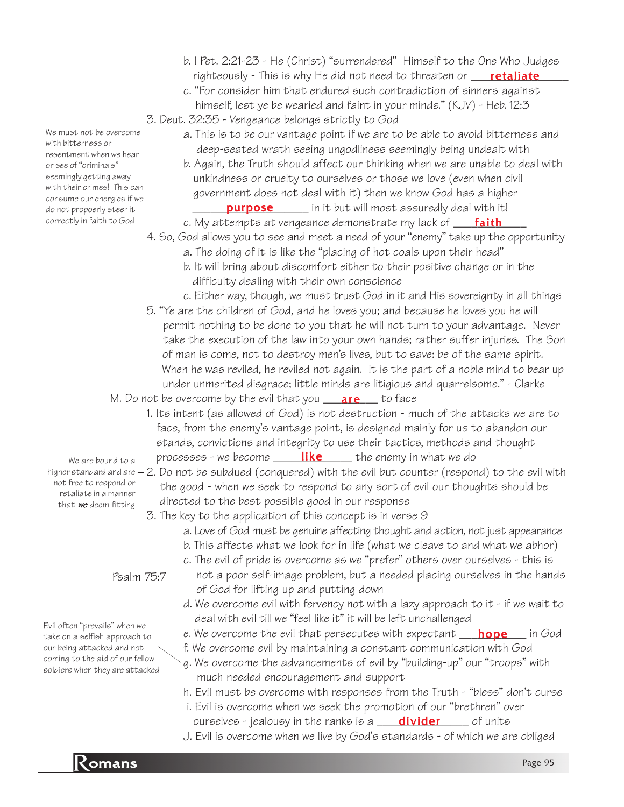- b. I Pet. 2:21-23 He (Christ) "surrendered" Himself to the One Who Judges righteously - This is why He did not need to threaten or **\_\_\_\_\_retaliate**\_\_\_\_\_
- c. "For consider him that endured such contradiction of sinners against himself, lest ye be wearied and faint in your minds." (KJV) - Heb. 12:3
- 3. Deut. 32:35 Vengeance belongs strictly to God
	- a. This is to be our vantage point if we are to be able to avoid bitterness and deep-seated wrath seeing ungodliness seemingly being undealt with
	- b. Again, the Truth should affect our thinking when we are unable to deal with unkindness or cruelty to ourselves or those we love (even when civil government does not deal with it) then we know God has a higher **purpose** \_\_\_\_\_\_ in it but will most assuredly deal with it!
	- c. My attempts at vengeance demonstrate my lack of \_\_\_<mark>\_faith</mark>\_\_\_\_
- 4. So, God allows you to see and meet a need of your "enemy" take up the opportunity
	- a. The doing of it is like the "placing of hot coals upon their head"
	- b. It will bring about discomfort either to their positive change or in the difficulty dealing with their own conscience
	- c. Either way, though, we must trust God in it and His sovereignty in all things
- 5. "Ye are the children of God, and he loves you; and because he loves you he will permit nothing to be done to you that he will not turn to your advantage. Never take the execution of the law into your own hands; rather suffer injuries. The Son of man is come, not to destroy men's lives, but to save: be of the same spirit. When he was reviled, he reviled not again. It is the part of a noble mind to bear up under unmerited disgrace; little minds are litigious and quarrelsome." - Clarke
- M. Do not be overcome by the evil that you **\_\_\_\_\_\_\_\_\_\_\_** to face
	- 1. Its intent (as allowed of God) is not destruction much of the attacks we are to face, from the enemy's vantage point, is designed mainly for us to abandon our stands, convictions and integrity to use their tactics, methods and thought processes – we become **like** the enemy in what we do
- higher standard and are  $-$  2. Do not be subdued (conquered) with the evil but counter (respond) to the evil with the good - when we seek to respond to any sort of evil our thoughts should be
	- directed to the best possible good in our response
	- 3. The key to the application of this concept is in verse 9
		- a. Love of God must be genuine affecting thought and action, not just appearance
		- b. This affects what we look for in life (what we cleave to and what we abhor)
		- c. The evil of pride is overcome as we "prefer" others over ourselves this is
		- not a poor self-image problem, but a needed placing ourselves in the hands of God for lifting up and putting down
		- d. We overcome evil with fervency not with a lazy approach to it if we wait to deal with evil till we "feel like it" it will be left unchallenged
		- e. We overcome the evil that persecutes with expectant \_\_\_<mark>hope</mark> \_\_\_ in God f. We overcome evil by maintaining a constant communication with God
		- g. We overcome the advancements of evil by "building-up" our "troops" with much needed encouragement and support
		- h. Evil must be overcome with responses from the Truth "bless" don't curse
		- i. Evil is overcome when we seek the promotion of our "brethren" over
		- ourselves jealousy in the ranks is a \_\_\_\_<mark>divider</mark> \_\_\_\_\_ of units
		- J. Evil is overcome when we live by God's standards of which we are obliged

We must not be overcome with bitterness or resentment when we hear or see of "criminals" seemingly getting away with their crimes! This can consume our energies if we do not propoerly steer it correctly in faith to God

We are bound to a not free to respond or retaliate in a manner that we deem fitting

Psalm 75:7

Evil often "prevails" when we take on a selfish approach to our being attacked and not coming to the aid of our fellow soldiers when they are attacked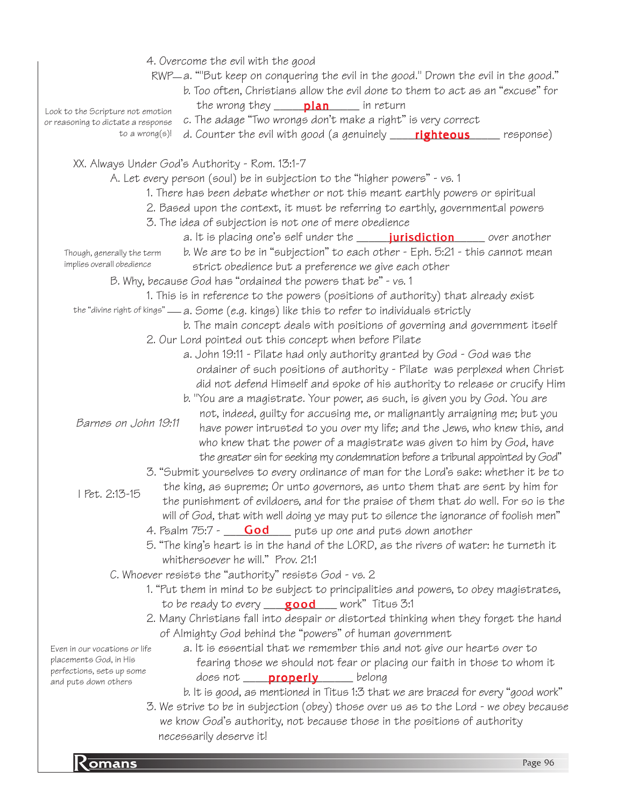| 4. Overcome the evil with the good                                                                         |
|------------------------------------------------------------------------------------------------------------|
| RWP—a. ""But keep on conquering the evil in the good." Drown the evil in the good."                        |
| b. Too often, Christians allow the evil done to them to act as an "excuse" for                             |
| the wrong they ____ plan ____ in return<br>Look to the Scripture not emotion                               |
| c. The adage "Two wrongs don't make a right" is very correct<br>or reasoning to dictate a response         |
| to a wrong $(s)!$<br>d. Counter the evil with good (a genuinely <b>righteous</b> esponse)                  |
|                                                                                                            |
| XX. Always Under God's Authority - Rom. 13:1-7                                                             |
| A. Let every person (soul) be in subjection to the "higher powers" - vs. 1                                 |
| 1. There has been debate whether or not this meant earthly powers or spiritual                             |
| 2. Based upon the context, it must be referring to earthly, governmental powers                            |
| 3. The idea of subjection is not one of mere obedience                                                     |
| a. It is placing one's self under the <b>_______ jurisdiction</b> ______ over another                      |
| b. We are to be in "subjection" to each other - Eph. 5:21 - this cannot mean<br>Though, generally the term |
| implies overall obedience<br>strict obedience but a preference we give each other                          |
| B. Why, because God has "ordained the powers that be" - vs. 1                                              |
| 1. This is in reference to the powers (positions of authority) that already exist                          |
| the "divine right of kings" — a. Some (e.g. kings) like this to refer to individuals strictly              |
| b. The main concept deals with positions of governing and government itself                                |
| 2. Our Lord pointed out this concept when before Pilate                                                    |
| a. John 19:11 - Pilate had only authority granted by God - God was the                                     |
| ordainer of such positions of authority - Pilate was perplexed when Christ                                 |
| did not defend Himself and spoke of his authority to release or crucify Him                                |
| b. "You are a magistrate. Your power, as such, is given you by God. You are                                |
| not, indeed, guilty for accusing me, or malignantly arraigning me; but you                                 |
| Barnes on John 19:11<br>have power intrusted to you over my life; and the Jews, who knew this, and         |
| who knew that the power of a magistrate was given to him by God, have                                      |
| the greater sin for seeking my condemnation before a tribunal appointed by God"                            |
| 3. "Submit yourselves to every ordinance of man for the Lord's sake: whether it be to                      |
| the king, as supreme; Or unto governors, as unto them that are sent by him for                             |
| Pet. 2:13-15<br>the punishment of evildoers, and for the praise of them that do well. For so is the        |
| will of God, that with well doing ye may put to silence the ignorance of foolish men"                      |
| 4. Psalm 75:7 - <b>God</b> puts up one and puts down another                                               |
| 5. "The king's heart is in the hand of the LORD, as the rivers of water: he turneth it                     |
| whithersoever he will." Prov. 21:1                                                                         |
| C. Whoever resists the "authority" resists God - vs. 2                                                     |
| 1. "Put them in mind to be subject to principalities and powers, to obey magistrates,                      |
| to be ready to every $\qquad$ <b>good</b> work" Titus 3:1                                                  |
| 2. Many Christians fall into despair or distorted thinking when they forget the hand                       |
| of Almighty God behind the "powers" of human government                                                    |
| a. It is essential that we remember this and not give our hearts over to<br>Even in our vocations or life  |
| placements God, in His<br>fearing those we should not fear or placing our faith in those to whom it        |
| perfections, sets up some<br>does not <b>properly</b> belong                                               |
| and puts down others<br>b. It is good, as mentioned in Titus 1:3 that we are braced for every "good work"  |
| 3. We strive to be in subjection (obey) those over us as to the Lord - we obey because                     |
| we know God's authority, not because those in the positions of authority                                   |
| necessarily deserve it!                                                                                    |
|                                                                                                            |
| <b>Komans</b><br>Page 96                                                                                   |
|                                                                                                            |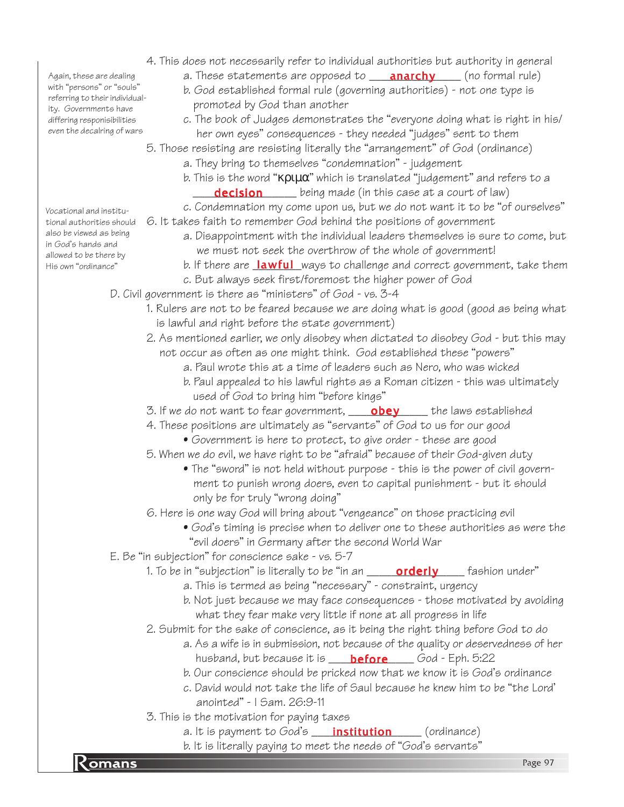b. It is literally paying to meet the needs of "God's servants"<br>Page 97 4. This does not necessarily refer to individual authorities but authority in general a. These statements are opposed to **\_\_\_<mark>anarchy</mark>\_\_\_\_** (no formal rule) b. God established formal rule (governing authorities) - not one type is promoted by God than another c. The book of Judges demonstrates the "everyone doing what is right in his/ her own eyes" consequences - they needed "judges" sent to them 5. Those resisting are resisting literally the "arrangement" of God (ordinance) a. They bring to themselves "condemnation" - judgement b. This is the word "κριµα" which is translated "judgement" and refers to a decision \_\_\_\_\_\_\_\_ being made (in this case at a court of law) c. Condemnation my come upon us, but we do not want it to be "of ourselves" tional authorities should G. It takes faith to remember God behind the positions of government a. Disappointment with the individual leaders themselves is sure to come, but we must not seek the overthrow of the whole of government! His own "ordinance" <sup>"</sup> b. If there are <u>la**wful** w</u>ays to challenge and correct government, take them c. But always seek first/foremost the higher power of God D. Civil government is there as "ministers" of God - vs. 3-4 1. Rulers are not to be feared because we are doing what is good (good as being what is lawful and right before the state government) 2. As mentioned earlier, we only disobey when dictated to disobey God - but this may not occur as often as one might think. God established these "powers" a. Paul wrote this at a time of leaders such as Nero, who was wicked b. Paul appealed to his lawful rights as a Roman citizen - this was ultimately used of God to bring him "before kings" 3. If we do not want to fear government, \_\_\_\_\_**obey** \_\_\_\_\_ the laws established 4. These positions are ultimately as "servants" of God to us for our good • Government is here to protect, to give order - these are good 5. When we do evil, we have right to be "afraid" because of their God-given duty • The "sword" is not held without purpose - this is the power of civil govern ment to punish wrong doers, even to capital punishment - but it should only be for truly "wrong doing" 6. Here is one way God will bring about "vengeance" on those practicing evil • God's timing is precise when to deliver one to these authorities as were the "evil doers" in Germany after the second World War E. Be "in subjection" for conscience sake - vs. 5-7 1. To be in "subjection" is literally to be "in an \_\_\_\_\_\_**orderly** \_\_\_\_\_ fashion under" a. This is termed as being "necessary" - constraint, urgency b. Not just because we may face consequences - those motivated by avoiding what they fear make very little if none at all progress in life 2. Submit for the sake of conscience, as it being the right thing before God to do a. As a wife is in submission, not because of the quality or deservedness of her husband, but because it is \_\_\_\_\_<mark>before</mark>\_\_\_\_\_God - Eph. 5:22 b. Our conscience should be pricked now that we know it is God's ordinance c. David would not take the life of Saul because he knew him to be "the Lord' anointed" - I Sam. 26:9-11 3. This is the motivation for paying taxes a. It is payment to God's \_\_\_\_\_<mark>institution</mark> \_\_\_\_\_\_ (ordinance) Again, these are dealing with "persons" or "souls" referring to their individuality. Governments have differing responisibilities even the decalring of wars Vocational and institualso be viewed as being in God's hands and allowed to be there by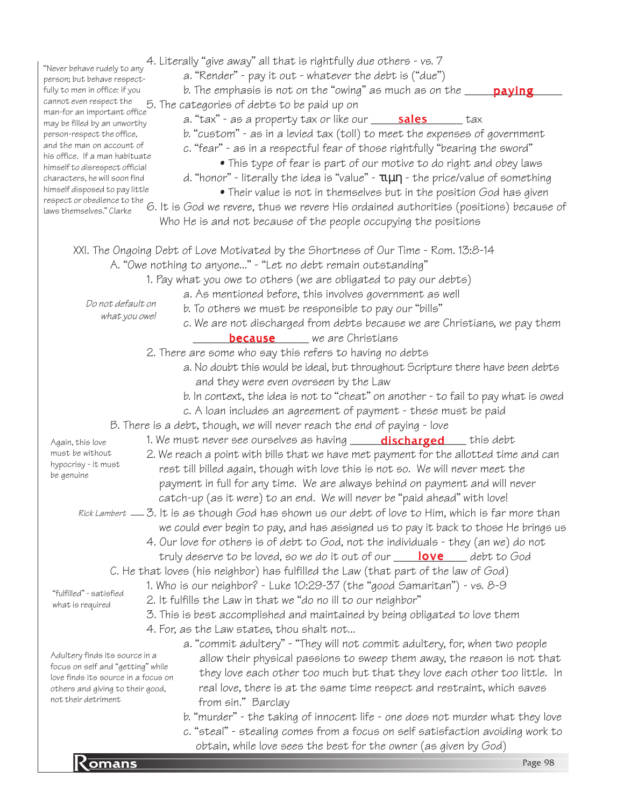| "Never behave rudely to any<br>person; but behave respect-<br>fully to men in office: if you<br>cannot even respect the<br>man-for an important office<br>may be filled by an unworthy<br>person-respect the office,<br>and the man on account of<br>his office. If a man habituate<br>himself to disrespect official<br>characters, he will soon find<br>himself disposed to pay little<br>respect or obedience to the<br>laws themselves." Clarke | 4. Literally "give away" all that is rightfully due others - vs. 7<br>a. "Render" - pay it out - whatever the debt is ("due")<br>b. The emphasis is not on the "owing" as much as on the $\rule{1em}{0.15mm}$<br>5. The categories of debts to be paid up on<br>b. "custom" - as in a levied tax (toll) to meet the expenses of government<br>c. "fear" - as in a respectful fear of those rightfully "bearing the sword"<br>• This type of fear is part of our motive to do right and obey laws<br>d. "honor" - literally the idea is "value" - $\tau \mu \eta$ - the price/value of something<br>• Their value is not in themselves but in the position God has given<br>6. It is God we revere, thus we revere His ordained authorities (positions) because of<br>Who He is and not because of the people occupying the positions | paying  |
|-----------------------------------------------------------------------------------------------------------------------------------------------------------------------------------------------------------------------------------------------------------------------------------------------------------------------------------------------------------------------------------------------------------------------------------------------------|--------------------------------------------------------------------------------------------------------------------------------------------------------------------------------------------------------------------------------------------------------------------------------------------------------------------------------------------------------------------------------------------------------------------------------------------------------------------------------------------------------------------------------------------------------------------------------------------------------------------------------------------------------------------------------------------------------------------------------------------------------------------------------------------------------------------------------------|---------|
| Do not default on<br>what you owe!                                                                                                                                                                                                                                                                                                                                                                                                                  | XXI. The Ongoing Debt of Love Motivated by the Shortness of Our Time - Rom. 13:8-14<br>A. "Owe nothing to anyone" - "Let no debt remain outstanding"<br>1. Pay what you owe to others (we are obligated to pay our debts)<br>a. As mentioned before, this involves government as well<br>b. To others we must be responsible to pay our "bills"<br>c. We are not discharged from debts because we are Christians, we pay them<br><b>because</b> we are Christians                                                                                                                                                                                                                                                                                                                                                                    |         |
|                                                                                                                                                                                                                                                                                                                                                                                                                                                     | 2. There are some who say this refers to having no debts                                                                                                                                                                                                                                                                                                                                                                                                                                                                                                                                                                                                                                                                                                                                                                             |         |
|                                                                                                                                                                                                                                                                                                                                                                                                                                                     | a. No doubt this would be ideal, but throughout Scripture there have been debts                                                                                                                                                                                                                                                                                                                                                                                                                                                                                                                                                                                                                                                                                                                                                      |         |
|                                                                                                                                                                                                                                                                                                                                                                                                                                                     | and they were even overseen by the Law                                                                                                                                                                                                                                                                                                                                                                                                                                                                                                                                                                                                                                                                                                                                                                                               |         |
|                                                                                                                                                                                                                                                                                                                                                                                                                                                     | b. In context, the idea is not to "cheat" on another - to fail to pay what is owed                                                                                                                                                                                                                                                                                                                                                                                                                                                                                                                                                                                                                                                                                                                                                   |         |
|                                                                                                                                                                                                                                                                                                                                                                                                                                                     | c. A loan includes an agreement of payment - these must be paid                                                                                                                                                                                                                                                                                                                                                                                                                                                                                                                                                                                                                                                                                                                                                                      |         |
|                                                                                                                                                                                                                                                                                                                                                                                                                                                     | B. There is a debt, though, we will never reach the end of paying - love                                                                                                                                                                                                                                                                                                                                                                                                                                                                                                                                                                                                                                                                                                                                                             |         |
| Again, this love                                                                                                                                                                                                                                                                                                                                                                                                                                    | 1. We must never see ourselves as having _____ <b>discharged</b> ____ this debt                                                                                                                                                                                                                                                                                                                                                                                                                                                                                                                                                                                                                                                                                                                                                      |         |
| must be without                                                                                                                                                                                                                                                                                                                                                                                                                                     | 2. We reach a point with bills that we have met payment for the allotted time and can                                                                                                                                                                                                                                                                                                                                                                                                                                                                                                                                                                                                                                                                                                                                                |         |
| hypocrisy - it must                                                                                                                                                                                                                                                                                                                                                                                                                                 | rest till billed again, though with love this is not so. We will never meet the                                                                                                                                                                                                                                                                                                                                                                                                                                                                                                                                                                                                                                                                                                                                                      |         |
| be genuine                                                                                                                                                                                                                                                                                                                                                                                                                                          | payment in full for any time. We are always behind on payment and will never                                                                                                                                                                                                                                                                                                                                                                                                                                                                                                                                                                                                                                                                                                                                                         |         |
|                                                                                                                                                                                                                                                                                                                                                                                                                                                     | catch-up (as it were) to an end. We will never be "paid ahead" with love!                                                                                                                                                                                                                                                                                                                                                                                                                                                                                                                                                                                                                                                                                                                                                            |         |
|                                                                                                                                                                                                                                                                                                                                                                                                                                                     | Rick Lambert — 3. It is as though God has shown us our debt of love to Him, which is far more than                                                                                                                                                                                                                                                                                                                                                                                                                                                                                                                                                                                                                                                                                                                                   |         |
|                                                                                                                                                                                                                                                                                                                                                                                                                                                     | we could ever begin to pay, and has assigned us to pay it back to those He brings us                                                                                                                                                                                                                                                                                                                                                                                                                                                                                                                                                                                                                                                                                                                                                 |         |
|                                                                                                                                                                                                                                                                                                                                                                                                                                                     | 4. Our love for others is of debt to God, not the individuals - they (an we) do not                                                                                                                                                                                                                                                                                                                                                                                                                                                                                                                                                                                                                                                                                                                                                  |         |
|                                                                                                                                                                                                                                                                                                                                                                                                                                                     | truly deserve to be loved, so we do it out of our __ <b>love</b> __ debt to God                                                                                                                                                                                                                                                                                                                                                                                                                                                                                                                                                                                                                                                                                                                                                      |         |
|                                                                                                                                                                                                                                                                                                                                                                                                                                                     | C. He that loves (his neighbor) has fulfilled the Law (that part of the law of God)                                                                                                                                                                                                                                                                                                                                                                                                                                                                                                                                                                                                                                                                                                                                                  |         |
|                                                                                                                                                                                                                                                                                                                                                                                                                                                     | 1. Who is our neighbor? - Luke 10:29-37 (the "good Samaritan") - vs. 8-9                                                                                                                                                                                                                                                                                                                                                                                                                                                                                                                                                                                                                                                                                                                                                             |         |
| "fulfilled" - satisfied                                                                                                                                                                                                                                                                                                                                                                                                                             | 2. It fulfills the Law in that we "do no ill to our neighbor"                                                                                                                                                                                                                                                                                                                                                                                                                                                                                                                                                                                                                                                                                                                                                                        |         |
| what is required                                                                                                                                                                                                                                                                                                                                                                                                                                    | 3. This is best accomplished and maintained by being obligated to love them                                                                                                                                                                                                                                                                                                                                                                                                                                                                                                                                                                                                                                                                                                                                                          |         |
|                                                                                                                                                                                                                                                                                                                                                                                                                                                     | 4. For, as the Law states, thou shalt not                                                                                                                                                                                                                                                                                                                                                                                                                                                                                                                                                                                                                                                                                                                                                                                            |         |
|                                                                                                                                                                                                                                                                                                                                                                                                                                                     | a. "commit adultery" - "They will not commit adultery, for, when two people                                                                                                                                                                                                                                                                                                                                                                                                                                                                                                                                                                                                                                                                                                                                                          |         |
| Adultery finds its source in a                                                                                                                                                                                                                                                                                                                                                                                                                      | allow their physical passions to sweep them away, the reason is not that                                                                                                                                                                                                                                                                                                                                                                                                                                                                                                                                                                                                                                                                                                                                                             |         |
| focus on self and "getting" while                                                                                                                                                                                                                                                                                                                                                                                                                   |                                                                                                                                                                                                                                                                                                                                                                                                                                                                                                                                                                                                                                                                                                                                                                                                                                      |         |
| love finds its source in a focus on                                                                                                                                                                                                                                                                                                                                                                                                                 | they love each other too much but that they love each other too little. In                                                                                                                                                                                                                                                                                                                                                                                                                                                                                                                                                                                                                                                                                                                                                           |         |
| others and giving to their good,<br>not their detriment                                                                                                                                                                                                                                                                                                                                                                                             | real love, there is at the same time respect and restraint, which saves                                                                                                                                                                                                                                                                                                                                                                                                                                                                                                                                                                                                                                                                                                                                                              |         |
|                                                                                                                                                                                                                                                                                                                                                                                                                                                     | from sin." Barclay                                                                                                                                                                                                                                                                                                                                                                                                                                                                                                                                                                                                                                                                                                                                                                                                                   |         |
|                                                                                                                                                                                                                                                                                                                                                                                                                                                     | b. "murder" - the taking of innocent life - one does not murder what they love                                                                                                                                                                                                                                                                                                                                                                                                                                                                                                                                                                                                                                                                                                                                                       |         |
|                                                                                                                                                                                                                                                                                                                                                                                                                                                     | c. "steal" - stealing comes from a focus on self satisfaction avoiding work to<br>obtain, while love sees the best for the owner (as given by God)                                                                                                                                                                                                                                                                                                                                                                                                                                                                                                                                                                                                                                                                                   |         |
|                                                                                                                                                                                                                                                                                                                                                                                                                                                     |                                                                                                                                                                                                                                                                                                                                                                                                                                                                                                                                                                                                                                                                                                                                                                                                                                      |         |
| <b>Komans</b>                                                                                                                                                                                                                                                                                                                                                                                                                                       |                                                                                                                                                                                                                                                                                                                                                                                                                                                                                                                                                                                                                                                                                                                                                                                                                                      | Page 98 |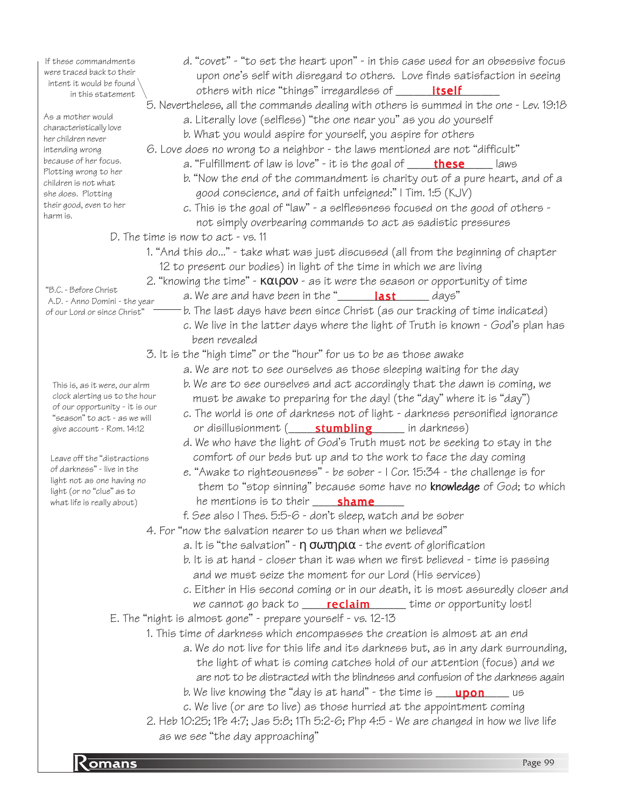| If these commandments                                          | d. "covet" - "to set the heart upon" - in this case used for an obsessive focus                                 |
|----------------------------------------------------------------|-----------------------------------------------------------------------------------------------------------------|
| were traced back to their<br>intent it would be found          | upon one's self with disregard to others. Love finds satisfaction in seeing                                     |
| in this statement                                              | others with nice "things" irregardless of ______ <b>itself</b>                                                  |
|                                                                | 5. Nevertheless, all the commands dealing with others is summed in the one - Lev. 19:18                         |
| As a mother would                                              | a. Literally love (selfless) "the one near you" as you do yourself                                              |
| characteristically love<br>her children never                  | b. What you would aspire for yourself, you aspire for others                                                    |
| intending wrong                                                | 6. Love does no wrong to a neighbor - the laws mentioned are not "difficult"                                    |
| because of her focus.                                          | a. "Fulfillment of law is love" - it is the goal of <b>_____ these</b><br>laws                                  |
| Plotting wrong to her                                          | b. "Now the end of the commandment is charity out of a pure heart, and of a                                     |
| children is not what<br>she does. Plotting                     | good conscience, and of faith unfeigned:" I Tim. 1:5 (KJV)                                                      |
| their good, even to her                                        | c. This is the goal of "law" - a selflessness focused on the good of others -                                   |
| harm is.                                                       | not simply overbearing commands to act as sadistic pressures                                                    |
|                                                                | D. The time is now to $act - vs. 11$                                                                            |
|                                                                | 1. "And this do" - take what was just discussed (all from the beginning of chapter                              |
|                                                                |                                                                                                                 |
|                                                                | 12 to present our bodies) in light of the time in which we are living                                           |
| "B.C. - Before Christ                                          | 2. "knowing the time" $\cdot$ KOUPOV $\cdot$ as it were the season or opportunity of time                       |
| A.D. - Anno Domini - the year                                  | a. We are and have been in the " <b>Last</b> Last Last a. We are and have been in the " Last Last $\frac{1}{2}$ |
| of our Lord or since Christ"                                   | b. The last days have been since Christ (as our tracking of time indicated)                                     |
|                                                                | c. We live in the latter days where the light of Truth is known - God's plan has                                |
|                                                                | been revealed                                                                                                   |
|                                                                | 3. It is the "high time" or the "hour" for us to be as those awake                                              |
|                                                                | a. We are not to see ourselves as those sleeping waiting for the day                                            |
| This is, as it were, our alrm                                  | b. We are to see ourselves and act accordingly that the dawn is coming, we                                      |
| clock alerting us to the hour                                  | must be awake to preparing for the day! (the "day" where it is "day")                                           |
| of our opportunity - it is our<br>"season" to act - as we will | c. The world is one of darkness not of light - darkness personified ignorance                                   |
| give account - Rom. 14:12                                      | or disillusionment ( <i>stumbling in darkness</i> )                                                             |
|                                                                | d. We who have the light of God's Truth must not be seeking to stay in the                                      |
| Leave off the "distractions                                    | comfort of our beds but up and to the work to face the day coming                                               |
| of darkness" - live in the                                     | e. "Awake to righteousness" - be sober - I Cor. 15:34 - the challenge is for                                    |
| light not as one having no<br>light (or no "clue" as to        | them to "stop sinning" because some have no <b>knowledge</b> of God; to which                                   |
| what life is really about)                                     |                                                                                                                 |
|                                                                | f. See also I Thes. 5:5-6 - don't sleep, watch and be sober                                                     |
|                                                                | 4. For "now the salvation nearer to us than when we believed"                                                   |
|                                                                | a. It is "the salvation" - $\eta$ $\sigma \omega \tau \eta \rho \alpha$ - the event of glorification            |
|                                                                | b. It is at hand - closer than it was when we first believed - time is passing                                  |
|                                                                | and we must seize the moment for our Lord (His services)                                                        |
|                                                                | c. Either in His second coming or in our death, it is most assuredly closer and                                 |
|                                                                |                                                                                                                 |
|                                                                | we cannot go back to <b>reclaim</b> ______ time or opportunity lost!                                            |
|                                                                | E. The "night is almost gone" - prepare yourself - vs. 12-13                                                    |
|                                                                | 1. This time of darkness which encompasses the creation is almost at an end                                     |
|                                                                | a. We do not live for this life and its darkness but, as in any dark surrounding,                               |
|                                                                | the light of what is coming catches hold of our attention (focus) and we                                        |
|                                                                | are not to be distracted with the blindness and confusion of the darkness again                                 |
|                                                                | b. We live knowing the "day is at hand" - the time is <b>________________</b> __ us                             |
|                                                                | c. We live (or are to live) as those hurried at the appointment coming                                          |
|                                                                | 2. Heb 10:25; 1Pe 4:7; Jas 5:8; 1Th 5:2-6; Php 4:5 - We are changed in how we live life                         |
|                                                                | as we see "the day approaching"                                                                                 |

particular company of the company of the company of the company of the company of the company of the company of the company of the company of the company of the company of the company of the company of the company of the c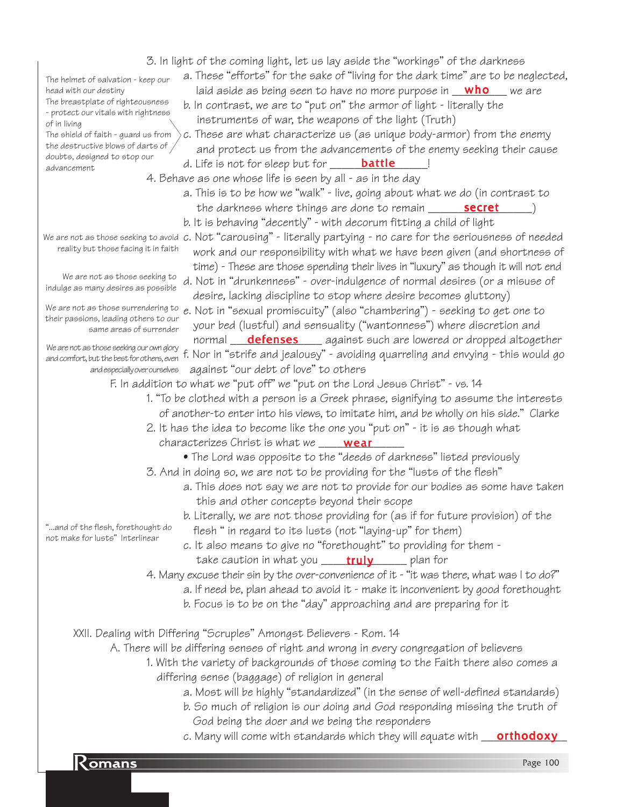| 3. In light of the coming light, let us lay aside the "workings" of the darkness                                                                                             |  |
|------------------------------------------------------------------------------------------------------------------------------------------------------------------------------|--|
| a. These "efforts" for the sake of "living for the dark time" are to be neglected,<br>The helmet of salvation - keep our                                                     |  |
| laid aside as being seen to have no more purpose in <b>who</b> we are<br>head with our destiny                                                                               |  |
| The breastplate of righteousness<br>b. In contrast, we are to "put on" the armor of light - literally the                                                                    |  |
| - protect our vitals with rightness<br>instruments of war, the weapons of the light (Truth)<br>of in living                                                                  |  |
| c. These are what characterize us (as unique body-armor) from the enemy<br>The shield of faith - guard us from                                                               |  |
| the destructive blows of darts of<br>and protect us from the advancements of the enemy seeking their cause                                                                   |  |
| doubts, designed to stop our<br>d. Life is not for sleep but for <b>battle</b>                                                                                               |  |
| advancement<br>4. Behave as one whose life is seen by all - as in the day                                                                                                    |  |
| a. This is to be how we "walk" - live, going about what we do (in contrast to                                                                                                |  |
|                                                                                                                                                                              |  |
| the darkness where things are done to remain _______ secret                                                                                                                  |  |
| b. It is behaving "decently" - with decorum fitting a child of light                                                                                                         |  |
| We are not as those seeking to avoid c. Not "carousing" - literally partying - no care for the seriousness of needed<br>reality but those facing it in faith                 |  |
| work and our responsibility with what we have been given (and shortness of                                                                                                   |  |
| time) - These are those spending their lives in "luxury" as though it will not end                                                                                           |  |
| We are not as those seeking to<br>d. Not in "drunkenness" - over-indulgence of normal desires (or a misuse of<br>indulge as many desires as possible                         |  |
| desire, lacking discipline to stop where desire becomes gluttony)                                                                                                            |  |
| We are not as those surrendering to<br>e. Not in "sexual promiscuity" (also "chambering") - seeking to get one to<br>their passions, leading others to our                   |  |
| your bed (lustful) and sensuality ("wantonness") where discretion and<br>same areas of surrender                                                                             |  |
| normal <b>defenses</b> against such are lowered or dropped altogether                                                                                                        |  |
| We are not as those seeking our own glory<br>f. Nor in "strife and jealousy" - avoiding quarreling and envying - this would go<br>and comfort, but the best for others, even |  |
| against "our debt of love" to others<br>and especially over ourselves                                                                                                        |  |
| F. In addition to what we "put off" we "put on the Lord Jesus Christ" - vs. 14                                                                                               |  |
| 1. "To be clothed with a person is a Greek phrase, signifying to assume the interests                                                                                        |  |
| of another-to enter into his views, to imitate him, and be wholly on his side." Clarke                                                                                       |  |
| 2. It has the idea to become like the one you "put on" - it is as though what                                                                                                |  |
| characterizes Christ is what we ____ <b>wear</b>                                                                                                                             |  |
| • The Lord was opposite to the "deeds of darkness" listed previously                                                                                                         |  |
| 3. And in doing so, we are not to be providing for the "lusts of the flesh"                                                                                                  |  |
| a. This does not say we are not to provide for our bodies as some have taken                                                                                                 |  |
| this and other concepts beyond their scope                                                                                                                                   |  |
| b. Literally, we are not those providing for (as if for future provision) of the                                                                                             |  |
| "and of the flesh, forethought do                                                                                                                                            |  |
| flesh " in regard to its lusts (not "laying-up" for them)<br>not make for lusts" Interlinear                                                                                 |  |
| c. It also means to give no "forethought" to providing for them -                                                                                                            |  |
| take caution in what you _____ <b>truly</b> _______ plan for                                                                                                                 |  |
| 4. Many excuse their sin by the over-convenience of it - "it was there, what was I to do?"                                                                                   |  |
| a. If need be, plan ahead to avoid it - make it inconvenient by good forethought                                                                                             |  |
| b. Focus is to be on the "day" approaching and are preparing for it                                                                                                          |  |
|                                                                                                                                                                              |  |
| XXII. Dealing with Differing "Scruples" Amongst Believers - Rom. 14                                                                                                          |  |
| A. There will be differing senses of right and wrong in every congregation of believers                                                                                      |  |
| 1. With the variety of backgrounds of those coming to the Faith there also comes a                                                                                           |  |
| differing sense (baggage) of religion in general                                                                                                                             |  |
| a. Most will be highly "standardized" (in the sense of well-defined standards)                                                                                               |  |
| b. So much of religion is our doing and God responding missing the truth of                                                                                                  |  |
| God being the doer and we being the responders                                                                                                                               |  |
| c. Many will come with standards which they will equate with <b>orthodoxy</b>                                                                                                |  |

**Romans** Page 100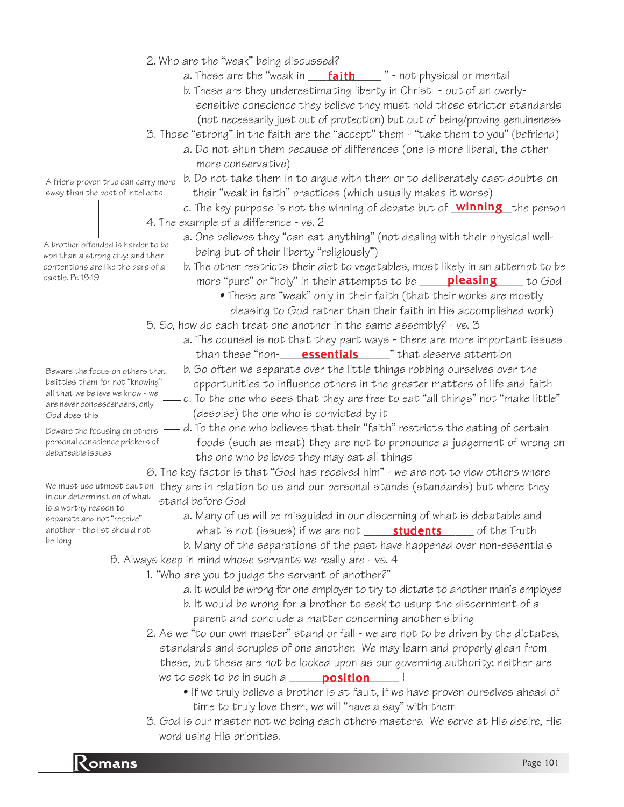- 2. Who are the "weak" being discussed?
	- a. These are the "weak in \_\_\_\_<mark>faith</mark>\_\_\_\_\_" not physical or mental
	- b. These are they underestimating liberty in Christ out of an overly sensitive conscience they believe they must hold these stricter standards (not necessarily just out of protection) but out of being/proving genuineness
- 3. Those "strong" in the faith are the "accept" them "take them to you" (befriend)
	- a. Do not shun them because of differences (one is more liberal, the other more conservative)
- A friend proven true can carry more sway than the best of intellects

b. Do not take them in to argue with them or to deliberately cast doubts on their "weak in faith" practices (which usually makes it worse)

c. The key purpose is not the winning of debate but of <u>Winning t</u>he person 4. The example of a difference - vs. 2

- a. One believes they "can eat anything" (not dealing with their physical well being but of their liberty "religiously")
	- b. The other restricts their diet to vegetables, most likely in an attempt to be more "pure" or "holy" in their attempts to be \_\_\_\_\_<mark>pleasing</mark> \_\_\_\_\_to God
		- These are "weak" only in their faith (that their works are mostly pleasing to God rather than their faith in His accomplished work)
- 5. So, how do each treat one another in the same assembly? vs. 3
	- a. The counsel is not that they part ways there are more important issues than these "non-\_\_\_\_\_<mark>essentials</mark>\_\_\_\_\_\_" that deserve attention
	- b. So often we separate over the little things robbing ourselves over the opportunities to influence others in the greater matters of life and faith
	- $-$  c. To the one who sees that they are free to eat "all things" not "make little" (despise) the one who is convicted by it
	- $-$  d. To the one who believes that their "faith" restricts the eating of certain foods (such as meat) they are not to pronounce a judgement of wrong on the one who believes they may eat all things

6. The key factor is that "God has received him" - we are not to view others where We must use utmost caution they are in relation to us and our personal stands (standards) but where they

- a. Many of us will be misguided in our discerning of what is debatable and what is not (issues) if we are not \_\_\_\_\_\_**students**\_\_\_\_\_\_ of the Truth
- b. Many of the separations of the past have happened over non-essentials B. Always keep in mind whose servants we really are - vs. 4
	- 1. "Who are you to judge the servant of another?"
		- a. It would be wrong for one employer to try to dictate to another man's employee
		- b. It would be wrong for a brother to seek to usurp the discernment of a parent and conclude a matter concerning another sibling
	- 2. As we "to our own master" stand or fall we are not to be driven by the dictates, standards and scruples of one another. We may learn and properly glean from these, but these are not be looked upon as our governing authority; neither are we to seek to be in such a \_\_\_\_\_\_\_\_**position**\_\_\_\_\_\_!
		- If we truly believe a brother is at fault, if we have proven ourselves ahead of time to truly love them, we will "have a say" with them
	- 3. God is our master not we being each others masters. We serve at His desire, His word using His priorities.

A brother offended is harder to be won than a strong city: and their contentions are like the bars of a castle. Pr. 18:19

Beware the focus on others that belittles them for not "knowing" all that we believe we know - we are never condescenders, only God does this

Beware the focusing on others  $$ personal conscience prickers of debateable issues

in our determination of what<br>is a worthy reason to is a worthy reason to separate and not "receive" another - the list should not be long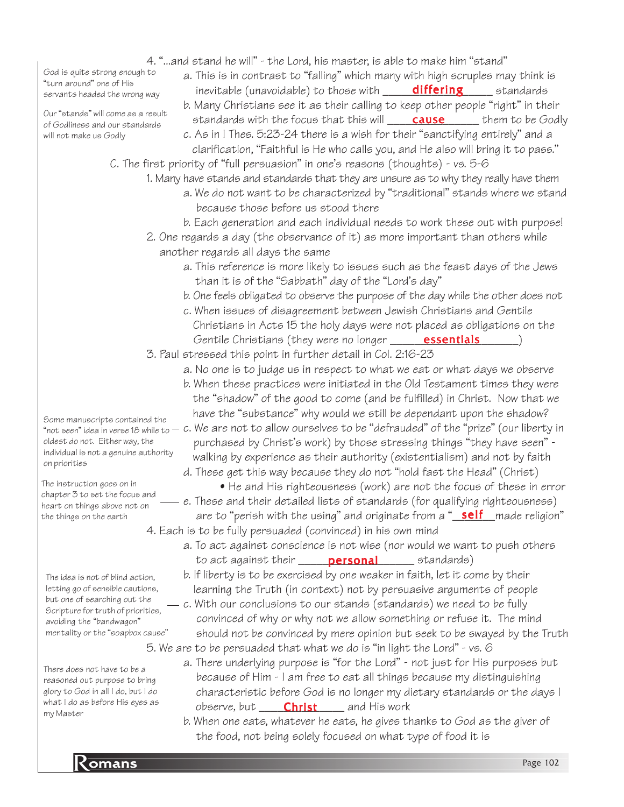- 4. "...and stand he will" the Lord, his master, is able to make him "stand"
- God is quite strong enough to "turn around" one of His servants headed the wrong way

Our "stands" will come as a result of Godliness and our standards will not make us Godly

- a. This is in contrast to "falling" which many with high scruples may think is inevitable (unavoidable) to those with \_\_\_\_\_\_<mark>differing</mark>\_\_\_\_\_\_\_ standards
- b. Many Christians see it as their calling to keep other people "right" in their standards with the focus that this will **\_\_\_\_\_\_\_\_\_\_\_\_\_\_\_\_**\_ them to be Godly
- c. As in I Thes. 5:23-24 there is a wish for their "sanctifying entirely" and a clarification, "Faithful is He who calls you, and He also will bring it to pass."
- C. The first priority of "full persuasion" in one's reasons (thoughts) vs. 5-6
	- 1. Many have stands and standards that they are unsure as to why they really have them a. We do not want to be characterized by "traditional" stands where we stand because those before us stood there
		- b. Each generation and each individual needs to work these out with purpose!
	- 2. One regards a day (the observance of it) as more important than others while another regards all days the same
		- a. This reference is more likely to issues such as the feast days of the Jews than it is of the "Sabbath" day of the "Lord's day"
		- b. One feels obligated to observe the purpose of the day while the other does not
		- c. When issues of disagreement between Jewish Christians and Gentile Christians in Acts 15 the holy days were not placed as obligations on the Gentile Christians (they were no longer **\_\_\_\_\_\_\_\_\_\_\_\_\_\_\_\_\_\_\_\_\_\_\_**)
	- 3. Paul stressed this point in further detail in Col. 2:16-23
		- a. No one is to judge us in respect to what we eat or what days we observe
		- b. When these practices were initiated in the Old Testament times they were the "shadow" of the good to come (and be fulfilled) in Christ. Now that we have the "substance" why would we still be dependant upon the shadow?
- "not seen" idea in verse 18 while to $-$  c. We are not to allow ourselves to be "defrauded" of the "prize" (our liberty in purchased by Christ's work) by those stressing things "they have seen" walking by experience as their authority (existentialism) and not by faith
	- d. These get this way because they do not "hold fast the Head" (Christ) • He and His righteousness (work) are not the focus of these in error - e. These and their detailed lists of standards (for qualifying righteousness)
	- are to "perish with the using" and originate from a "<u>\_self\_\_</u>made religion" 4. Each is to be fully persuaded (convinced) in his own mind
		- a. To act against conscience is not wise (nor would we want to push others to act against their \_\_\_\_\_\_\_\_\_\_\_\_\_\_\_\_\_\_\_ standards) personal
			- b. If liberty is to be exercised by one weaker in faith, let it come by their learning the Truth (in context) not by persuasive arguments of people
	- $-$  c. With our conclusions to our stands (standards) we need to be fully convinced of why or why not we allow something or refuse it. The mind should not be convinced by mere opinion but seek to be swayed by the Truth 5. We are to be persuaded that what we do is "in light the Lord" - vs. 6
		- a. There underlying purpose is "for the Lord" not just for His purposes but because of Him - I am free to eat all things because my distinguishing characteristic before God is no longer my dietary standards or the days I observe, but \_\_\_\_\_\_\_\_\_\_\_\_\_\_\_\_\_\_\_\_\_ and His work
		- b. When one eats, whatever he eats, he gives thanks to God as the giver of the food, not being solely focused on what type of food it is

Some manuscripts contained the oldest do not. Either way, the individual is not a genuine authority on priorities

The instruction goes on in chapter 3 to set the focus and heart on things above not on the things on the earth

The idea is not of blind action, letting go of sensible cautions, but one of searching out the Scripture for truth of priorities, avoiding the "bandwagon" mentality or the "soapbox cause"

There does not have to be a reasoned out purpose to bring glory to God in all I do, but I do what I do as before His eyes as my Master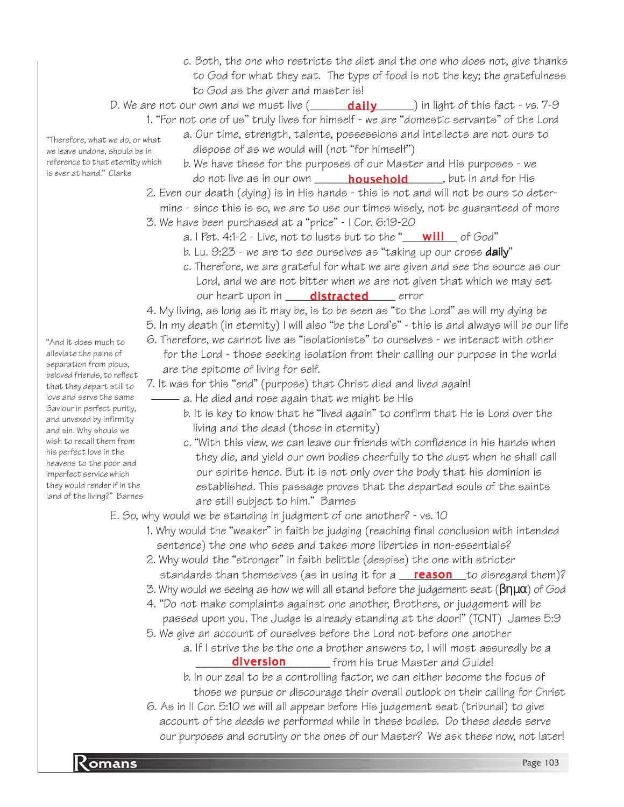- c. Both, the one who restricts the diet and the one who does not, give thanks to God for what they eat. The type of food is not the key; the gratefulness to God as the giver and master is!
- D. We are not our own and we must live (\_\_\_\_\_\_\_<mark>daily</mark>\_\_\_\_\_\_) in light of this fact vs. 7-9

1. "For not one of us" truly lives for himself - we are "domestic servants" of the Lord

- a. Our time, strength, talents, possessions and intellects are not ours to dispose of as we would will (not "for himself")
- b. We have these for the purposes of our Master and His purposes we do not live as in our own \_\_\_\_\_\_\_\_<mark>household</mark>\_\_\_\_\_\_, but in and for His
- 2. Even our death (dying) is in His hands this is not and will not be ours to deter mine - since this is so, we are to use our times wisely, not be guaranteed of more
- 3. We have been purchased at a "price" I Cor. 6:19-20
	- a. I Pet. 4:1-2 Live, not to lusts but to the "\_\_<mark>\_\_will</mark> \_\_\_ of God"
	- b. Lu. 9:23 we are to see ourselves as "taking up our cross **daily**"
	- c. Therefore, we are grateful for what we are given and see the source as our Lord, and we are not bitter when we are not given that which we may set our heart upon in sandaistracted serror
- 4. My living, as long as it may be, is to be seen as "to the Lord" as will my dying be
- 5. In my death (in eternity) I will also "be the Lord's" this is and always will be our life
- 6. Therefore, we cannot live as "isolationists" to ourselves we interact with other for the Lord - those seeking isolation from their calling our purpose in the world are the epitome of living for self.
- 7. It was for this "end" (purpose) that Christ died and lived again!
	- a. He died and rose again that we might be His
		- b. It is key to know that he "lived again" to confirm that He is Lord over the living and the dead (those in eternity)
		- c. "With this view, we can leave our friends with confidence in his hands when they die, and yield our own bodies cheerfully to the dust when he shall call our spirits hence. But it is not only over the body that his dominion is established. This passage proves that the departed souls of the saints are still subject to him." Barnes

#### E. So, why would we be standing in judgment of one another? - vs. 10

- 1. Why would the "weaker" in faith be judging (reaching final conclusion with intended sentence) the one who sees and takes more liberties in non-essentials?
- 2. Why would the "stronger" in faith belittle (despise) the one with stricter standards than themselves (as in using it for a **\_\_\_<u>reason\_\_\_</u>to disregard them)?**
- 3. Why would we seeing as how we will all stand before the judgement seat  $(\beta\eta\mu\alpha)$  of God
- 4. "Do not make complaints against one another, Brothers, or judgement will be passed upon you. The Judge is already standing at the door!" (TCNT) James 5:9
- 5. We give an account of ourselves before the Lord not before one another
	- a. If I strive the be the one a brother answers to, I will most assuredly be a diversion **compart of the Stand** from his true Master and Guide!
		- b. In our zeal to be a controlling factor, we can either become the focus of those we pursue or discourage their overall outlook on their calling for Christ
- 6. As in II Cor. 5:10 we will all appear before His judgement seat (tribunal) to give account of the deeds we performed while in these bodies. Do these deeds serve our purposes and scrutiny or the ones of our Master? We ask these now, not later!

"And it does much to alleviate the pains of separation from pious, beloved friends, to reflect that they depart still to love and serve the same Saviour in perfect purity, and unvexed by infirmity and sin. Why should we wish to recall them from his perfect love in the heavens to the poor and imperfect service which they would render if in the land of the living?" Barnes

"Therefore, what we do, or what we leave undone, should be in reference to that eternity which is ever at hand." Clarke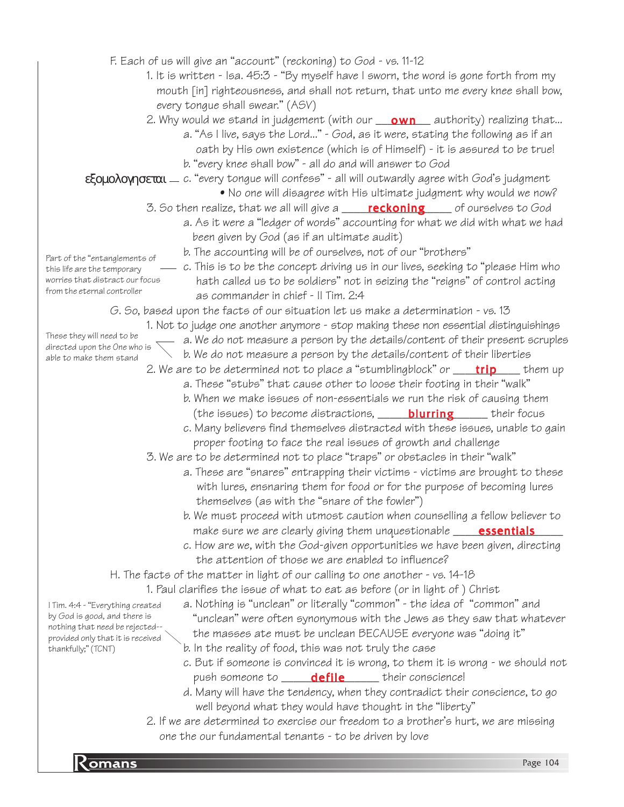F. Each of us will give an "account" (reckoning) to God - vs. 11-12

1. It is written - Isa. 45:3 - "By myself have I sworn, the word is gone forth from my mouth [in] righteousness, and shall not return, that unto me every knee shall bow, every tongue shall swear." (ASV)

2. Why would we stand in judgement (with our <u>\_\_\_**own**\_\_\_</u> authority) realizing that...

a. "As I live, says the Lord..." - God, as it were, stating the following as if an oath by His own existence (which is of Himself) - it is assured to be true!

b. "every knee shall bow" - all do and will answer to God

**εξομολογησεται** — c. "every tongue will confess" - all will outwardly agree with God's judgment

- No one will disagree with His ultimate judgment why would we now?
- 3. So then realize, that we all will give a \_\_\_\_\_<mark>reckoning</mark>\_\_\_\_\_ of ourselves to God
	- a. As it were a "ledger of words" accounting for what we did with what we had been given by God (as if an ultimate audit)

b. The accounting will be of ourselves, not of our "brothers"

Part of the "entanglements of this life are the temporary worries that distract our focus from the eternal controller

c. This is to be the concept driving us in our lives, seeking to "please Him who hath called us to be soldiers" not in seizing the "reigns" of control acting as commander in chief - II Tim. 2:4

G. So, based upon the facts of our situation let us make a determination - vs. 13

1. Not to judge one another anymore - stop making these non essential distinguishings These they will need to be

directed upon the One who is able to make them stand

- a. We do not measure a person by the details/content of their present scruples
- b. We do not measure a person by the details/content of their liberties
- 2. We are to be determined not to place a "stumblingblock" or \_\_\_\_\_<mark>trip</mark>\_\_\_\_\_ them up
	- a. These "stubs" that cause other to loose their footing in their "walk" b. When we make issues of non-essentials we run the risk of causing them
	- (the issues) to become distractions, \_\_\_\_\_\_<mark>blurring</mark>\_\_\_\_\_\_\_ their focus
	- c. Many believers find themselves distracted with these issues, unable to gain proper footing to face the real issues of growth and challenge

3. We are to be determined not to place "traps" or obstacles in their "walk"

- a. These are "snares" entrapping their victims victims are brought to these with lures, ensnaring them for food or for the purpose of becoming lures themselves (as with the "snare of the fowler")
- b. We must proceed with utmost caution when counselling a fellow believer to make sure we are clearly giving them unquestionable \_\_\_\_\_\_\_\_\_\_\_\_\_\_\_\_\_\_\_\_\_\_\_\_\_\_\_\_
- c. How are we, with the God-given opportunities we have been given, directing the attention of those we are enabled to influence?

H. The facts of the matter in light of our calling to one another - vs. 14-18

1. Paul clarifies the issue of what to eat as before (or in light of ) Christ

- a. Nothing is "unclean" or literally "common" the idea of "common" and "unclean" were often synonymous with the Jews as they saw that whatever the masses ate must be unclean BECAUSE everyone was "doing it"
	- b. In the reality of food, this was not truly the case
	- c. But if someone is convinced it is wrong, to them it is wrong we should not push someone to \_\_\_\_\_\_<mark>defile</mark>\_\_\_\_\_\_ their conscience!
	- d. Many will have the tendency, when they contradict their conscience, to go well beyond what they would have thought in the "liberty"
- 2. If we are determined to exercise our freedom to a brother's hurt, we are missing one the our fundamental tenants - to be driven by love

I Tim. 4:4 - "Everything created by God is good, and there is nothing that need be rejected- provided only that it is received thankfully;" (TCNT)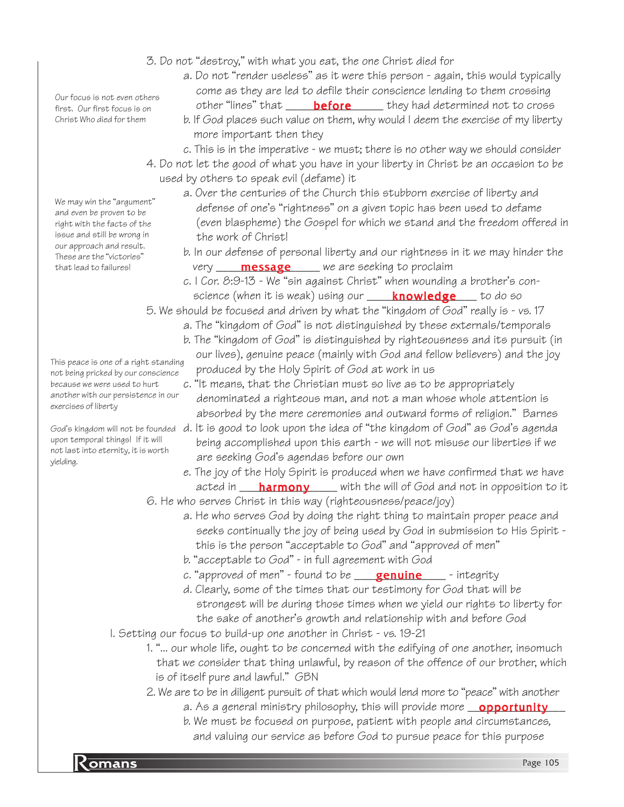- 3. Do not "destroy," with what you eat, the one Christ died for
	- a. Do not "render useless" as it were this person again, this would typically come as they are led to defile their conscience lending to them crossing other "lines" that \_\_\_\_\_\_<mark>before</mark>\_\_\_\_\_\_ they had determined not to cross
	- b. If God places such value on them, why would I deem the exercise of my liberty more important then they
	- c. This is in the imperative we must; there is no other way we should consider
- 4. Do not let the good of what you have in your liberty in Christ be an occasion to be used by others to speak evil (defame) it
	- a. Over the centuries of the Church this stubborn exercise of liberty and defense of one's "rightness" on a given topic has been used to defame (even blaspheme) the Gospel for which we stand and the freedom offered in the work of Christ!
	- b. In our defense of personal liberty and our rightness in it we may hinder the very \_\_\_\_\_\_**message** \_\_\_\_\_ we are seeking to proclaim
	- c. I Cor. 8:9-13 We "sin against Christ" when wounding a brother's con science (when it is weak) using our \_\_\_\_\_<mark>knowledge</mark> \_\_\_\_to do so

5. We should be focused and driven by what the "kingdom of God" really is - vs. 17

- a. The "kingdom of God" is not distinguished by these externals/temporals
- b. The "kingdom of God" is distinguished by righteousness and its pursuit (in our lives), genuine peace (mainly with God and fellow believers) and the joy produced by the Holy Spirit of God at work in us
- c. "It means, that the Christian must so live as to be appropriately denominated a righteous man, and not a man whose whole attention is absorbed by the mere ceremonies and outward forms of religion." Barnes
- God's kingdom will not be founded  $\,$  d. It is good to look upon the idea of "the kingdom of God" as God's agenda being accomplished upon this earth - we will not misuse our liberties if we are seeking God's agendas before our own
	- e. The joy of the Holy Spirit is produced when we have confirmed that we have acted in \_\_\_\_<mark>harmony</mark> \_\_\_\_ with the will of God and not in opposition to it
	- 6. He who serves Christ in this way (righteousness/peace/joy)
		- a. He who serves God by doing the right thing to maintain proper peace and seeks continually the joy of being used by God in submission to His Spirit this is the person "acceptable to God" and "approved of men"
		- b. "acceptable to God" in full agreement with God
		- c. "approved of men" found to be reasentine that the sintegrity
		- d. Clearly, some of the times that our testimony for God that will be strongest will be during those times when we yield our rights to liberty for the sake of another's growth and relationship with and before God
	- I. Setting our focus to build-up one another in Christ vs. 19-21
		- 1. "... our whole life, ought to be concerned with the edifying of one another, insomuch that we consider that thing unlawful, by reason of the offence of our brother, which is of itself pure and lawful." GBN
		- 2. We are to be in diligent pursuit of that which would lend more to "peace" with another
			- a. As a general ministry philosophy, this will provide more \_\_**opportunity\_\_\_**
			- b. We must be focused on purpose, patient with people and circumstances, and valuing our service as before God to pursue peace for this purpose

Our focus is not even others first. Our first focus is on Christ Who died for them

We may win the "argument" and even be proven to be right with the facts of the issue and still be wrong in our approach and result. These are the "victories" that lead to failures!

This peace is one of a right standing not being pricked by our conscience because we were used to hurt another with our persistence in our exercises of liberty

upon temporal things! If it will not last into eternity, it is worth yielding.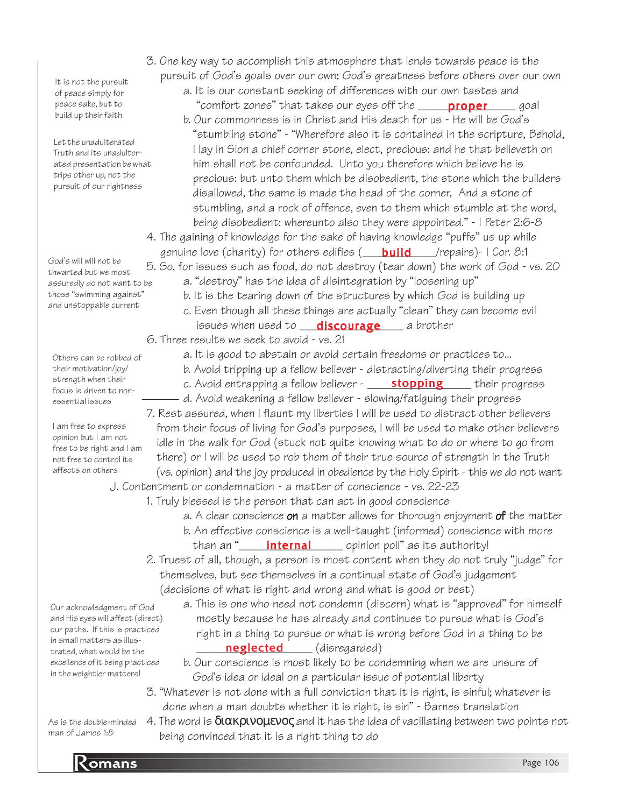It is not the pursuit of peace simply for peace sake, but to build up their faith

Let the unadulterated Truth and its unadulterated presentation be what trips other up, not the pursuit of our rightness

God's will will not be thwarted but we most assuredly do not want to be those "swimming against" and unstoppable current

Others can be robbed of their motivation/joy/ strength when their focus is driven to nonessential issues

I am free to express opinion but I am not free to be right and I am not free to control its affects on others

Our acknowledgment of God and His eyes will affect (direct) our paths. If this is practiced in small matters as illustrated, what would be the excellence of it being practiced in the weightier matters!

As is the double-minded man of James 1:8

- 3. One key way to accomplish this atmosphere that lends towards peace is the pursuit of God's goals over our own; God's greatness before others over our own
	- a. It is our constant seeking of differences with our own tastes and "comfort zones" that takes our eyes off the \_\_\_\_\_\_<mark>proper</mark>\_\_\_\_\_\_goal b. Our commonness is in Christ and His death for us - He will be God's "stumbling stone" - "Wherefore also it is contained in the scripture, Behold, I lay in Sion a chief corner stone, elect, precious: and he that believeth on him shall not be confounded. Unto you therefore which believe he is precious: but unto them which be disobedient, the stone which the builders disallowed, the same is made the head of the corner, And a stone of stumbling, and a rock of offence, even to them which stumble at the word, being disobedient: whereunto also they were appointed." - I Peter 2:6-8
- 4. The gaining of knowledge for the sake of having knowledge "puffs" us up while genuine love (charity) for others edifies (\_\_\_\_<mark>build</mark>\_\_\_\_/repairs)- I Cor. 8:1
- 5. So, for issues such as food, do not destroy (tear down) the work of God vs. 20 a. "destroy" has the idea of disintegration by "loosening up"
	- b. It is the tearing down of the structures by which God is building up
	- c. Even though all these things are actually "clean" they can become evil issues when used to **\_\_\_\_\_\_\_\_\_\_\_\_\_\_\_\_\_\_\_\_\_\_\_\_\_\_\_\_\_\_**\_\_ a brother

6. Three results we seek to avoid - vs. 21

- a. It is good to abstain or avoid certain freedoms or practices to...
- b. Avoid tripping up a fellow believer distracting/diverting their progress
- c. Avoid entrapping a fellow believer \_\_\_\_\_**stopping**\_\_\_\_\_\_their progress
- d. Avoid weakening a fellow believer slowing/fatiguing their progress

7. Rest assured, when I flaunt my liberties I will be used to distract other believers from their focus of living for God's purposes, I will be used to make other believers idle in the walk for God (stuck not quite knowing what to do or where to go from there) or I will be used to rob them of their true source of strength in the Truth (vs. opinion) and the joy produced in obedience by the Holy Spirit - this we do not want

J. Contentment or condemnation - a matter of conscience - vs. 22-23

- 1. Truly blessed is the person that can act in good conscience
	- a. A clear conscience on a matter allows for thorough enjoyment of the matter b. An effective conscience is a well-taught (informed) conscience with more than an "\_\_\_\_\_\_<mark>internal</mark>\_\_\_\_\_\_\_\_ opinion poll" as its authority!
- 2. Truest of all, though, a person is most content when they do not truly "judge" for themselves, but see themselves in a continual state of God's judgement (decisions of what is right and wrong and what is good or best)
	- a. This is one who need not condemn (discern) what is "approved" for himself mostly because he has already and continues to pursue what is God's right in a thing to pursue or what is wrong before God in a thing to be **neglected** (disregarded)
		- b. Our conscience is most likely to be condemning when we are unsure of God's idea or ideal on a particular issue of potential liberty
- 3. "Whatever is not done with a full conviction that it is right, is sinful; whatever is done when a man doubts whether it is right, is sin" - Barnes translation
- 4. The word is  $\delta$ ιακρινομενος and it has the idea of vacillating between two points not being convinced that it is a right thing to do

**Romans** Page 106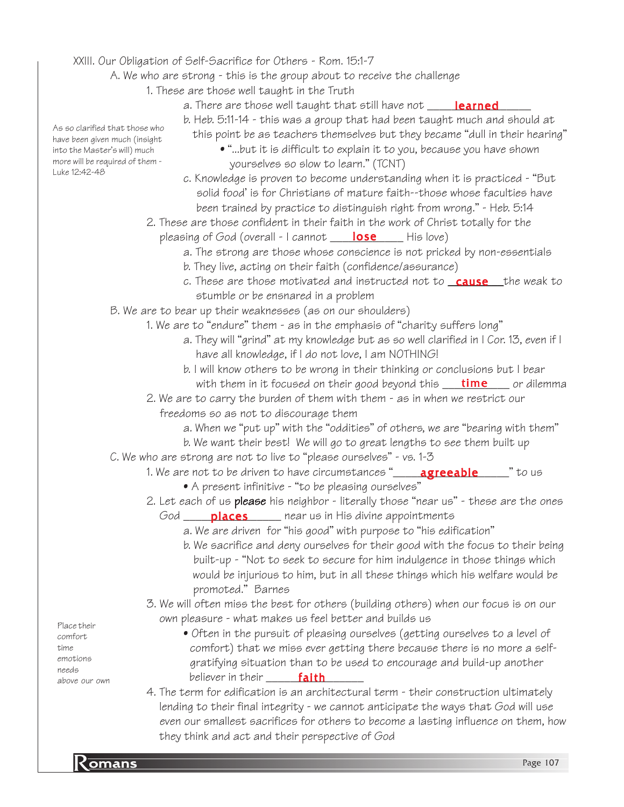## XXIII. Our Obligation of Self-Sacrifice for Others - Rom. 15:1-7

A. We who are strong - this is the group about to receive the challenge

- 1. These are those well taught in the Truth
	- a. There are those well taught that still have not \_\_\_\_\_<mark>learned</mark>\_\_\_\_\_

b. Heb. 5:11-14 - this was a group that had been taught much and should at

- this point be as teachers themselves but they became "dull in their hearing"
	- "...but it is difficult to explain it to you, because you have shown yourselves so slow to learn." (TCNT)
- c. Knowledge is proven to become understanding when it is practiced "But solid food' is for Christians of mature faith--those whose faculties have been trained by practice to distinguish right from wrong." - Heb. 5:14
- 2. These are those confident in their faith in the work of Christ totally for the pleasing of God (overall - I cannot \_\_\_\_\_<mark>lose</mark> \_\_\_\_\_ His love)
	- a. The strong are those whose conscience is not pricked by non-essentials
	- b. They live, acting on their faith (confidence/assurance)
	- c. These are those motivated and instructed not to <u>cause t</u>he weak to stumble or be ensnared in a problem
- B. We are to bear up their weaknesses (as on our shoulders)
	- 1. We are to "endure" them as in the emphasis of "charity suffers long"
		- a. They will "grind" at my knowledge but as so well clarified in I Cor. 13, even if I have all knowledge, if I do not love, I am NOTHING!
		- b. I will know others to be wrong in their thinking or conclusions but I bear with them in it focused on their good beyond this \_\_\_\_\_\_\_\_\_\_\_\_\_\_\_\_\_ or dilemma
	- 2. We are to carry the burden of them with them as in when we restrict our freedoms so as not to discourage them
		- a. When we "put up" with the "oddities" of others, we are "bearing with them"
		- b. We want their best! We will go to great lengths to see them built up
- C. We who are strong are not to live to "please ourselves" vs. 1-3
	- 1. We are not to be driven to have circumstances "\_\_\_\_\_**agreeable**\_\_\_\_\_" to us • A present infinitive - "to be pleasing ourselves"
	- 2. Let each of us **please** his neighbor literally those "near us" these are the ones God \_\_\_\_\_\_<mark>places</mark> \_\_\_\_\_ near us in His divine appointments
		- a. We are driven for "his good" with purpose to "his edification"
		- b. We sacrifice and deny ourselves for their good with the focus to their being built-up - "Not to seek to secure for him indulgence in those things which would be injurious to him, but in all these things which his welfare would be promoted." Barnes
	- 3. We will often miss the best for others (building others) when our focus is on our own pleasure - what makes us feel better and builds us
		- Often in the pursuit of pleasing ourselves (getting ourselves to a level of comfort) that we miss ever getting there because there is no more a self gratifying situation than to be used to encourage and build-up another believer in their \_\_\_\_\_\_\_\_\_\_\_\_\_\_\_\_ faith
	- 4. The term for edification is an architectural term their construction ultimately lending to their final integrity - we cannot anticipate the ways that God will use even our smallest sacrifices for others to become a lasting influence on them, how they think and act and their perspective of God

As so clarified that those who have been given much (insight into the Master's will) much more will be required of them - Luke 12:42-48

Place their comfort time emotions needs above our own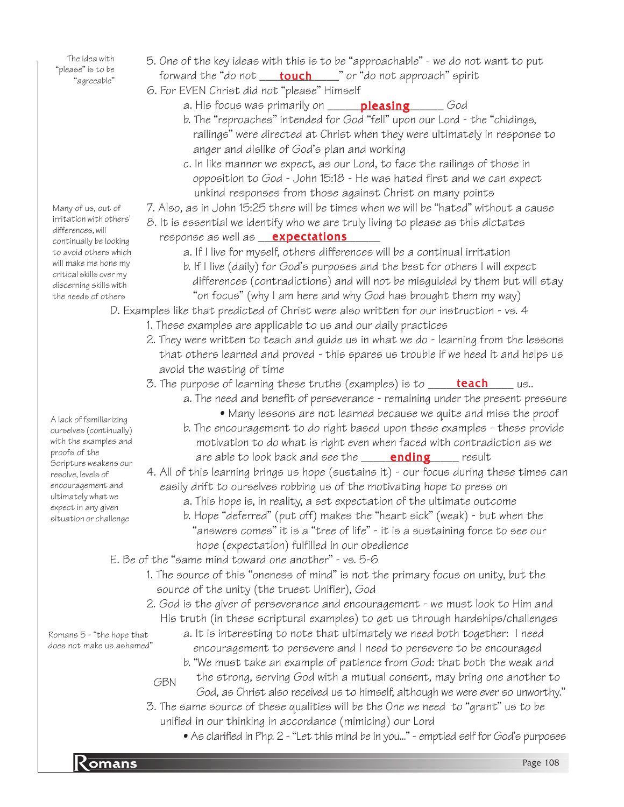The idea with "please" is to be "agreeable"

- 5. One of the key ideas with this is to be "approachable" we do not want to put forward the "do not \_\_\_\_<mark>touch</mark>\_\_\_\_\_" or "do not approach" spirit
- 6. For EVEN Christ did not "please" Himself
	- a. His focus was primarily on \_\_\_\_\_\_<mark>pleasing</mark>\_\_\_\_\_\_\_God
	- b. The "reproaches" intended for God "fell" upon our Lord the "chidings, railings" were directed at Christ when they were ultimately in response to anger and dislike of God's plan and working
	- c. In like manner we expect, as our Lord, to face the railings of those in opposition to God - John 15:18 - He was hated first and we can expect unkind responses from those against Christ on many points
- 7. Also, as in John 15:25 there will be times when we will be "hated" without a cause
- 8. It is essential we identify who we are truly living to please as this dictates response as well as and **expectations** and the set of the set of the set of the set of the set of the set of the s
	- a. If I live for myself, others differences will be a continual irritation
	- b. If I live (daily) for God's purposes and the best for others I will expect differences (contradictions) and will not be misguided by them but will stay "on focus" (why I am here and why God has brought them my way)

D. Examples like that predicted of Christ were also written for our instruction - vs. 4

- 1. These examples are applicable to us and our daily practices
- 2. They were written to teach and guide us in what we do learning from the lessons that others learned and proved - this spares us trouble if we heed it and helps us avoid the wasting of time
- 3. The purpose of learning these truths (examples) is to \_\_\_\_\_\_<mark>teach</mark>\_\_\_\_\_\_us..
	- a. The need and benefit of perseverance remaining under the present pressure
	- Many lessons are not learned because we quite and miss the proof b. The encouragement to do right based upon these examples - these provide motivation to do what is right even when faced with contradiction as we are able to look back and see the \_\_\_\_\_\_**ending**\_\_\_\_\_\_ result

4. All of this learning brings us hope (sustains it) - our focus during these times can easily drift to ourselves robbing us of the motivating hope to press on

- a. This hope is, in reality, a set expectation of the ultimate outcome
- b. Hope "deferred" (put off) makes the "heart sick" (weak) but when the "answers comes" it is a "tree of life" - it is a sustaining force to see our hope (expectation) fulfilled in our obedience
- E. Be of the "same mind toward one another" vs. 5-6
	- 1. The source of this "oneness of mind" is not the primary focus on unity, but the source of the unity (the truest Unifier), God
	- 2. God is the giver of perseverance and encouragement we must look to Him and His truth (in these scriptural examples) to get us through hardships/challenges
		- a. It is interesting to note that ultimately we need both together: I need encouragement to persevere and I need to persevere to be encouraged
		- b. "We must take an example of patience from God: that both the weak and the strong, serving God with a mutual consent, may bring one another to
		- God, as Christ also received us to himself, although we were ever so unworthy."
	- 3. The same source of these qualities will be the One we need to "grant" us to be unified in our thinking in accordance (mimicing) our Lord
		- As clarified in Php. 2 "Let this mind be in you..." emptied self for God's purposes

Many of us, out of irritation with others' differences, will continually be looking to avoid others which will make me hone my critical skills over my discerning skills with the needs of others

A lack of familiarizing ourselves (continually) with the examples and proofs of the Scripture weakens our resolve, levels of encouragement and ultimately what we expect in any given situation or challenge

GBN

Romans 5 - "the hope that does not make us ashamed"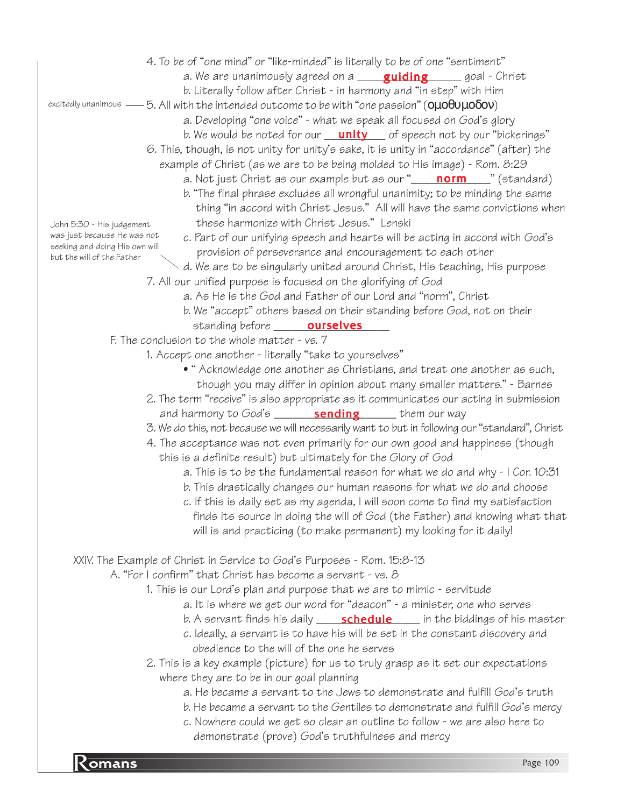- 4. To be of "one mind" or "like-minded" is literally to be of one "sentiment"
	- a. We are unanimously agreed on a **\_\_\_\_\_<mark>guiding</mark>\_\_\_\_\_\_**\_goal Christ
	- b. Literally follow after Christ in harmony and "in step" with Him
- excitedly unanimous ——5. All with the intended outcome to be with "one passion" ( $0\mu 0\theta$ 0 $\mu$ 0 $\delta$ 0 $\rm v$ )
	- a. Developing "one voice" what we speak all focused on God's glory
	- b. We would be noted for our \_\_\_\_\_\_\_\_\_\_ of speech not by our "bickerings" unity
	- 6. This, though, is not unity for unity's sake, it is unity in "accordance" (after) the
		- example of Christ (as we are to be being molded to His image) Rom. 8:29
			- a. Not just Christ as our example but as our "\_\_\_\_\_<mark>norm</mark>\_\_\_\_" (standard)
			- b. "The final phrase excludes all wrongful unanimity; to be minding the same thing "in accord with Christ Jesus." All will have the same convictions when these harmonize with Christ Jesus." Lenski
			- c. Part of our unifying speech and hearts will be acting in accord with God's provision of perseverance and encouragement to each other
	- d. We are to be singularly united around Christ, His teaching, His purpose 7. All our unified purpose is focused on the glorifying of God
		- a. As He is the God and Father of our Lord and "norm", Christ
			- b. We "accept" others based on their standing before God, not on their standing before \_\_\_\_\_\_\_\_**ourselves**\_\_\_\_
	- F. The conclusion to the whole matter vs. 7
		- 1. Accept one another literally "take to yourselves"
			- " Acknowledge one another as Christians, and treat one another as such, though you may differ in opinion about many smaller matters." - Barnes
		- 2. The term "receive" is also appropriate as it communicates our acting in submission and harmony to God's \_\_\_\_\_\_\_\_\_\_\_\_\_\_\_\_\_\_\_\_\_\_\_\_\_\_\_\_ them our way
		- 3. We do this, not because we will necessarily want to but in following our "standard", Christ
		- 4. The acceptance was not even primarily for our own good and happiness (though this is a definite result) but ultimately for the Glory of God
			- a. This is to be the fundamental reason for what we do and why I Cor. 10:31
			- b. This drastically changes our human reasons for what we do and choose
			- c. If this is daily set as my agenda, I will soon come to find my satisfaction finds its source in doing the will of God (the Father) and knowing what that will is and practicing (to make permanent) my looking for it daily!

# XXIV. The Example of Christ in Service to God's Purposes - Rom. 15:8-13

A. "For I confirm" that Christ has become a servant - vs. 8

- 1. This is our Lord's plan and purpose that we are to mimic servitude
	- a. It is where we get our word for "deacon" a minister, one who serves
	- b. A servant finds his daily \_\_\_\_\_**schedule** \_\_\_\_\_ in the biddings of his master
	- c. Ideally, a servant is to have his will be set in the constant discovery and obedience to the will of the one he serves
- 2. This is a key example (picture) for us to truly grasp as it set our expectations where they are to be in our goal planning
	- a. He became a servant to the Jews to demonstrate and fulfill God's truth
	- b. He became a servant to the Gentiles to demonstrate and fulfill God's mercy
	- c. Nowhere could we get so clear an outline to follow we are also here to demonstrate (prove) God's truthfulness and mercy

John 5:30 - His judgement was just because He was not seeking and doing His own will but the will of the Father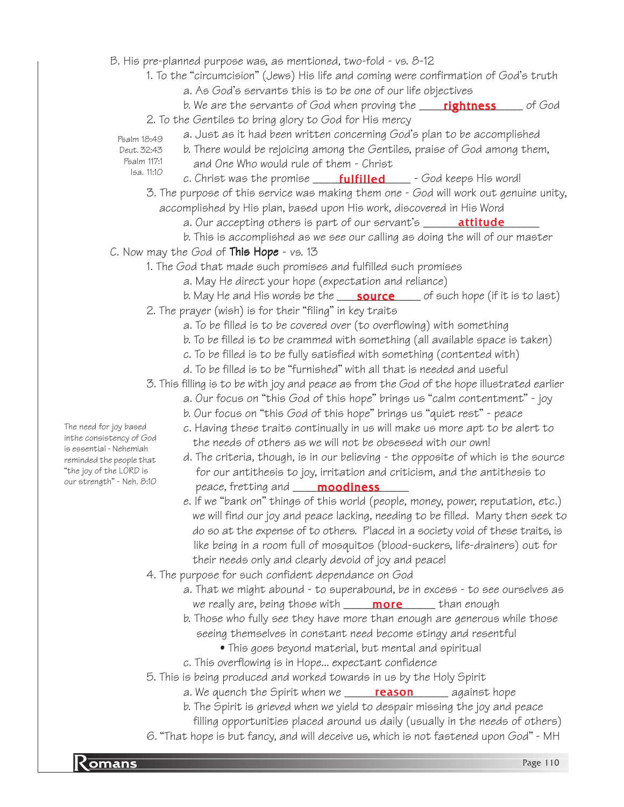B. His pre-planned purpose was, as mentioned, two-fold - vs. 8-12

- 1. To the "circumcision" (Jews) His life and coming were confirmation of God's truth
	- a. As God's servants this is to be one of our life objectives
- b. We are the servants of God when proving the \_\_\_\_\_<mark>rightness</mark>\_\_\_\_\_\_ of God 2. To the Gentiles to bring glory to God for His mercy
	- a. Just as it had been written concerning God's plan to be accomplished
- Psalm 18:49 Deut. 32:43 Psalm 117:1

Isa. 11:10

- b. There would be rejoicing among the Gentiles, praise of God among them, and One Who would rule of them - Christ
- c. Christ was the promise \_\_\_\_\_<mark>fulfilled</mark> \_\_\_\_ God keeps His word!
- 3. The purpose of this service was making them one God will work out genuine unity, accomplished by His plan, based upon His work, discovered in His Word
	- a. Our accepting others is part of our servant's \_\_\_\_\_\_\_\_\_\_\_\_\_\_\_\_\_\_\_\_\_\_\_\_\_\_\_\_\_\_\_
	- b. This is accomplished as we see our calling as doing the will of our master

## C. Now may the God of **This Hope** - vs. 13

- 1. The God that made such promises and fulfilled such promises
	- a. May He direct your hope (expectation and reliance)
		- b. May He and His words be the \_\_\_\_<mark>source</mark> \_\_\_\_ of such hope (if it is to last)
- 2. The prayer (wish) is for their "filing" in key traits
	- a. To be filled is to be covered over (to overflowing) with something
	- b. To be filled is to be crammed with something (all available space is taken)
	- c. To be filled is to be fully satisfied with something (contented with)
	- d. To be filled is to be "furnished" with all that is needed and useful
- 3. This filling is to be with joy and peace as from the God of the hope illustrated earlier
	- a. Our focus on "this God of this hope" brings us "calm contentment" joy
	- b. Our focus on "this God of this hope" brings us "quiet rest" peace
	- c. Having these traits continually in us will make us more apt to be alert to the needs of others as we will not be obsessed with our own!
- d. The criteria, though, is in our believing the opposite of which is the source for our antithesis to joy, irritation and criticism, and the antithesis to our strength" - Neh. 8:10 peace, fretting and **moodiness** 
	- e. If we "bank on" things of this world (people, money, power, reputation, etc.) we will find our joy and peace lacking, needing to be filled. Many then seek to do so at the expense of to others. Placed in a society void of these traits, is like being in a room full of mosquitos (blood-suckers, life-drainers) out for their needs only and clearly devoid of joy and peace!
	- 4. The purpose for such confident dependance on God
		- a. That we might abound to superabound, be in excess to see ourselves as we really are, being those with \_\_\_\_\_\_\_\_\_\_\_\_\_\_\_\_\_\_\_\_\_\_ than enough
		- b. Those who fully see they have more than enough are generous while those seeing themselves in constant need become stingy and resentful
			- This goes beyond material, but mental and spiritual
		- c. This overflowing is in Hope... expectant confidence
	- 5. This is being produced and worked towards in us by the Holy Spirit
		- a. We quench the Spirit when we <u>\_\_\_\_\_\_**reason**\_\_\_\_\_</u>\_\_ against hope
		- b. The Spirit is grieved when we yield to despair missing the joy and peace
			- filling opportunities placed around us daily (usually in the needs of others)
	- 6. "That hope is but fancy, and will deceive us, which is not fastened upon God" MH

The need for joy based inthe consistency of God is essential - Nehemiah reminded the people that "the joy of the LORD is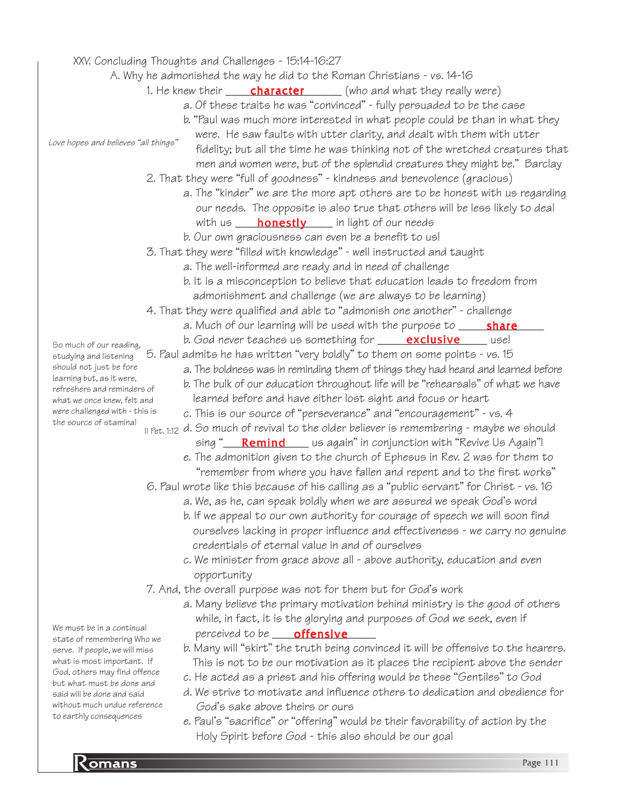XXV. Concluding Thoughts and Challenges - 15:14-16:27

A. Why he admonished the way he did to the Roman Christians - vs. 14-16

- 1. He knew their \_\_\_\_\_\_**character** \_\_\_\_\_\_ (who and what they really were)
	- a. Of these traits he was "convinced" fully persuaded to be the case
	- b. "Paul was much more interested in what people could be than in what they

Love hopes and believes "all things"

- were. He saw faults with utter clarity, and dealt with them with utter fidelity; but all the time he was thinking not of the wretched creatures that men and women were, but of the splendid creatures they might be." Barclay
- 2. That they were "full of goodness" kindness and benevolence (gracious)
	- a. The "kinder" we are the more apt others are to be honest with us regarding our needs. The opposite is also true that others will be less likely to deal with us \_\_\_\_\_<mark>honestly</mark> \_\_\_\_\_ in light of our needs
	- b. Our own graciousness can even be a benefit to us!
- 3. That they were "filled with knowledge" well instructed and taught
	- a. The well-informed are ready and in need of challenge
	- b. It is a misconception to believe that education leads to freedom from admonishment and challenge (we are always to be learning)
- 4. That they were qualified and able to "admonish one another" challenge
	- a. Much of our learning will be used with the purpose to \_\_\_\_\_<mark>share</mark>\_\_\_\_
	- b. God never teaches us something for \_\_\_\_\_<mark>exclusive</mark> \_\_\_\_\_ use!
- 5. Paul admits he has written "very boldly" to them on some points vs. 15
	- a. The boldness was in reminding them of things they had heard and learned before
	- b. The bulk of our education throughout life will be "rehearsals" of what we have
	- learned before and have either lost sight and focus or heart
	- c. This is our source of "perseverance" and "encouragement" vs. 4
- $\scriptstyle\rm II$  Pet. 1:12 d. So much of revival to the older believer is remembering maybe we should sing "\_\_\_\_<mark>Remind</mark>\_\_\_\_\_us again" in conjunction with "Revive Us Again"!
	- e. The admonition given to the church of Ephesus in Rev. 2 was for them to "remember from where you have fallen and repent and to the first works"
- 6. Paul wrote like this because of his calling as a "public servant" for Christ vs. 16
	- a. We, as he, can speak boldly when we are assured we speak God's word
	- b. If we appeal to our own authority for courage of speech we will soon find ourselves lacking in proper influence and effectiveness - we carry no genuine credentials of eternal value in and of ourselves
	- c. We minister from grace above all above authority, education and even opportunity
- 7. And, the overall purpose was not for them but for God's work
	- a. Many believe the primary motivation behind ministry is the good of others while, in fact, it is the glorying and purposes of God we seek, even if perceived to be \_\_\_\_\_\_\_\_\_\_\_\_\_\_\_\_\_ offensive
	- b. Many will "skirt" the truth being convinced it will be offensive to the hearers. This is not to be our motivation as it places the recipient above the sender
	- c. He acted as a priest and his offering would be these "Gentiles" to God
	- d. We strive to motivate and influence others to dedication and obedience for God's sake above theirs or ours
	- e. Paul's "sacrifice" or "offering" would be their favorability of action by the Holy Spirit before God - this also should be our goal

So much of our reading, studying and listening should not just be fore learning but, as it were, refreshers and reminders of what we once knew, felt and were challenged with - this is the source of stamina!

We must be in a continual state of remembering Who we serve. If people, we will miss what is most important. If God, others may find offence but what must be done and said will be done and said without much undue reference to earthly consequences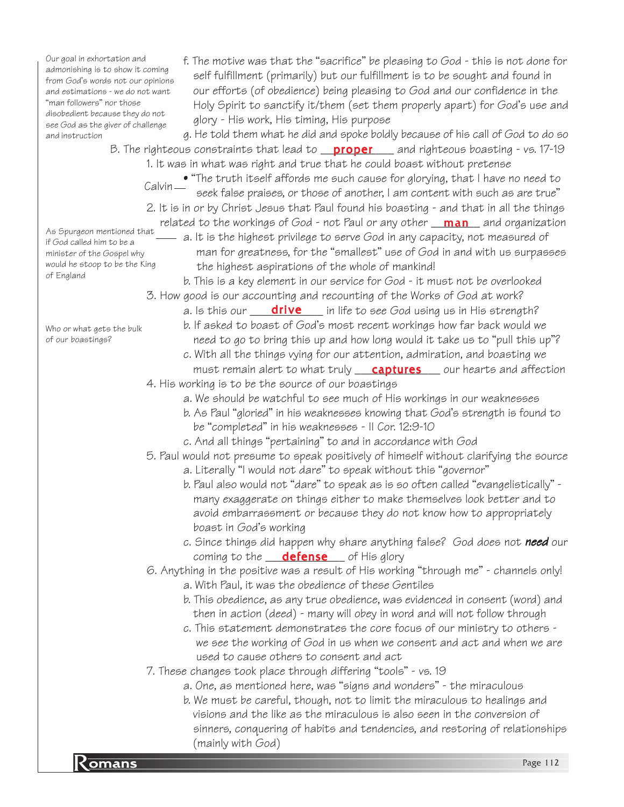Our goal in exhortation and admonishing is to show it coming from God's words not our opinions and estimations - we do not want "man followers" nor those disobedient because they do not see God as the giver of challenge and instruction

f. The motive was that the "sacrifice" be pleasing to God - this is not done for self fulfillment (primarily) but our fulfillment is to be sought and found in our efforts (of obedience) being pleasing to God and our confidence in the Holy Spirit to sanctify it/them (set them properly apart) for God's use and glory - His work, His timing, His purpose

g. He told them what he did and spoke boldly because of his call of God to do so B. The righteous constraints that lead to <u>proper</u> and righteous boasting - vs. 17-19 1. It was in what was right and true that he could boast without pretense

• "The truth itself affords me such cause for glorying, that I have no need to seek false praises, or those of another, I am content with such as are true" Calvin<sub>-</sub>

2. It is in or by Christ Jesus that Paul found his boasting - and that in all the things related to the workings of God - not Paul or any other  $\frac{\text{man}}{\text{man}}$  and organization As Spurgeon mentioned that

 $-$  a. It is the highest privilege to serve God in any capacity, not measured of man for greatness, for the "smallest" use of God in and with us surpasses the highest aspirations of the whole of mankind!

b. This is a key element in our service for God - it must not be overlooked 3. How good is our accounting and recounting of the Works of God at work?

a. Is this our \_\_\_\_\_<mark>drive</mark> \_\_\_\_ in life to see God using us in His strength?

- b. If asked to boast of God's most recent workings how far back would we need to go to bring this up and how long would it take us to "pull this up"?
- c. With all the things vying for our attention, admiration, and boasting we must remain alert to what truly **captures** our hearts and affection
- 4. His working is to be the source of our boastings
	- a. We should be watchful to see much of His workings in our weaknesses
	- b. As Paul "gloried" in his weaknesses knowing that God's strength is found to be "completed" in his weaknesses - II Cor. 12:9-10
	- c. And all things "pertaining" to and in accordance with God

5. Paul would not presume to speak positively of himself without clarifying the source

- a. Literally "I would not dare" to speak without this "governor"
- b. Paul also would not "dare" to speak as is so often called "evangelistically" many exaggerate on things either to make themselves look better and to avoid embarrassment or because they do not know how to appropriately boast in God's working
- c. Since things did happen why share anything false? God does not need our coming to the \_\_\_<mark>defense</mark> \_\_\_ of His glory

6. Anything in the positive was a result of His working "through me" - channels only!

- a. With Paul, it was the obedience of these Gentiles
- b. This obedience, as any true obedience, was evidenced in consent (word) and then in action (deed) - many will obey in word and will not follow through
- c. This statement demonstrates the core focus of our ministry to others we see the working of God in us when we consent and act and when we are used to cause others to consent and act
- 7. These changes took place through differing "tools" vs. 19
	- a. One, as mentioned here, was "signs and wonders" the miraculous
- Romans Page 112 b. We must be careful, though, not to limit the miraculous to healings and visions and the like as the miraculous is also seen in the conversion of sinners, conquering of habits and tendencies, and restoring of relationships (mainly with God)

Who or what gets the bulk of our boastings?

if God called him to be a minister of the Gospel why would he stoop to be the King

of England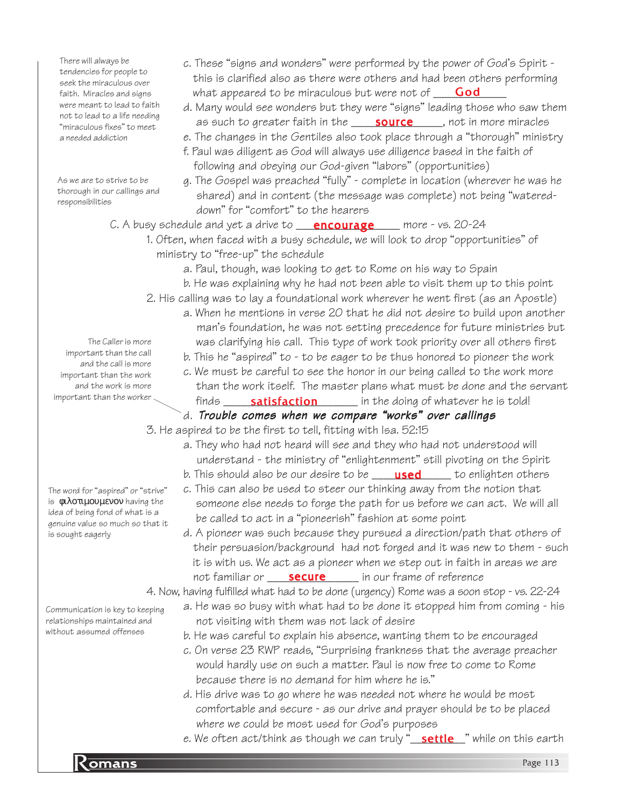There will always be tendencies for people to seek the miraculous over faith. Miracles and signs were meant to lead to faith not to lead to a life needing "miraculous fixes" to meet a needed addiction

As we are to strive to be thorough in our callings and responsibilities

- this is clarified also as there were others and had been others performing what appeared to be miraculous but were not of **God** d. Many would see wonders but they were "signs" leading those who saw them
	- as such to greater faith in the **source**, not in more miracles

c. These "signs and wonders" were performed by the power of God's Spirit -

- e. The changes in the Gentiles also took place through a "thorough" ministry
- f. Paul was diligent as God will always use diligence based in the faith of following and obeying our God-given "labors" (opportunities)
- g. The Gospel was preached "fully" complete in location (wherever he was he shared) and in content (the message was complete) not being "watered down" for "comfort" to the hearers
- C. A busy schedule and yet a drive to **\_\_\_\_encourage** \_\_\_\_\_ more vs. 20-24
	- 1. Often, when faced with a busy schedule, we will look to drop "opportunities" of ministry to "free-up" the schedule
		- a. Paul, though, was looking to get to Rome on his way to Spain
		- b. He was explaining why he had not been able to visit them up to this point
	- 2. His calling was to lay a foundational work wherever he went first (as an Apostle)
		- a. When he mentions in verse 20 that he did not desire to build upon another man's foundation, he was not setting precedence for future ministries but was clarifying his call. This type of work took priority over all others first
			- b. This he "aspired" to to be eager to be thus honored to pioneer the work
			- c. We must be careful to see the honor in our being called to the work more than the work itself. The master plans what must be done and the servant finds \_\_\_\_\_\_\_\_\_\_\_\_\_\_\_\_\_\_\_\_\_\_ in the doing of whatever he is told! satisfaction
			- d. Trouble comes when we compare "works" over callings
	- 3. He aspired to be the first to tell, fitting with Isa. 52:15
		- a. They who had not heard will see and they who had not understood will understand - the ministry of "enlightenment" still pivoting on the Spirit
			- b. This should also be our desire to be \_\_\_\_\_**used** \_\_\_\_\_ to enlighten others
		- c. This can also be used to steer our thinking away from the notion that someone else needs to forge the path for us before we can act. We will all be called to act in a "pioneerish" fashion at some point
		- d. A pioneer was such because they pursued a direction/path that others of their persuasion/background had not forged and it was new to them - such it is with us. We act as a pioneer when we step out in faith in areas we are not familiar or **\_\_\_\_\_\_\_\_\_\_\_\_\_\_\_** in our frame of reference

4. Now, having fulfilled what had to be done (urgency) Rome was a soon stop - vs. 22-24

- a. He was so busy with what had to be done it stopped him from coming his not visiting with them was not lack of desire
	- b. He was careful to explain his absence, wanting them to be encouraged
	- c. On verse 23 RWP reads, "Surprising frankness that the average preacher would hardly use on such a matter. Paul is now free to come to Rome because there is no demand for him where he is."
	- d. His drive was to go where he was needed not where he would be most comfortable and secure - as our drive and prayer should be to be placed where we could be most used for God's purposes
	- *e.* We often act/think as though we can truly "<u>\_\_**settle\_\_**"</u> while on this earth

The Caller is more important than the call and the call is more important than the work and the work is more important than the worker

The word for "aspired" or "strive" is φιλοτιµουµενον having the idea of being fond of what is a genuine value so much so that it is sought eagerly

Communication is key to keeping relationships maintained and without assumed offenses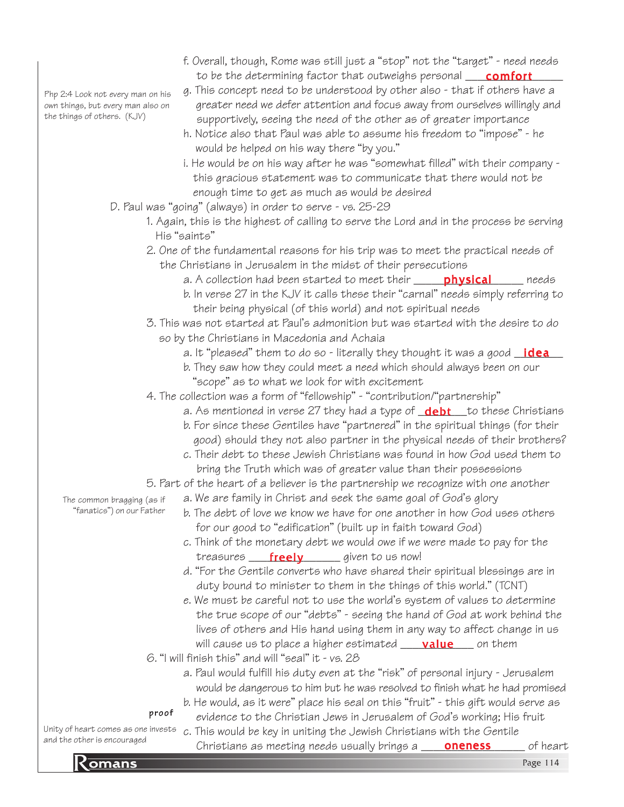Php 2:4 Look not every man on his own things, but every man also on the things of others. (KJV)

- f. Overall, though, Rome was still just a "stop" not the "target" need needs to be the determining factor that outweighs personal **\_\_\_\_\_\_\_\_\_\_\_\_\_\_\_\_\_\_\_\_\_\_\_\_\_\_**
- g. This concept need to be understood by other also that if others have a greater need we defer attention and focus away from ourselves willingly and supportively, seeing the need of the other as of greater importance
- h. Notice also that Paul was able to assume his freedom to "impose" he would be helped on his way there "by you."
- i. He would be on his way after he was "somewhat filled" with their company this gracious statement was to communicate that there would not be enough time to get as much as would be desired
- D. Paul was "going" (always) in order to serve vs. 25-29
	- 1. Again, this is the highest of calling to serve the Lord and in the process be serving His "saints"
	- 2. One of the fundamental reasons for his trip was to meet the practical needs of the Christians in Jerusalem in the midst of their persecutions
		- a. A collection had been started to meet their \_\_\_\_\_\_<mark>physical</mark>\_\_\_\_\_\_\_needs
		- b. In verse 27 in the KJV it calls these their "carnal" needs simply referring to their being physical (of this world) and not spiritual needs
	- 3. This was not started at Paul's admonition but was started with the desire to do so by the Christians in Macedonia and Achaia
		- a. It "pleased" them to do so literally they thought it was a good <u>\_**idea**\_\_</u>
		- b. They saw how they could meet a need which should always been on our "scope" as to what we look for with excitement
	- 4. The collection was a form of "fellowship" "contribution/"partnership"
		- a. As mentioned in verse 27 they had a type of **\_debt\_\_**to these Christians
		- b. For since these Gentiles have "partnered" in the spiritual things (for their good) should they not also partner in the physical needs of their brothers?
		- c. Their debt to these Jewish Christians was found in how God used them to bring the Truth which was of greater value than their possessions
	- 5. Part of the heart of a believer is the partnership we recognize with one another
		- a. We are family in Christ and seek the same goal of God's glory
		- b. The debt of love we know we have for one another in how God uses others for our good to "edification" (built up in faith toward God)
		- c. Think of the monetary debt we would owe if we were made to pay for the treasures <u>freely</u> \_\_\_\_\_\_ given to us now!
		- d. "For the Gentile converts who have shared their spiritual blessings are in duty bound to minister to them in the things of this world." (TCNT)
		- e. We must be careful not to use the world's system of values to determine the true scope of our "debts" - seeing the hand of God at work behind the lives of others and His hand using them in any way to affect change in us will cause us to place a higher estimated <u>\_\_\_\_**value**\_\_\_</u> on them
	- $6.$  "I will finish this" and will "seal" it vs. 28
		- a. Paul would fulfill his duty even at the "risk" of personal injury Jerusalem would be dangerous to him but he was resolved to finish what he had promised b. He would, as it were" place his seal on this "fruit" - this gift would serve as

evidence to the Christian Jews in Jerusalem of God's working; His fruit

## proof

Unity of heart comes as one invests and the other is encouraged

omeris encouraged Christians as meeting needs usually brings a **oneness** of heart<br>Romans Page 114 c. This would be key in uniting the Jewish Christians with the Gentile

The common bragging (as if "fanatics") on our Father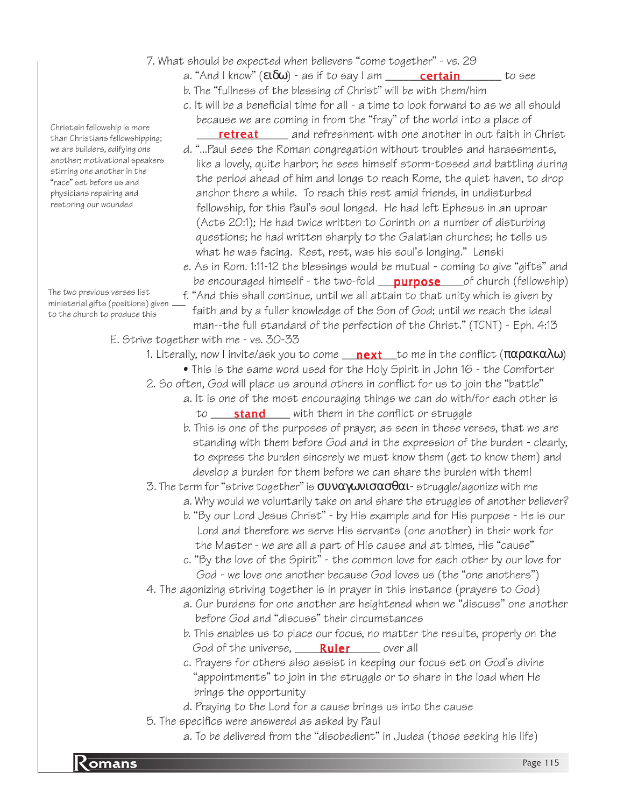- 7. What should be expected when believers "come together" vs. 29
	- a. "And I know" (**ειδω**) as if to say I am \_\_\_\_\_\_\_**certain** \_\_\_\_\_\_\_ to see
	- b. The "fullness of the blessing of Christ" will be with them/him
	- c. It will be a beneficial time for all a time to look forward to as we all should because we are coming in from the "fray" of the world into a place of
	- **retreat** and refreshment with one another in out faith in Christ
	- d. "...Paul sees the Roman congregation without troubles and harassments, like a lovely, quite harbor; he sees himself storm-tossed and battling during the period ahead of him and longs to reach Rome, the quiet haven, to drop anchor there a while. To reach this rest amid friends, in undisturbed fellowship, for this Paul's soul longed. He had left Ephesus in an uproar (Acts 20:1); He had twice written to Corinth on a number of disturbing questions; he had written sharply to the Galatian churches; he tells us what he was facing. Rest, rest, was his soul's longing." Lenski
	- e. As in Rom. 1:11-12 the blessings would be mutual coming to give "gifts" and be encouraged himself - the two-fold \_\_<mark>purpose</mark> \_\_\_of church (fellowship)
	- f. "And this shall continue, until we all attain to that unity which is given by faith and by a fuller knowledge of the Son of God; until we reach the ideal man--the full standard of the perfection of the Christ." (TCNT) - Eph. 4:13
- E. Strive together with me vs. 30-33
	- 1. Literally, now I invite/ask you to come \_\_<mark>\_next</mark> \_\_to me in the conflict (παρακαλω)
		- This is the same word used for the Holy Spirit in John 16 the Comforter
	- 2. So often, God will place us around others in conflict for us to join the "battle"
		- a. It is one of the most encouraging things we can do with/for each other is to \_\_\_\_\_\_\_\_\_\_\_\_\_ with them in the conflict or struggle stand
			- b. This is one of the purposes of prayer, as seen in these verses, that we are standing with them before God and in the expression of the burden - clearly, to express the burden sincerely we must know them (get to know them) and develop a burden for them before we can share the burden with them!

3. The term for "strive together" is  $συναγωνισασθαι-struggle/agonize with me$ 

- a. Why would we voluntarily take on and share the struggles of another believer?
- b. "By our Lord Jesus Christ" by His example and for His purpose He is our Lord and therefore we serve His servants (one another) in their work for the Master - we are all a part of His cause and at times, His "cause"
- c. "By the love of the Spirit" the common love for each other by our love for God - we love one another because God loves us (the "one anothers")

4. The agonizing striving together is in prayer in this instance (prayers to God)

- a. Our burdens for one another are heightened when we "discuss" one another before God and "discuss" their circumstances
- b. This enables us to place our focus, no matter the results, properly on the God of the universe, **Ruler** over all
- c. Prayers for others also assist in keeping our focus set on God's divine "appointments" to join in the struggle or to share in the load when He brings the opportunity
- d. Praying to the Lord for a cause brings us into the cause
- 5. The specifics were answered as asked by Paul
	- a. To be delivered from the "disobedient" in Judea (those seeking his life)

Christain fellowship is more than Christians fellowshipping; we are builders, edifying one another; motivational speakers stirring one another in the "race" set before us and physicians repairing and restoring our wounded

The two previous verses list ministerial gifts (positions) given to the church to produce this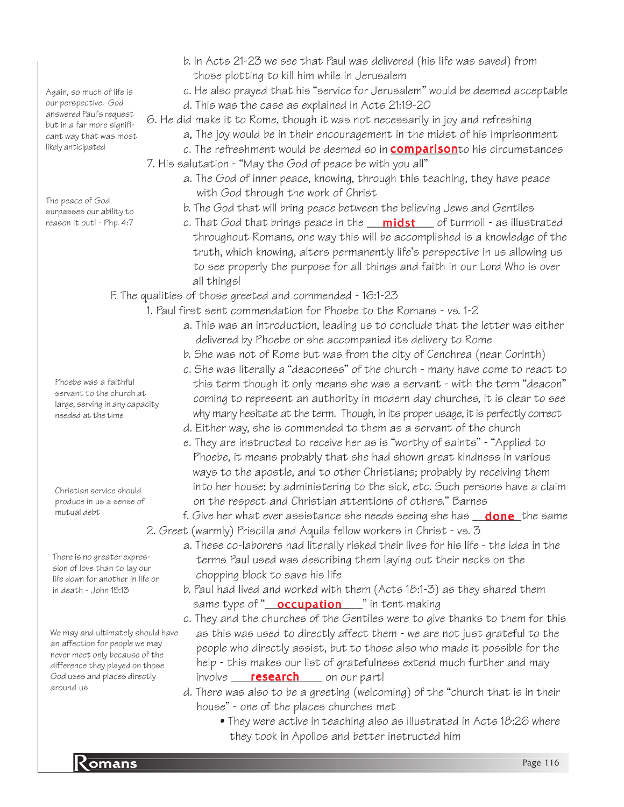Again, so much of life is our perspective. God answered Paul's request but in a far more significant way that was most likely anticipated

The peace of God surpasses our ability to reason it out! - Php. 4:7

- b. In Acts 21-23 we see that Paul was delivered (his life was saved) from those plotting to kill him while in Jerusalem
- c. He also prayed that his "service for Jerusalem" would be deemed acceptable d. This was the case as explained in Acts 21:19-20
- 6. He did make it to Rome, though it was not necessarily in joy and refreshing
	- a, The joy would be in their encouragement in the midst of his imprisonment
- c. The refreshment would be deemed so in <mark>comparison</mark>to his circumstances 7. His salutation - "May the God of peace be with you all"
	- a. The God of inner peace, knowing, through this teaching, they have peace with God through the work of Christ
	- b. The God that will bring peace between the believing Jews and Gentiles
	- c. That God that brings peace in the \_\_\_<mark>midst</mark>\_\_\_\_ of turmoil as illustrated throughout Romans, one way this will be accomplished is a knowledge of the truth, which knowing, alters permanently life's perspective in us allowing us to see properly the purpose for all things and faith in our Lord Who is over all things!

## F. The qualities of those greeted and commended - 16:1-23

- 1. Paul first sent commendation for Phoebe to the Romans vs. 1-2
	- a. This was an introduction, leading us to conclude that the letter was either delivered by Phoebe or she accompanied its delivery to Rome
	- b. She was not of Rome but was from the city of Cenchrea (near Corinth)
	- c. She was literally a "deaconess" of the church many have come to react to this term though it only means she was a servant - with the term "deacon" coming to represent an authority in modern day churches, it is clear to see why many hesitate at the term. Though, in its proper usage, it is perfectly correct
	- d. Either way, she is commended to them as a servant of the church
	- e. They are instructed to receive her as is "worthy of saints" "Applied to Phoebe, it means probably that she had shown great kindness in various ways to the apostle, and to other Christians; probably by receiving them into her house; by administering to the sick, etc. Such persons have a claim on the respect and Christian attentions of others." Barnes
- f. Give her what ever assistance she needs seeing she has \_\_<mark>done\_</mark>the same 2. Greet (warmly) Priscilla and Aquila fellow workers in Christ - vs. 3
	- a. These co-laborers had literally risked their lives for his life the idea in the terms Paul used was describing them laying out their necks on the chopping block to save his life
	- b. Paul had lived and worked with them (Acts 18:1-3) as they shared them same type of "<u>\_\_**occupation**\_\_\_</u>" in tent making
	- c. They and the churches of the Gentiles were to give thanks to them for this as this was used to directly affect them - we are not just grateful to the people who directly assist, but to those also who made it possible for the help - this makes our list of gratefulness extend much further and may involve <u>Fesearch on our part!</u>
	- d. There was also to be a greeting (welcoming) of the "church that is in their house" - one of the places churches met
		- They were active in teaching also as illustrated in Acts 18:26 where they took in Apollos and better instructed him

Phoebe was a faithful servant to the church at large, serving in any capacity needed at the time

Christian service should produce in us a sense of mutual debt

There is no greater expression of love than to lay our life down for another in life or in death - John 15:13

We may and ultimately should have an affection for people we may never meet only because of the difference they played on those God uses and places directly around us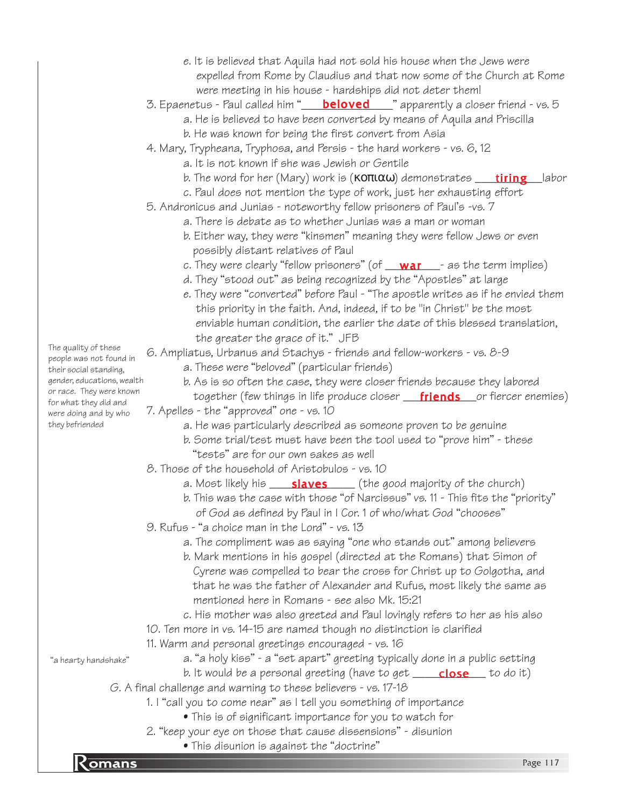- e. It is believed that Aquila had not sold his house when the Jews were expelled from Rome by Claudius and that now some of the Church at Rome were meeting in his house - hardships did not deter them!
- 3. Epaenetus Paul called him "\_\_\_\_<mark>beloved</mark>\_\_\_\_" apparently a closer friend vs. 5
	- a. He is believed to have been converted by means of Aquila and Priscilla
	- b. He was known for being the first convert from Asia
- 4. Mary, Trypheana, Tryphosa, and Persis the hard workers vs. 6, 12
	- a. It is not known if she was Jewish or Gentile
	- b. The word for her (Mary) work is (**κοπιαω**) demonstrates \_\_\_<mark>\_\_tiring\_\_\_</mark>labor
	- c. Paul does not mention the type of work, just her exhausting effort
- 5. Andronicus and Junias noteworthy fellow prisoners of Paul's -vs. 7
	- a. There is debate as to whether Junias was a man or woman
	- b. Either way, they were "kinsmen" meaning they were fellow Jews or even possibly distant relatives of Paul
	- c. They were clearly "fellow prisoners" (of \_\_<mark>war</mark>\_\_\_- as the term implies)
	- d. They "stood out" as being recognized by the "Apostles" at large
	- e. They were "converted" before Paul "The apostle writes as if he envied them this priority in the faith. And, indeed, if to be "in Christ" be the most enviable human condition, the earlier the date of this blessed translation, the greater the grace of it." JFB

#### 6. Ampliatus, Urbanus and Stachys - friends and fellow-workers - vs. 8-9

- a. These were "beloved" (particular friends)
- b. As is so often the case, they were closer friends because they labored together (few things in life produce closer <u>\_\_\_**friends**\_\_\_</u>or fiercer enemies)
- 7. Apelles the "approved" one vs. 10
	- a. He was particularly described as someone proven to be genuine
	- b. Some trial/test must have been the tool used to "prove him" these "tests" are for our own sakes as well
- 8. Those of the household of Aristobulos vs. 10
	- a. Most likely his \_\_\_\_\_**slaves** \_\_\_\_\_ (the good majority of the church)
	- b. This was the case with those "of Narcissus" vs. 11 This fits the "priority" of God as defined by Paul in I Cor. 1 of who/what God "chooses"
- 9. Rufus "a choice man in the Lord" vs. 13
	- a. The compliment was as saying "one who stands out" among believers
	- b. Mark mentions in his gospel (directed at the Romans) that Simon of Cyrene was compelled to bear the cross for Christ up to Golgotha, and that he was the father of Alexander and Rufus, most likely the same as mentioned here in Romans - see also Mk. 15:21
	- c. His mother was also greeted and Paul lovingly refers to her as his also
- 10. Ten more in vs. 14-15 are named though no distinction is clarified
- 11. Warm and personal greetings encouraged vs. 16

"a hearty handshake"

- a. "a holy kiss" a "set apart" greeting typically done in a public setting
- b. It would be a personal greeting (have to get \_\_\_\_\_<mark>close</mark> \_\_ to do it)
- G. A final challenge and warning to these believers vs. 17-18
	- 1. I "call you to come near" as I tell you something of importance
		- This is of significant importance for you to watch for
	- 2. "keep your eye on those that cause dissensions" disunion
- **Romans** Page 117 • This disunion is against the "doctrine"

The quality of these people was not found in their social standing, gender, educations, wealth or race. They were known for what they did and were doing and by who they befriended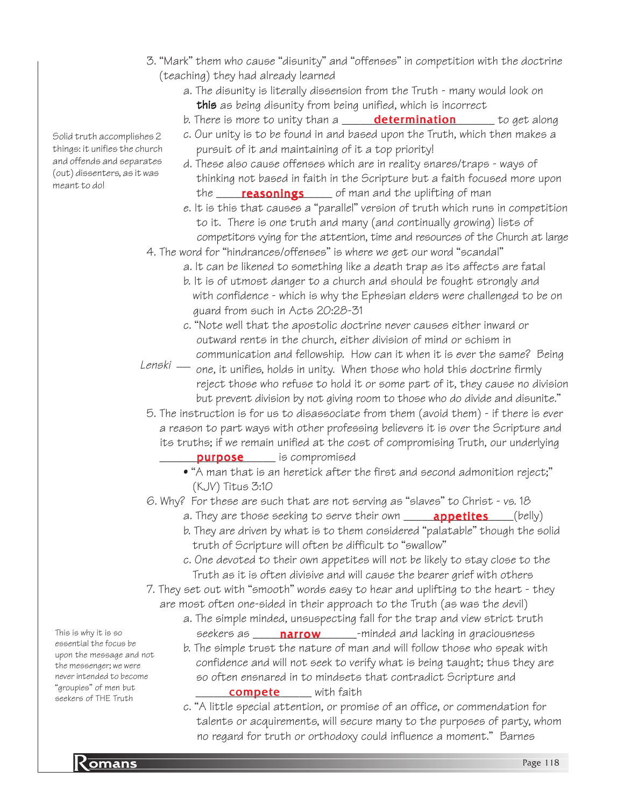- 3. "Mark" them who cause "disunity" and "offenses" in competition with the doctrine (teaching) they had already learned
	- a. The disunity is literally dissension from the Truth many would look on this as being disunity from being unified, which is incorrect
	- b. There is more to unity than a **\_\_\_\_\_\_\_<mark>determination</mark>\_\_\_\_\_\_\_** to get along
	- c. Our unity is to be found in and based upon the Truth, which then makes a pursuit of it and maintaining of it a top priority!
	- d. These also cause offenses which are in reality snares/traps ways of thinking not based in faith in the Scripture but a faith focused more upon the <u>\_\_\_\_\_**reasonings** \_\_\_</u>\_\_ of man and the uplifting of man
	- e. It is this that causes a "parallel" version of truth which runs in competition to it. There is one truth and many (and continually growing) lists of competitors vying for the attention, time and resources of the Church at large
- 4. The word for "hindrances/offenses" is where we get our word "scandal"
	- a. It can be likened to something like a death trap as its affects are fatal
	- b. It is of utmost danger to a church and should be fought strongly and with confidence - which is why the Ephesian elders were challenged to be on guard from such in Acts 20:28-31
	- c. "Note well that the apostolic doctrine never causes either inward or outward rents in the church, either division of mind or schism in communication and fellowship. How can it when it is ever the same? Being
- Lenski one, it unifies, holds in unity. When those who hold this doctrine firmly reject those who refuse to hold it or some part of it, they cause no division but prevent division by not giving room to those who do divide and disunite."
- 5. The instruction is for us to disassociate from them (avoid them) if there is ever a reason to part ways with other professing believers it is over the Scripture and its truths; if we remain unified at the cost of compromising Truth, our underlying
- **purpose** end is compromised
	- "A man that is an heretick after the first and second admonition reject;" (KJV) Titus 3:10
- 6. Why? For these are such that are not serving as "slaves" to Christ vs. 18
	- a. They are those seeking to serve their own \_\_\_\_\_\_**appetites**\_\_\_\_(belly)
	- b. They are driven by what is to them considered "palatable" though the solid truth of Scripture will often be difficult to "swallow"
	- c. One devoted to their own appetites will not be likely to stay close to the Truth as it is often divisive and will cause the bearer grief with others
- 7. They set out with "smooth" words easy to hear and uplifting to the heart they are most often one-sided in their approach to the Truth (as was the devil)
	- a. The simple minded, unsuspecting fall for the trap and view strict truth seekers as \_\_\_\_\_**narrow**\_\_\_\_\_\_-minded and lacking in graciousness
		- b. The simple trust the nature of man and will follow those who speak with confidence and will not seek to verify what is being taught; thus they are so often ensnared in to mindsets that contradict Scripture and **compete** with faith
		- c. "A little special attention, or promise of an office, or commendation for talents or acquirements, will secure many to the purposes of party, whom no regard for truth or orthodoxy could influence a moment." Barnes

Solid truth accomplishes 2 things: it unifies the church and offends and separates (out) dissenters, as it was meant to do!

This is why it is so essential the focus be upon the message and not the messenger; we were never intended to become "groupies" of men but seekers of THE Truth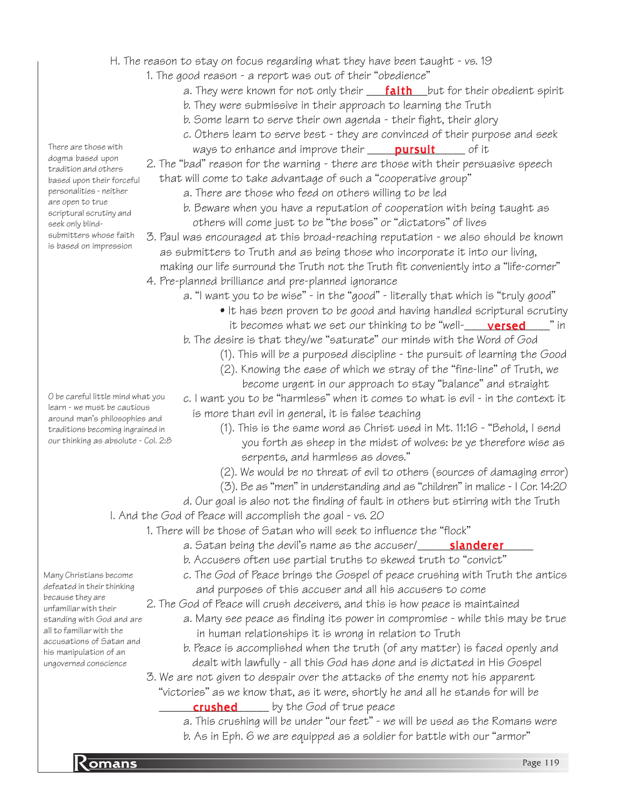- H. The reason to stay on focus regarding what they have been taught vs. 19
	- 1. The good reason a report was out of their "obedience"
		- a. They were known for not only their \_\_\_\_<mark>faith</mark>\_\_\_but for their obedient spirit
		- b. They were submissive in their approach to learning the Truth
		- b. Some learn to serve their own agenda their fight, their glory
		- c. Others learn to serve best they are convinced of their purpose and seek ways to enhance and improve their \_\_\_\_\_<mark>pursuit</mark>\_\_\_\_\_\_ of it

2. The "bad" reason for the warning - there are those with their persuasive speech that will come to take advantage of such a "cooperative group"

- a. There are those who feed on others willing to be led
- b. Beware when you have a reputation of cooperation with being taught as others will come just to be "the boss" or "dictators" of lives
- 3. Paul was encouraged at this broad-reaching reputation we also should be known as submitters to Truth and as being those who incorporate it into our living, making our life surround the Truth not the Truth fit conveniently into a "life-corner"
- 4. Pre-planned brilliance and pre-planned ignorance
	- a. "I want you to be wise" in the "good" literally that which is "truly good"
		- It has been proven to be good and having handled scriptural scrutiny it becomes what we set our thinking to be "well-\_\_\_\_\_**versed\_\_\_\_**" in
		- b. The desire is that they/we "saturate" our minds with the Word of God
			- (1). This will be a purposed discipline the pursuit of learning the Good
			- (2). Knowing the ease of which we stray of the "fine-line" of Truth, we become urgent in our approach to stay "balance" and straight
		- c. I want you to be "harmless" when it comes to what is evil in the context it is more than evil in general, it is false teaching
			- (1). This is the same word as Christ used in Mt. 11:16 "Behold, I send you forth as sheep in the midst of wolves: be ye therefore wise as serpents, and harmless as doves."
			- (2). We would be no threat of evil to others (sources of damaging error)
			- (3). Be as "men" in understanding and as "children" in malice I Cor. 14:20
- d. Our goal is also not the finding of fault in others but stirring with the Truth I. And the God of Peace will accomplish the goal - vs. 20
	- 1. There will be those of Satan who will seek to influence the "flock"
		- a. Satan being the devil's name as the accuser/\_\_\_\_\_\_<mark>slanderer</mark>\_\_\_\_
		- b. Accusers often use partial truths to skewed truth to "convict"
		- c. The God of Peace brings the Gospel of peace crushing with Truth the antics and purposes of this accuser and all his accusers to come
	- 2. The God of Peace will crush deceivers, and this is how peace is maintained
		- a. Many see peace as finding its power in compromise while this may be true in human relationships it is wrong in relation to Truth
		- b. Peace is accomplished when the truth (of any matter) is faced openly and dealt with lawfully - all this God has done and is dictated in His Gospel
	- 3. We are not given to despair over the attacks of the enemy not his apparent "victories" as we know that, as it were, shortly he and all he stands for will be **crushed** by the God of true peace
		- a. This crushing will be under "our feet" we will be used as the Romans were
		- b. As in Eph. 6 we are equipped as a soldier for battle with our "armor"

There are those with dogma based upon tradition and others based upon their forceful personalities - neither are open to true scriptural scrutiny and seek only blindsubmitters whose faith is based on impression

O be careful little mind what you learn - we must be cautious around man's philosophies and traditions becoming ingrained in our thinking as absolute - Col. 2:8

Many Christians become defeated in their thinking because they are unfamiliar with their standing with God and are all to familiar with the accusations of Satan and his manipulation of an ungoverned conscience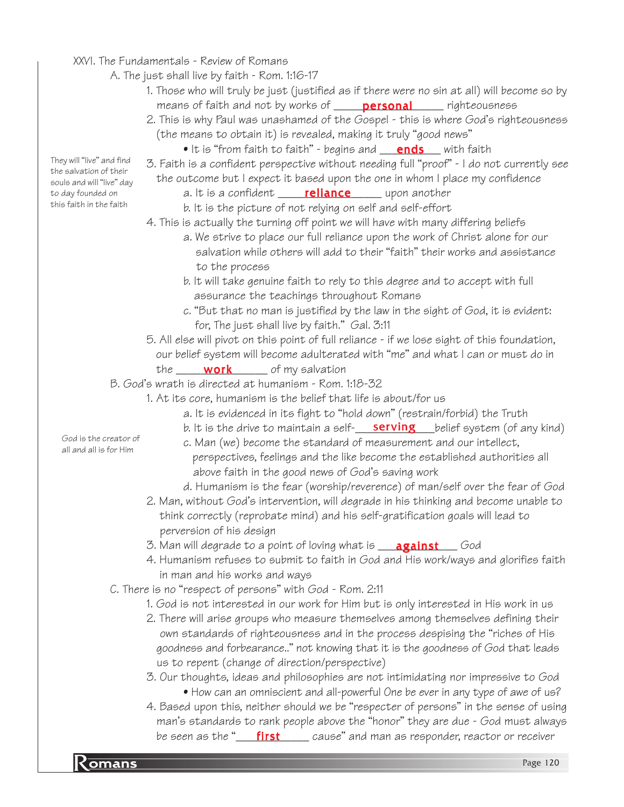- XXVI. The Fundamentals Review of Romans
	- A. The just shall live by faith Rom. 1:16-17
		- 1. Those who will truly be just (justified as if there were no sin at all) will become so by means of faith and not by works of \_\_\_\_\_**personal**\_\_\_\_\_\_ righteousness
		- 2. This is why Paul was unashamed of the Gospel this is where God's righteousness (the means to obtain it) is revealed, making it truly "good news"
			- $\bullet$  It is "from faith to faith" begins and  $\underline{\quad \text{ends} \quad}$  with faith
		- 3. Faith is a confident perspective without needing full "proof" I do not currently see the outcome but I expect it based upon the one in whom I place my confidence
			- a. It is a confident \_\_\_\_\_<mark>reliance</mark> \_\_\_\_\_ upon another
			- b. It is the picture of not relying on self and self-effort
		- 4. This is actually the turning off point we will have with many differing beliefs
			- a. We strive to place our full reliance upon the work of Christ alone for our salvation while others will add to their "faith" their works and assistance to the process
			- b. It will take genuine faith to rely to this degree and to accept with full assurance the teachings throughout Romans
			- c. "But that no man is justified by the law in the sight of God, it is evident: for, The just shall live by faith." Gal. 3:11
		- 5. All else will pivot on this point of full reliance if we lose sight of this foundation, our belief system will become adulterated with "me" and what I can or must do in the \_\_\_\_\_\_\_\_\_\_\_\_\_\_\_ of my salvation work
	- B. God's wrath is directed at humanism Rom. 1:18-32
		- 1. At its core, humanism is the belief that life is about/for us
			- a. It is evidenced in its fight to "hold down" (restrain/forbid) the Truth
			- b. It is the drive to maintain a self-**\_\_\_\_\_\_\_\_\_\_\_\_\_\_\_\_\_**\_\_\_\_belief system (of any kind)
			- c. Man (we) become the standard of measurement and our intellect, perspectives, feelings and the like become the established authorities all above faith in the good news of God's saving work
			- d. Humanism is the fear (worship/reverence) of man/self over the fear of God
		- 2. Man, without God's intervention, will degrade in his thinking and become unable to think correctly (reprobate mind) and his self-gratification goals will lead to perversion of his design
		- 3. Man will degrade to a point of loving what is \_\_\_\_<mark>against</mark> \_\_\_\_God
		- 4. Humanism refuses to submit to faith in God and His work/ways and glorifies faith in man and his works and ways
	- C. There is no "respect of persons" with God Rom. 2:11
		- 1. God is not interested in our work for Him but is only interested in His work in us
		- 2. There will arise groups who measure themselves among themselves defining their own standards of righteousness and in the process despising the "riches of His goodness and forbearance.." not knowing that it is the goodness of God that leads us to repent (change of direction/perspective)
		- 3. Our thoughts, ideas and philosophies are not intimidating nor impressive to God
			- How can an omniscient and all-powerful One be ever in any type of awe of us?
		- 4. Based upon this, neither should we be "respecter of persons" in the sense of using man's standards to rank people above the "honor" they are due - God must always be seen as the "\_\_\_\_\_\_\_\_\_\_\_\_\_\_\_\_\_\_ cause" and man as responder, reactor or receiver

They will "live" and find the salvation of their souls and will "live" day to day founded on this faith in the faith

> God is the creator of all and all is for Him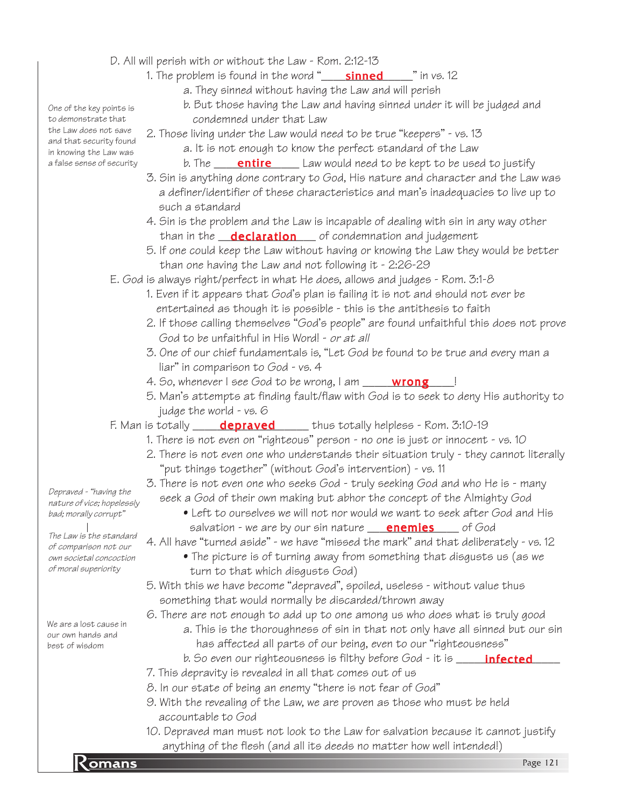- D. All will perish with or without the Law Rom. 2:12-13
	- 1. The problem is found in the word "\_\_\_\_\_\_\_\_\_\_\_\_\_\_\_\_\_\_\_\_\_\_\_\_" in vs. 12
		- a. They sinned without having the Law and will perish
		- b. But those having the Law and having sinned under it will be judged and condemned under that Law
	- 2. Those living under the Law would need to be true "keepers" vs. 13
		- a. It is not enough to know the perfect standard of the Law
		- b. The \_\_\_\_\_**entire** \_\_\_\_\_ Law would need to be kept to be used to justify
	- 3. Sin is anything done contrary to God, His nature and character and the Law was a definer/identifier of these characteristics and man's inadequacies to live up to such a standard
	- 4. Sin is the problem and the Law is incapable of dealing with sin in any way other than in the **\_\_\_declaration** \_\_\_\_\_ of condemnation and judgement
	- 5. If one could keep the Law without having or knowing the Law they would be better than one having the Law and not following it - 2:26-29
- E. God is always right/perfect in what He does, allows and judges Rom. 3:1-8
	- 1. Even if it appears that God's plan is failing it is not and should not ever be entertained as though it is possible - this is the antithesis to faith
	- 2. If those calling themselves "God's people" are found unfaithful this does not prove God to be unfaithful in His Word! - or at all
	- 3. One of our chief fundamentals is, "Let God be found to be true and every man a liar" in comparison to God - vs. 4
	- 4. So, whenever I see God to be wrong, I am \_\_\_\_\_\_<mark>wrong</mark>\_\_\_\_!
	- 5. Man's attempts at finding fault/flaw with God is to seek to deny His authority to judge the world - vs. 6
- F. Man is totally \_\_\_\_\_\_<mark>depraved</mark> \_\_\_\_\_\_ thus totally helpless Rom. 3:10-19
	- 1. There is not even on "righteous" person no one is just or innocent vs. 10
	- 2. There is not even one who understands their situation truly they cannot literally "put things together" (without God's intervention) - vs. 11
	- 3. There is not even one who seeks God truly seeking God and who He is many seek a God of their own making but abhor the concept of the Almighty God
		- Left to ourselves we will not nor would we want to seek after God and His salvation - we are by our sin nature **\_\_\_\_<u>enemies</u>\_\_\_\_**\_ of God
	- 4. All have "turned aside" we have "missed the mark" and that deliberately vs. 12
		- The picture is of turning away from something that disgusts us (as we turn to that which disgusts God)
	- 5. With this we have become "depraved", spoiled, useless without value thus something that would normally be discarded/thrown away

6. There are not enough to add up to one among us who does what is truly good

- a. This is the thoroughness of sin in that not only have all sinned but our sin has affected all parts of our being, even to our "righteousness"
- b. So even our righteousness is filthy before God it is \_\_\_\_\_\_<mark>infected</mark>\_\_\_\_
- 7. This depravity is revealed in all that comes out of us
- 8. In our state of being an enemy "there is not fear of God"
- 9. With the revealing of the Law, we are proven as those who must be held accountable to God
- anything of the flesh (and all its deeds no matter how well intended!)<br>Page 121 10. Depraved man must not look to the Law for salvation because it cannot justify

One of the key points is to demonstrate that the Law does not save and that security found in knowing the Law was a false sense of security

Depraved - "having the nature of vice; hopelessly bad; morally corrupt"

The Law is the standard of comparison not our own societal concoction of moral superiority

We are a lost cause in our own hands and best of wisdom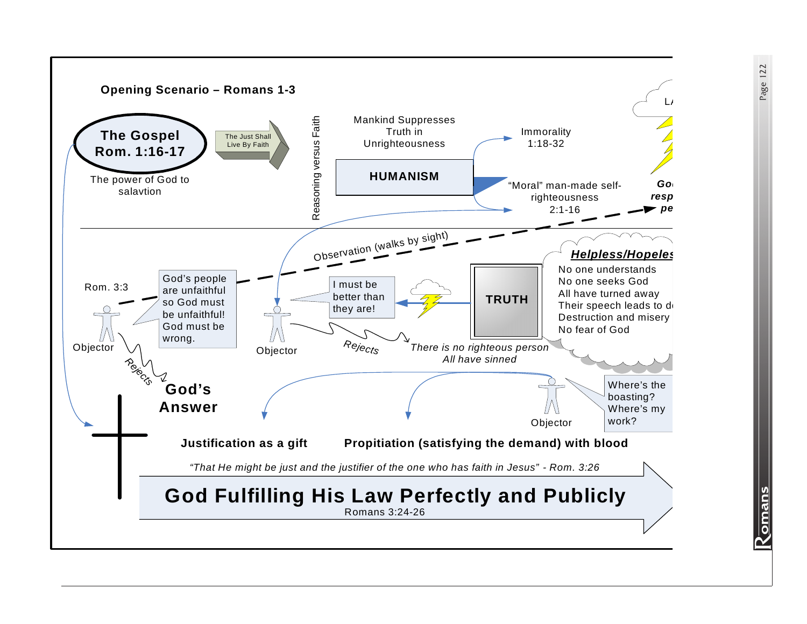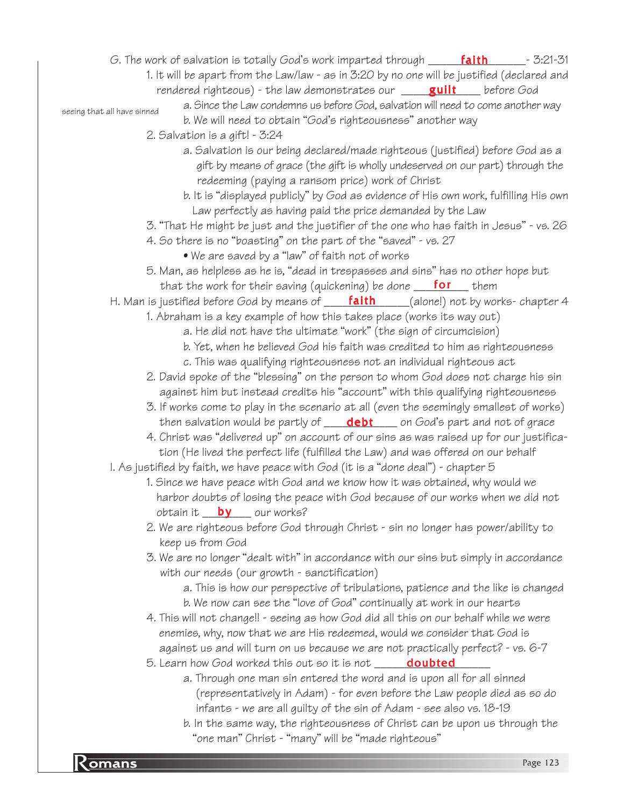*G.* The work of salvation is totally God's work imparted through \_\_\_\_\_\_<mark>faith</mark>\_\_\_\_\_\_\_- 3:21-31

- 1. It will be apart from the Law/law as in 3:20 by no one will be justified (declared and
- rendered righteous) the law demonstrates our \_\_\_\_\_<mark>guilt</mark>\_\_\_\_ before God

seeing that all have sinned

- a. Since the Law condemns us before God, salvation will need to come another way b. We will need to obtain "God's righteousness" another way
- 2. Salvation is a gift! 3:24
	- a. Salvation is our being declared/made righteous (justified) before God as a gift by means of grace (the gift is wholly undeserved on our part) through the redeeming (paying a ransom price) work of Christ
	- b. It is "displayed publicly" by God as evidence of His own work, fulfilling His own Law perfectly as having paid the price demanded by the Law
- 3. "That He might be just and the justifier of the one who has faith in Jesus" vs. 26
- 4. So there is no "boasting" on the part of the "saved" vs. 27
	- We are saved by a "law" of faith not of works
- 5. Man, as helpless as he is, "dead in trespasses and sins" has no other hope but that the work for their saving (quickening) be done **\_\_\_\_\_\_\_\_\_** them
- H. Man is justified before God by means of **\_\_\_\_\_<mark>faith</mark>\_\_\_\_\_**(alone!) not by works- chapter 4
	- 1. Abraham is a key example of how this takes place (works its way out)
		- a. He did not have the ultimate "work" (the sign of circumcision)
		- b. Yet, when he believed God his faith was credited to him as righteousness
		- c. This was qualifying righteousness not an individual righteous act
	- 2. David spoke of the "blessing" on the person to whom God does not charge his sin against him but instead credits his "account" with this qualifying righteousness
	- 3. If works come to play in the scenario at all (even the seemingly smallest of works) then salvation would be partly of \_\_\_\_\_<mark>debt</mark> \_\_\_\_ on God's part and not of grace
	- 4. Christ was "delivered up" on account of our sins as was raised up for our justifica tion (He lived the perfect life (fulfilled the Law) and was offered on our behalf
- I. As justified by faith, we have peace with God (it is a "done deal") chapter 5
	- 1. Since we have peace with God and we know how it was obtained, why would we harbor doubts of losing the peace with God because of our works when we did not obtain it \_\_<mark>\_\_\_\_\_\_\_\_</mark>\_ our works?
	- 2. We are righteous before God through Christ sin no longer has power/ability to keep us from God
	- 3. We are no longer "dealt with" in accordance with our sins but simply in accordance with our needs (our growth - sanctification)
		- a. This is how our perspective of tribulations, patience and the like is changed b. We now can see the "love of God" continually at work in our hearts
	- 4. This will not change!! seeing as how God did all this on our behalf while we were enemies, why, now that we are His redeemed, would we consider that God is against us and will turn on us because we are not practically perfect? - vs. 6-7
	- 5. Learn how God worked this out so it is not \_\_\_\_\_\_<mark>doubted</mark>\_\_\_\_\_
		- a. Through one man sin entered the word and is upon all for all sinned (representatively in Adam) - for even before the Law people died as so do infants - we are all guilty of the sin of Adam - see also vs. 18-19
		- b. In the same way, the righteousness of Christ can be upon us through the "one man" Christ - "many" will be "made righteous"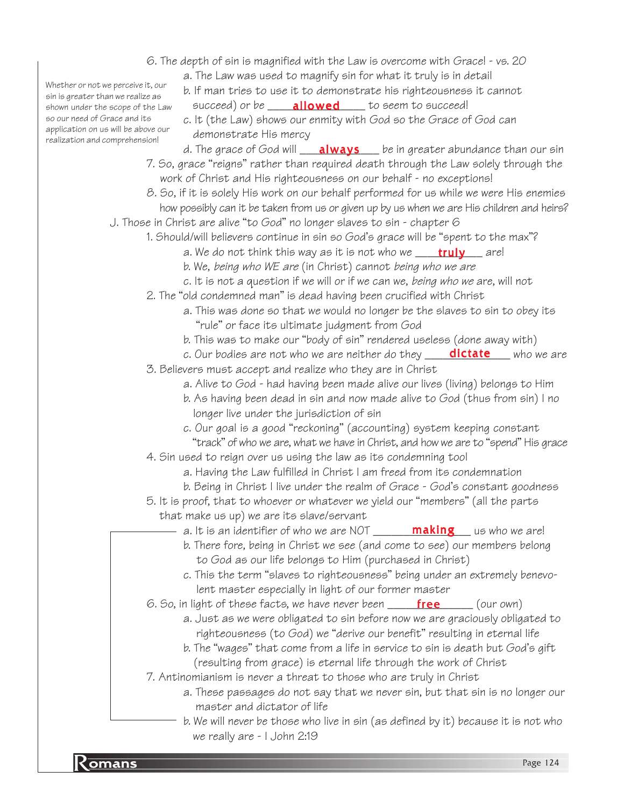- 6. The depth of sin is magnified with the Law is overcome with Grace! vs. 20
	- a. The Law was used to magnify sin for what it truly is in detail

b. If man tries to use it to demonstrate his righteousness it cannot

- succeed) or be \_\_\_\_\_<mark>allowed</mark> \_\_\_\_\_ to seem to succeed!
- c. It (the Law) shows our enmity with God so the Grace of God can demonstrate His mercy
- d. The grace of God will \_\_\_\_<mark>always</mark> \_\_\_ be in greater abundance than our sin 7. So, grace "reigns" rather than required death through the Law solely through the work of Christ and His righteousness on our behalf - no exceptions!
- 8. So, if it is solely His work on our behalf performed for us while we were His enemies how possibly can it be taken from us or given up by us when we are His children and heirs?
- J. Those in Christ are alive "to God" no longer slaves to sin chapter 6
	- 1. Should/will believers continue in sin so God's grace will be "spent to the max"?
		- a. We do not think this way as it is not who we \_\_\_\_<mark>truly</mark> \_\_\_ are!
		- b. We, being who WE are (in Christ) cannot being who we are
		- c. It is not a question if we will or if we can we, being who we are, will not
	- 2. The "old condemned man" is dead having been crucified with Christ
		- a. This was done so that we would no longer be the slaves to sin to obey its "rule" or face its ultimate judgment from God
		- b. This was to make our "body of sin" rendered useless (done away with)
	- c. Our bodies are not who we are neither do they \_\_\_\_<mark>dictate</mark>\_\_\_\_who we are 3. Believers must accept and realize who they are in Christ
		- a. Alive to God had having been made alive our lives (living) belongs to Him
		- b. As having been dead in sin and now made alive to God (thus from sin) I no longer live under the jurisdiction of sin
		- c. Our goal is a good "reckoning" (accounting) system keeping constant "track" of who we are, what we have in Christ, and how we are to "spend" His grace
	- 4. Sin used to reign over us using the law as its condemning tool
		- a. Having the Law fulfilled in Christ I am freed from its condemnation
		- b. Being in Christ I live under the realm of Grace God's constant goodness
	- 5. It is proof, that to whoever or whatever we yield our "members" (all the parts that make us up) we are its slave/servant
		- a. It is an identifier of who we are NOT \_\_\_\_\_\_\_<mark>making</mark>\_\_\_ us who we are!
		- b. There fore, being in Christ we see (and come to see) our members belong to God as our life belongs to Him (purchased in Christ)
		- c. This the term "slaves to righteousness" being under an extremely benevo lent master especially in light of our former master
	- 6. So, in light of these facts, we have never been \_\_\_\_\_\_\_\_\_\_\_\_\_\_\_\_\_\_\_\_\_\_\_(our own)
		- a. Just as we were obligated to sin before now we are graciously obligated to righteousness (to God) we "derive our benefit" resulting in eternal life
			- b. The "wages" that come from a life in service to sin is death but God's gift (resulting from grace) is eternal life through the work of Christ
	- 7. Antinomianism is never a threat to those who are truly in Christ
		- a. These passages do not say that we never sin, but that sin is no longer our master and dictator of life
		- b. We will never be those who live in sin (as defined by it) because it is not who we really are - I John 2:19

Whether or not we perceive it, our sin is greater than we realize as shown under the scope of the Law so our need of Grace and its application on us will be above our realization and comprehension!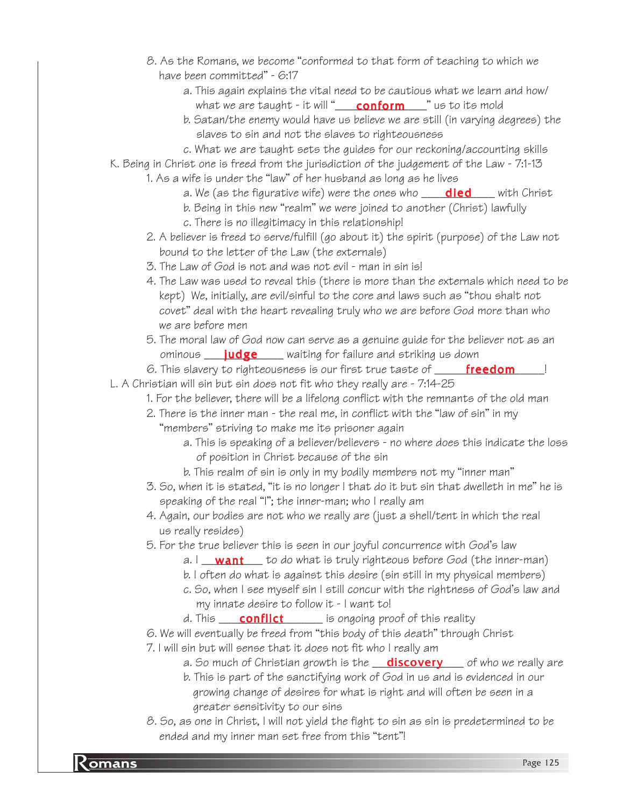- 8. As the Romans, we become "conformed to that form of teaching to which we have been committed" - 6:17
	- a. This again explains the vital need to be cautious what we learn and how/ what we are taught - it will "\_\_\_\_\_\_\_\_\_\_\_\_\_\_\_\_\_\_\_\_\_" us to its mold
	- b. Satan/the enemy would have us believe we are still (in varying degrees) the slaves to sin and not the slaves to righteousness
	- c. What we are taught sets the guides for our reckoning/accounting skills
- K. Being in Christ one is freed from the jurisdiction of the judgement of the Law 7:1-13
	- 1. As a wife is under the "law" of her husband as long as he lives
		- a. We (as the figurative wife) were the ones who \_\_\_\_<mark>died</mark> \_\_\_\_ with Christ
		- b. Being in this new "realm" we were joined to another (Christ) lawfully
		- c. There is no illegitimacy in this relationship!
		- 2. A believer is freed to serve/fulfill (go about it) the spirit (purpose) of the Law not bound to the letter of the Law (the externals)
		- 3. The Law of God is not and was not evil man in sin is!
		- 4. The Law was used to reveal this (there is more than the externals which need to be kept) We, initially, are evil/sinful to the core and laws such as "thou shalt not covet" deal with the heart revealing truly who we are before God more than who we are before men
		- 5. The moral law of God now can serve as a genuine guide for the believer not as an ominous \_\_\_\_<mark>judge</mark> \_\_\_\_ waiting for failur*e* and striking us down
- 6. This slavery to righteousness is our first true taste of \_\_\_\_\_\_\_\_\_\_\_\_\_\_\_\_\_\_\_! L. A Christian will sin but sin does not fit who they really are - 7:14-25
	- 1. For the believer, there will be a lifelong conflict with the remnants of the old man
		- 2. There is the inner man the real me, in conflict with the "law of sin" in my
			- "members" striving to make me its prisoner again
				- a. This is speaking of a believer/believers no where does this indicate the loss of position in Christ because of the sin
				- b. This realm of sin is only in my bodily members not my "inner man"
		- 3. So, when it is stated, "it is no longer I that do it but sin that dwelleth in me" he is speaking of the real "I"; the inner-man; who I really am
		- 4. Again, our bodies are not who we really are (just a shell/tent in which the real us really resides)
		- 5. For the true believer this is seen in our joyful concurrence with God's law
			- a. I \_\_**want** \_\_\_\_to do what is truly righteous before God (the inner-man)
			- b. I often do what is against this desire (sin still in my physical members)
			- c. So, when I see myself sin I still concur with the rightness of God's law and my innate desire to follow it - I want to!
			- d. This \_\_\_\_\_\_\_\_\_\_\_\_\_\_\_\_\_ is ongoing proof of this reality conflict
		- 6. We will eventually be freed from "this body of this death" through Christ
		- 7. I will sin but will sense that it does not fit who I really am
			- *a.* So much of Christian growth is the wild soff sof who we really are
			- b. This is part of the sanctifying work of God in us and is evidenced in our growing change of desires for what is right and will often be seen in a greater sensitivity to our sins
		- 8. So, as one in Christ, I will not yield the fight to sin as sin is predetermined to be ended and my inner man set free from this "tent"!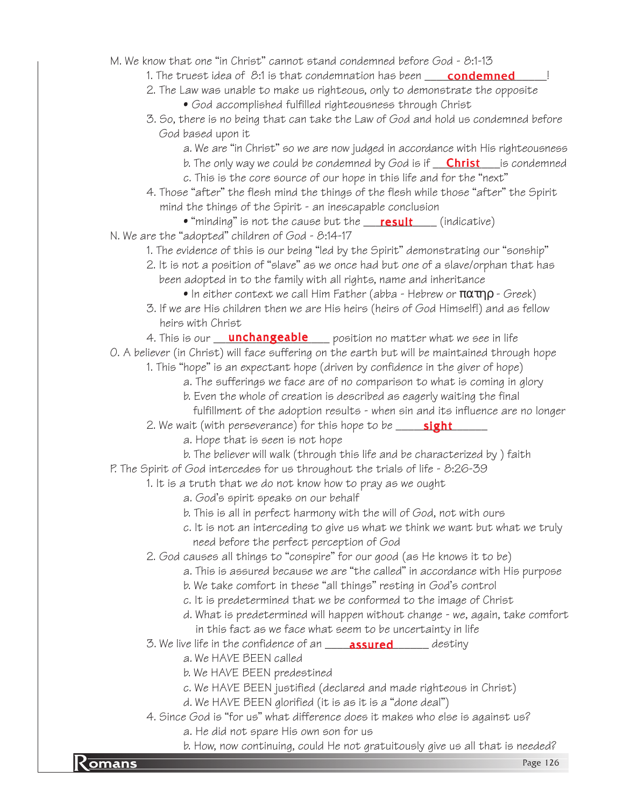M. We know that one "in Christ" cannot stand condemned before God - 8:1-13

- 1. The truest idea of S:1 is that condemnation has been \_\_\_\_\_ **condemned**\_\_\_\_\_!
- 2. The Law was unable to make us righteous, only to demonstrate the opposite
	- God accomplished fulfilled righteousness through Christ
- 3. So, there is no being that can take the Law of God and hold us condemned before God based upon it
	- a. We are "in Christ" so we are now judged in accordance with His righteousness
	- b. The only way we could be condemned by God is if <u>\_\_\_**Christ**\_\_\_</u>is condemned
	- c. This is the core source of our hope in this life and for the "next"
- 4. Those "after" the flesh mind the things of the flesh while those "after" the Spirit mind the things of the Spirit - an inescapable conclusion
	- $\bullet$  "minding" is not the cause but the  $\_\_ \text{result} \_\_$  (indicative)
- N. We are the "adopted" children of God 8:14-17
	- 1. The evidence of this is our being "led by the Spirit" demonstrating our "sonship"
	- 2. It is not a position of "slave" as we once had but one of a slave/orphan that has been adopted in to the family with all rights, name and inheritance
		- In either context we call Him Father (abba Hebrew or  $\pi\alpha\pi\eta\rho$  Greek)
	- 3. If we are His children then we are His heirs (heirs of God Himself!) and as fellow heirs with Christ
	- 4. This is our <u>ga**nchangeable** so</u> position no matter what we see in life

O. A believer (in Christ) will face suffering on the earth but will be maintained through hope

- 1. This "hope" is an expectant hope (driven by confidence in the giver of hope)
	- a. The sufferings we face are of no comparison to what is coming in glory
	- b. Even the whole of creation is described as eagerly waiting the final
	- fulfillment of the adoption results when sin and its influence are no longer
- 2. We wait (with perseverance) for this hope to be \_\_\_\_\_\_**sight**\_\_\_\_\_\_
	- a. Hope that is seen is not hope
	- b. The believer will walk (through this life and be characterized by ) faith
- P. The Spirit of God intercedes for us throughout the trials of life 8:26-39
	- 1. It is a truth that we do not know how to pray as we ought
		- a. God's spirit speaks on our behalf
		- b. This is all in perfect harmony with the will of God, not with ours
		- c. It is not an interceding to give us what we think we want but what we truly need before the perfect perception of God
		- 2. God causes all things to "conspire" for our good (as He knows it to be)
			- a. This is assured because we are "the called" in accordance with His purpose
			- b. We take comfort in these "all things" resting in God's control
			- c. It is predetermined that we be conformed to the image of Christ
			- d. What is predetermined will happen without change we, again, take comfort in this fact as we face what seem to be uncertainty in life
		- 3. We live life in the confidence of an \_\_\_\_\_**assured** \_\_\_\_\_\_\_ destiny
			- a. We HAVE BEEN called
			- b. We HAVE BEEN predestined
			- c. We HAVE BEEN justified (declared and made righteous in Christ)
			- d. We HAVE BEEN glorified (it is as it is a "done deal")
		- 4. Since God is "for us" what difference does it makes who else is against us?
			- a. He did not spare His own son for us
- b. How, now continuing, could He not gratuitously give us all that is needed?<br>Page 126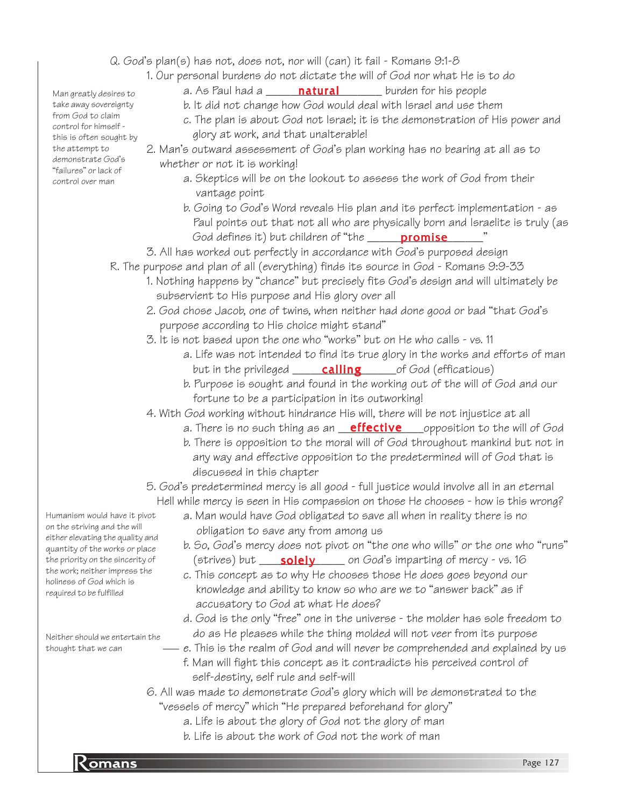Q. God's plan(s) has not, does not, nor will (can) it fail - Romans 9:1-8

1. Our personal burdens do not dictate the will of God nor what He is to do

a. As Paul had a \_\_\_\_\_\_**natural** \_\_\_\_\_\_ burden for his people

- b. It did not change how God would deal with Israel and use them
- c. The plan is about God not Israel; it is the demonstration of His power and glory at work, and that unalterable!

2. Man's outward assessment of God's plan working has no bearing at all as to whether or not it is working!

- a. Skeptics will be on the lookout to assess the work of God from their vantage point
- b. Going to God's Word reveals His plan and its perfect implementation as Paul points out that not all who are physically born and Israelite is truly (as God defines it) but children of "the \_\_\_\_\_\_<mark>promise</mark>\_\_\_\_\_\_\_"

3. All has worked out perfectly in accordance with God's purposed design

- R. The purpose and plan of all (everything) finds its source in God Romans 9:9-33
	- 1. Nothing happens by "chance" but precisely fits God's design and will ultimately be subservient to His purpose and His glory over all
	- 2. God chose Jacob, one of twins, when neither had done good or bad "that God's purpose according to His choice might stand"
	- 3. It is not based upon the one who "works" but on He who calls vs. 11
		- a. Life was not intended to find its true glory in the works and efforts of man but in the privileged **calling** for God (efficatious)
		- b. Purpose is sought and found in the working out of the will of God and our fortune to be a participation in its outworking!

4. With God working without hindrance His will, there will be not injustice at all

- a. There is no such thing as an <u>effective supp</u>osition to the will of God
- b. There is opposition to the moral will of God throughout mankind but not in any way and effective opposition to the predetermined will of God that is discussed in this chapter

5. God's predetermined mercy is all good - full justice would involve all in an eternal Hell while mercy is seen in His compassion on those He chooses - how is this wrong?

- a. Man would have God obligated to save all when in reality there is no obligation to save any from among us
- b. So, God's mercy does not pivot on "the one who wills" or the one who "runs" (strives) but \_\_\_\_<mark>solely</mark>\_\_\_\_\_\_ on God's imparting of mercy - vs. 16
- c. This concept as to why He chooses those He does goes beyond our knowledge and ability to know so who are we to "answer back" as if accusatory to God at what He does?
- d. God is the only "free" one in the universe the molder has sole freedom to do as He pleases while the thing molded will not veer from its purpose
- e. This is the realm of God and will never be comprehended and explained by us f. Man will fight this concept as it contradicts his perceived control of self-destiny, self rule and self-will
- 6. All was made to demonstrate God's glory which will be demonstrated to the "vessels of mercy" which "He prepared beforehand for glory"
	- a. Life is about the glory of God not the glory of man
	- b. Life is about the work of God not the work of man

Man greatly desires to take away sovereignty from God to claim control for himself this is often sought by the attempt to demonstrate God's "failures" or lack of control over man

Humanism would have it pivot on the striving and the will either elevating the quality and quantity of the works or place the priority on the sincerity of the work; neither impress the holiness of God which is required to be fulfilled

Neither should we entertain the thought that we can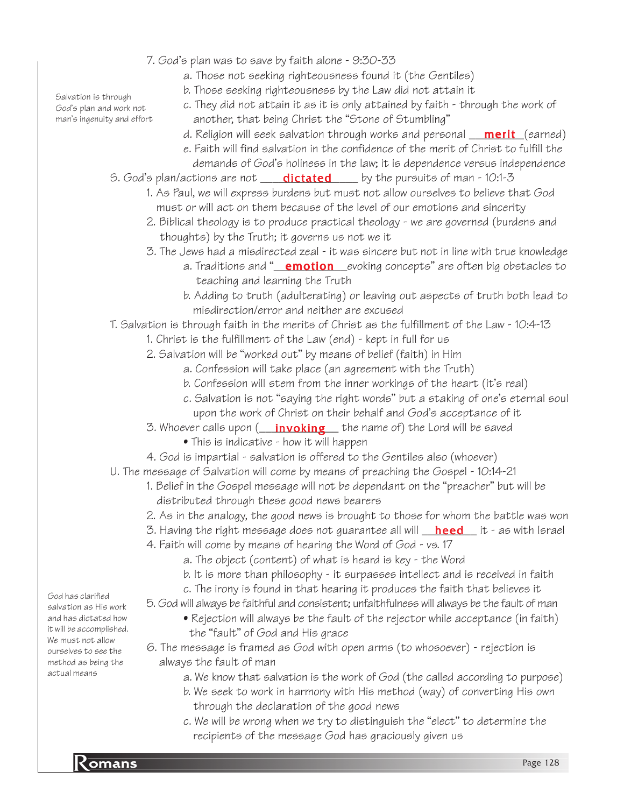- 7. God's plan was to save by faith alone 9:30-33
	- a. Those not seeking righteousness found it (the Gentiles)
	- b. Those seeking righteousness by the Law did not attain it
	- c. They did not attain it as it is only attained by faith through the work of another, that being Christ the "Stone of Stumbling"
	- d. Religion will seek salvation through works and personal <u>\_\_**merit**\_(</u>earned)
	- e. Faith will find salvation in the confidence of the merit of Christ to fulfill the demands of God's holiness in the law; it is dependence versus independence
- S. God's plan/actions are not \_\_\_\_<mark>dictated</mark> \_\_\_\_ by the pursuits of man 10:1-3
	- 1. As Paul, we will express burdens but must not allow ourselves to believe that God must or will act on them because of the level of our emotions and sincerity
	- 2. Biblical theology is to produce practical theology we are governed (burdens and thoughts) by the Truth; it governs us not we it
	- 3. The Jews had a misdirected zeal it was sincere but not in line with true knowledge
		- a. Traditions and "<u>\_\_**emotion**\_\_</u>evoking concepts" are often big obstacles to teaching and learning the Truth
		- b. Adding to truth (adulterating) or leaving out aspects of truth both lead to misdirection/error and neither are excused

T. Salvation is through faith in the merits of Christ as the fulfillment of the Law - 10:4-13

- 1. Christ is the fulfillment of the Law (end) kept in full for us
- 2. Salvation will be "worked out" by means of belief (faith) in Him
	- a. Confession will take place (an agreement with the Truth)
	- b. Confession will stem from the inner workings of the heart (it's real)
	- c. Salvation is not "saying the right words" but a staking of one's eternal soul upon the work of Christ on their behalf and God's acceptance of it
- 3. Whoever calls upon (\_\_\_<mark>invoking</mark>\_\_\_ the name of) the Lord will be saved
	- This is indicative how it will happen
- 4. God is impartial salvation is offered to the Gentiles also (whoever)
- U. The message of Salvation will come by means of preaching the Gospel 10:14-21
	- 1. Belief in the Gospel message will not be dependant on the "preacher" but will be distributed through these good news bearers
	- 2. As in the analogy, the good news is brought to those for whom the battle was won
	- 3. Having the right message does not guarantee all will \_\_<mark>heed</mark> \_\_it as with Israel
	- 4. Faith will come by means of hearing the Word of God vs. 17
		- a. The object (content) of what is heard is key the Word
		- b. It is more than philosophy it surpasses intellect and is received in faith
		- c. The irony is found in that hearing it produces the faith that believes it

5. God will always be faithful and consistent; unfaithfulness will always be the fault of man

- Rejection will always be the fault of the rejector while acceptance (in faith) the "fault" of God and His grace
- 6. The message is framed as God with open arms (to whosoever) rejection is always the fault of man
	- a. We know that salvation is the work of God (the called according to purpose)
	- b. We seek to work in harmony with His method (way) of converting His own through the declaration of the good news
	- c. We will be wrong when we try to distinguish the "elect" to determine the recipients of the message God has graciously given us

Salvation is through God's plan and work not man's ingenuity and effort

God has clarified salvation as His work and has dictated how it will be accomplished. We must not allow ourselves to see the method as being the actual means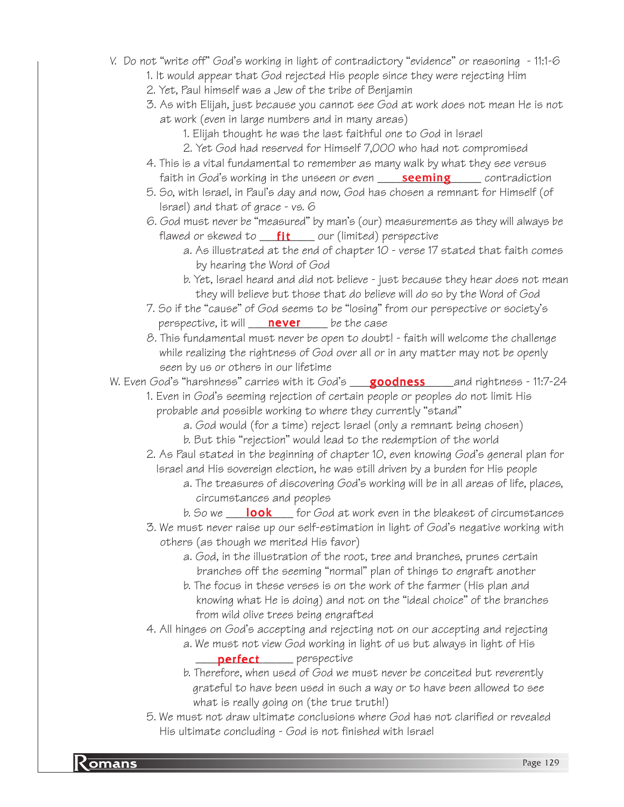- V. Do not "write off" God's working in light of contradictory "evidence" or reasoning 11:1-6
	- 1. It would appear that God rejected His people since they were rejecting Him
	- 2. Yet, Paul himself was a Jew of the tribe of Benjamin
	- 3. As with Elijah, just because you cannot see God at work does not mean He is not at work (even in large numbers and in many areas)
		- 1. Elijah thought he was the last faithful one to God in Israel
		- 2. Yet God had reserved for Himself 7,000 who had not compromised
	- 4. This is a vital fundamental to remember as many walk by what they see versus faith in God's working in the unseen or even \_\_\_\_\_\_<mark>seeming</mark>\_\_\_\_\_\_\_ contradiction
	- 5. So, with Israel, in Paul's day and now, God has chosen a remnant for Himself (of Israel) and that of grace - vs. 6
	- 6. God must never be "measured" by man's (our) measurements as they will always be flawed or skewed to \_\_<mark>\_\_\_\_\_\_\_\_\_\_\_\_\_</mark> our (limited) perspective
		- a. As illustrated at the end of chapter 10 verse 17 stated that faith comes by hearing the Word of God
		- b. Yet, Israel heard and did not believe just because they hear does not mean they will believe but those that do believe will do so by the Word of God
	- 7. So if the "cause" of God seems to be "losing" from our perspective or society's perspective, it will **never** be the case
	- 8. This fundamental must never be open to doubt! faith will welcome the challenge while realizing the rightness of God over all or in any matter may not be openly seen by us or others in our lifetime

W. Even God's "harshness" carries with it God's \_\_**\_\_goodness** \_\_\_\_and rightness - 11:7-24

1. Even in God's seeming rejection of certain people or peoples do not limit His probable and possible working to where they currently "stand"

- a. God would (for a time) reject Israel (only a remnant being chosen) b. But this "rejection" would lead to the redemption of the world
- 2. As Paul stated in the beginning of chapter 10, even knowing God's general plan for Israel and His sovereign election, he was still driven by a burden for His people
	- a. The treasures of discovering God's working will be in all areas of life, places, circumstances and peoples
	- b. So we \_\_\_\_<mark>look</mark> \_\_\_\_ for God at work even in the bleakest of circumstances
- 3. We must never raise up our self-estimation in light of God's negative working with others (as though we merited His favor)
	- a. God, in the illustration of the root, tree and branches, prunes certain branches off the seeming "normal" plan of things to engraft another
	- b. The focus in these verses is on the work of the farmer (His plan and knowing what He is doing) and not on the "ideal choice" of the branches from wild olive trees being engrafted

4. All hinges on God's accepting and rejecting not on our accepting and rejecting a. We must not view God working in light of us but always in light of His

- \_\_\_\_\_\_\_\_\_\_\_\_\_\_\_\_\_\_\_\_\_\_\_\_\_ perspective
- b. Therefore, when used of God we must never be conceited but reverently grateful to have been used in such a way or to have been allowed to see what is really going on (the true truth!)
- 5. We must not draw ultimate conclusions where God has not clarified or revealed His ultimate concluding - God is not finished with Israel

**Romans** Page 129